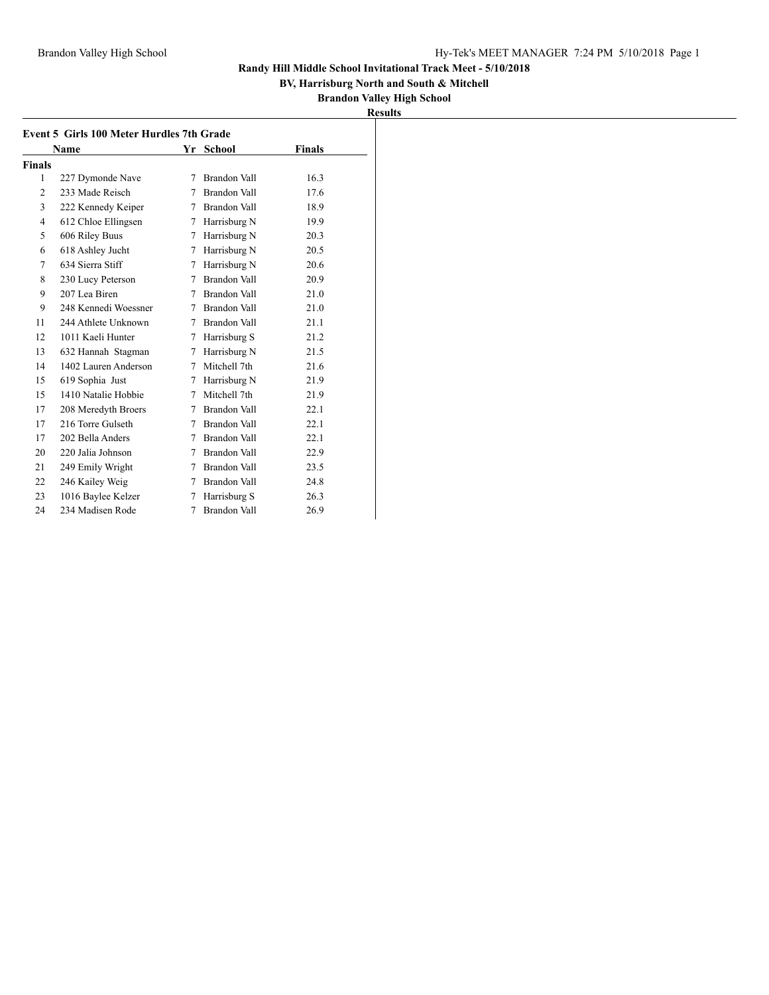**BV, Harrisburg North and South & Mitchell**

| 19 | шB<br>۳s |  |
|----|----------|--|
|    |          |  |

|                | <b>Event 5 Girls 100 Meter Hurdles 7th Grade</b> |        |              |               |
|----------------|--------------------------------------------------|--------|--------------|---------------|
|                | Name                                             | Yr     | School       | <b>Finals</b> |
| <b>Finals</b>  |                                                  |        |              |               |
| 1              | 227 Dymonde Nave                                 | 7      | Brandon Vall | 16.3          |
| $\overline{2}$ | 233 Made Reisch                                  | 7      | Brandon Vall | 17.6          |
| 3              | 222 Kennedy Keiper                               | 7      | Brandon Vall | 18.9          |
| $\overline{4}$ | 612 Chloe Ellingsen                              | 7      | Harrisburg N | 19.9          |
| 5              | 606 Riley Buus                                   | 7      | Harrisburg N | 20.3          |
| 6              | 618 Ashley Jucht                                 | 7      | Harrisburg N | 20.5          |
| 7              | 634 Sierra Stiff                                 | 7      | Harrisburg N | 20.6          |
| 8              | 230 Lucy Peterson                                | 7      | Brandon Vall | 20.9          |
| 9              | 207 Lea Biren                                    | 7      | Brandon Vall | 21.0          |
| 9              | 248 Kennedi Woessner                             | 7      | Brandon Vall | 21.0          |
| 11             | 244 Athlete Unknown                              | 7      | Brandon Vall | 21.1          |
| 12             | 1011 Kaeli Hunter                                | 7      | Harrisburg S | 21.2          |
| 13             | 632 Hannah Stagman                               | 7      | Harrisburg N | 21.5          |
| 14             | 1402 Lauren Anderson                             | 7      | Mitchell 7th | 21.6          |
| 15             | 619 Sophia Just                                  | 7      | Harrisburg N | 21.9          |
| 15             | 1410 Natalie Hobbie                              | 7      | Mitchell 7th | 21.9          |
| 17             | 208 Meredyth Broers                              | 7      | Brandon Vall | 22.1          |
| 17             | 216 Torre Gulseth                                | 7      | Brandon Vall | 22.1          |
| 17             | 202 Bella Anders                                 | 7      | Brandon Vall | 22.1          |
| 20             | 220 Jalia Johnson                                | $\tau$ | Brandon Vall | 22.9          |
| 21             | 249 Emily Wright                                 | 7      | Brandon Vall | 23.5          |
| 22             | 246 Kailey Weig                                  | 7      | Brandon Vall | 24.8          |
| 23             | 1016 Baylee Kelzer                               | 7      | Harrisburg S | 26.3          |
| 24             | 234 Madisen Rode                                 | 7      | Brandon Vall | 26.9          |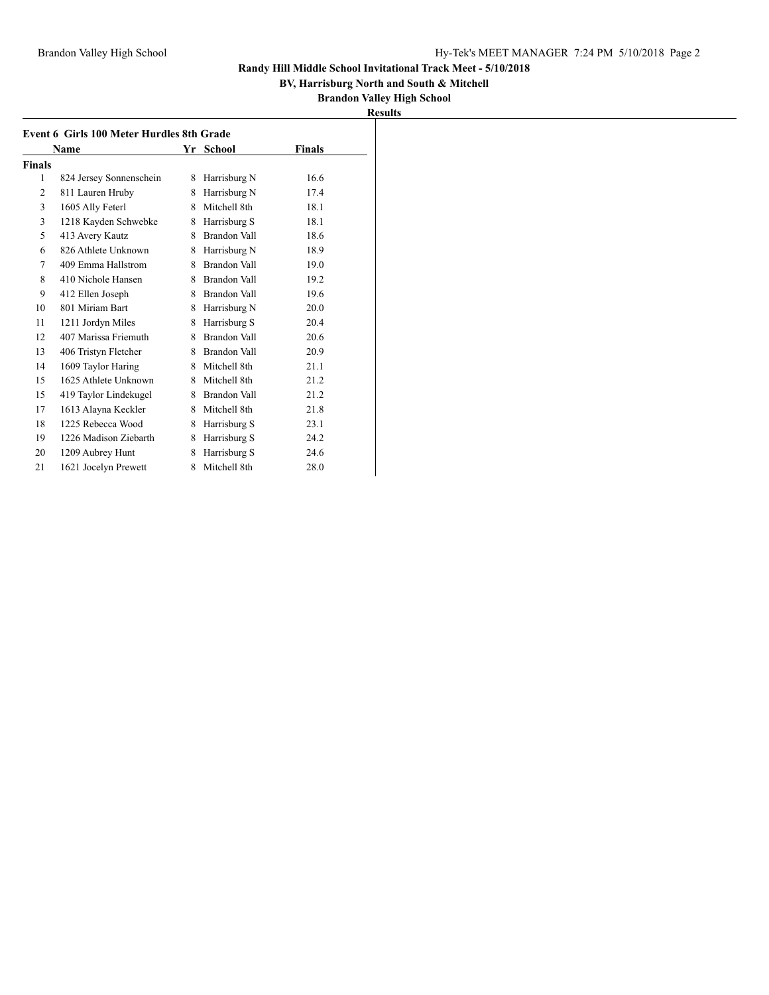## **BV, Harrisburg North and South & Mitchell**

| Event 6 Girls 100 Meter Hurdles 8th Grade |                         |   |                     |               |
|-------------------------------------------|-------------------------|---|---------------------|---------------|
| Name                                      |                         |   | Yr School           | <b>Finals</b> |
| Finals                                    |                         |   |                     |               |
| 1                                         | 824 Jersey Sonnenschein | 8 | Harrisburg N        | 16.6          |
| 2                                         | 811 Lauren Hruby        | 8 | Harrisburg N        | 17.4          |
| 3                                         | 1605 Ally Feterl        | 8 | Mitchell 8th        | 18.1          |
| 3                                         | 1218 Kayden Schwebke    | 8 | Harrisburg S        | 18.1          |
| 5                                         | 413 Avery Kautz         | 8 | Brandon Vall        | 18.6          |
| 6                                         | 826 Athlete Unknown     | 8 | Harrisburg N        | 18.9          |
| 7                                         | 409 Emma Hallstrom      | 8 | Brandon Vall        | 19.0          |
| 8                                         | 410 Nichole Hansen      | 8 | Brandon Vall        | 19.2          |
| 9                                         | 412 Ellen Joseph        | 8 | <b>Brandon Vall</b> | 19.6          |
| 10                                        | 801 Miriam Bart         | 8 | Harrisburg N        | 20.0          |
| 11                                        | 1211 Jordyn Miles       | 8 | Harrisburg S        | 20.4          |
| 12                                        | 407 Marissa Friemuth    | 8 | <b>Brandon Vall</b> | 20.6          |
| 13                                        | 406 Tristyn Fletcher    | 8 | Brandon Vall        | 20.9          |
| 14                                        | 1609 Taylor Haring      | 8 | Mitchell 8th        | 21.1          |
| 15                                        | 1625 Athlete Unknown    | 8 | Mitchell 8th        | 21.2          |
| 15                                        | 419 Taylor Lindekugel   | 8 | <b>Brandon Vall</b> | 21.2          |
| 17                                        | 1613 Alayna Keckler     | 8 | Mitchell 8th        | 21.8          |
| 18                                        | 1225 Rebecca Wood       | 8 | Harrisburg S        | 23.1          |
| 19                                        | 1226 Madison Ziebarth   | 8 | Harrisburg S        | 24.2          |
| 20                                        | 1209 Aubrey Hunt        | 8 | Harrisburg S        | 24.6          |
| 21                                        | 1621 Jocelyn Prewett    | 8 | Mitchell 8th        | 28.0          |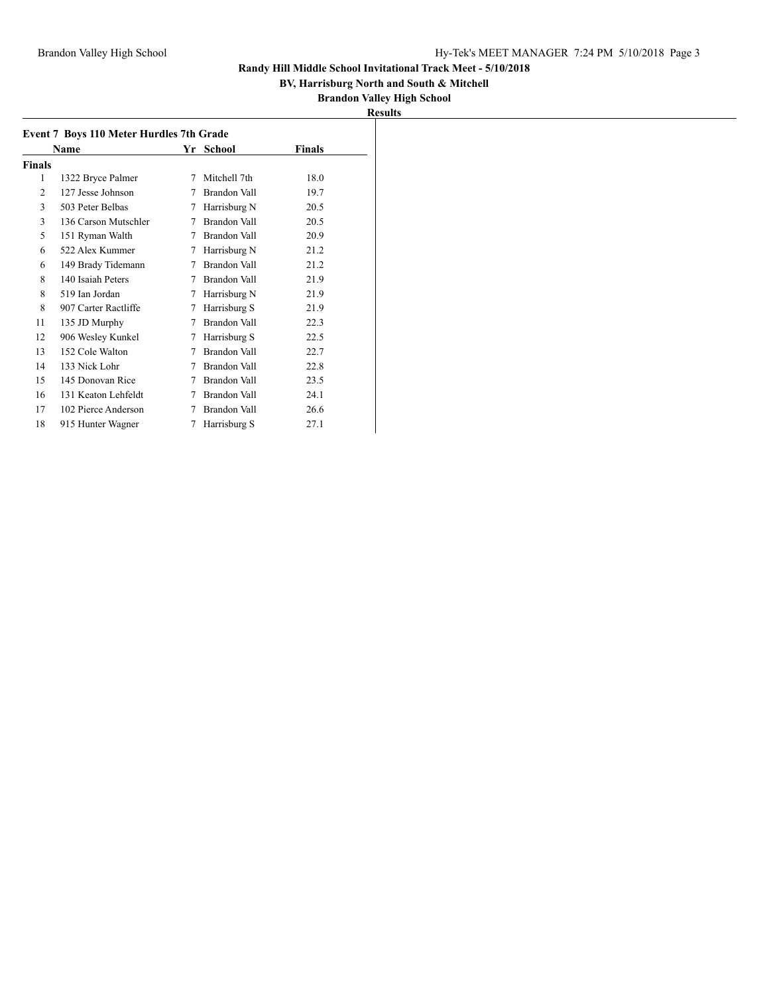## **BV, Harrisburg North and South & Mitchell**

|--|

|                | <b>Event 7 Boys 110 Meter Hurdles 7th Grade</b> |   |                     |        |
|----------------|-------------------------------------------------|---|---------------------|--------|
|                | Name                                            |   | Yr School           | Finals |
| Finals         |                                                 |   |                     |        |
| 1              | 1322 Bryce Palmer                               | 7 | Mitchell 7th        | 18.0   |
| $\mathfrak{D}$ | 127 Jesse Johnson                               | 7 | <b>Brandon Vall</b> | 19.7   |
| 3              | 503 Peter Belbas                                | 7 | Harrisburg N        | 20.5   |
| 3              | 136 Carson Mutschler                            | 7 | Brandon Vall        | 20.5   |
| 5              | 151 Ryman Walth                                 | 7 | Brandon Vall        | 20.9   |
| 6              | 522 Alex Kummer                                 | 7 | Harrisburg N        | 21.2   |
| 6              | 149 Brady Tidemann                              | 7 | Brandon Vall        | 21.2   |
| 8              | 140 Isaiah Peters                               | 7 | Brandon Vall        | 21.9   |
| 8              | 519 Ian Jordan                                  | 7 | Harrisburg N        | 21.9   |
| 8              | 907 Carter Ractliffe                            | 7 | Harrisburg S        | 21.9   |
| 11             | 135 JD Murphy                                   | 7 | Brandon Vall        | 22.3   |
| 12             | 906 Wesley Kunkel                               | 7 | Harrisburg S        | 22.5   |
| 13             | 152 Cole Walton                                 | 7 | Brandon Vall        | 22.7   |
| 14             | 133 Nick Lohr                                   | 7 | Brandon Vall        | 22.8   |
| 15             | 145 Donovan Rice                                | 7 | <b>Brandon Vall</b> | 23.5   |
| 16             | 131 Keaton Lehfeldt                             | 7 | Brandon Vall        | 24.1   |
| 17             | 102 Pierce Anderson                             | 7 | Brandon Vall        | 26.6   |
| 18             | 915 Hunter Wagner                               | 7 | Harrisburg S        | 27.1   |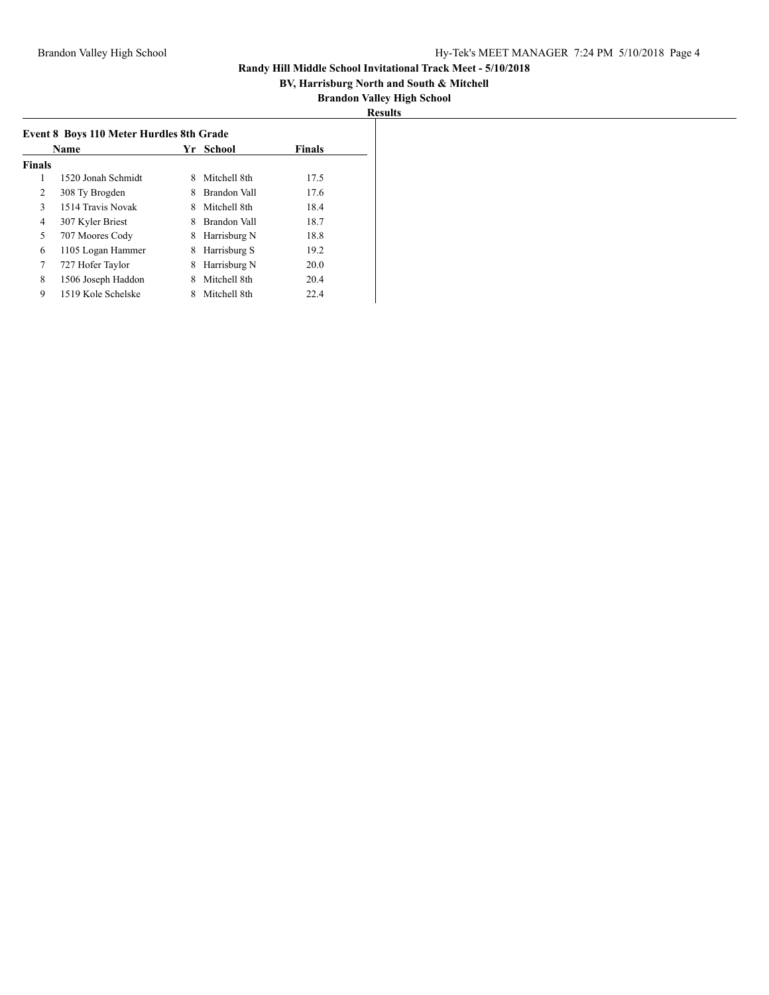## **BV, Harrisburg North and South & Mitchell**

| 'esults<br>ĸ |
|--------------|
|--------------|

|               | Event 8 Boys 110 Meter Hurdles 8th Grade |    |              |               |  |
|---------------|------------------------------------------|----|--------------|---------------|--|
|               | <b>Name</b>                              | Yr | School       | <b>Finals</b> |  |
| <b>Finals</b> |                                          |    |              |               |  |
| 1             | 1520 Jonah Schmidt                       | 8  | Mitchell 8th | 17.5          |  |
| 2             | 308 Ty Brogden                           | 8  | Brandon Vall | 17.6          |  |
| 3             | 1514 Travis Novak                        | 8  | Mitchell 8th | 18.4          |  |
| 4             | 307 Kyler Briest                         | 8  | Brandon Vall | 18.7          |  |
| 5             | 707 Moores Cody                          | 8  | Harrisburg N | 18.8          |  |
| 6             | 1105 Logan Hammer                        | 8  | Harrisburg S | 19.2          |  |
| 7             | 727 Hofer Taylor                         | 8  | Harrisburg N | 20.0          |  |
| 8             | 1506 Joseph Haddon                       | 8  | Mitchell 8th | 20.4          |  |
| 9             | 1519 Kole Schelske                       |    | Mitchell 8th | 22.4          |  |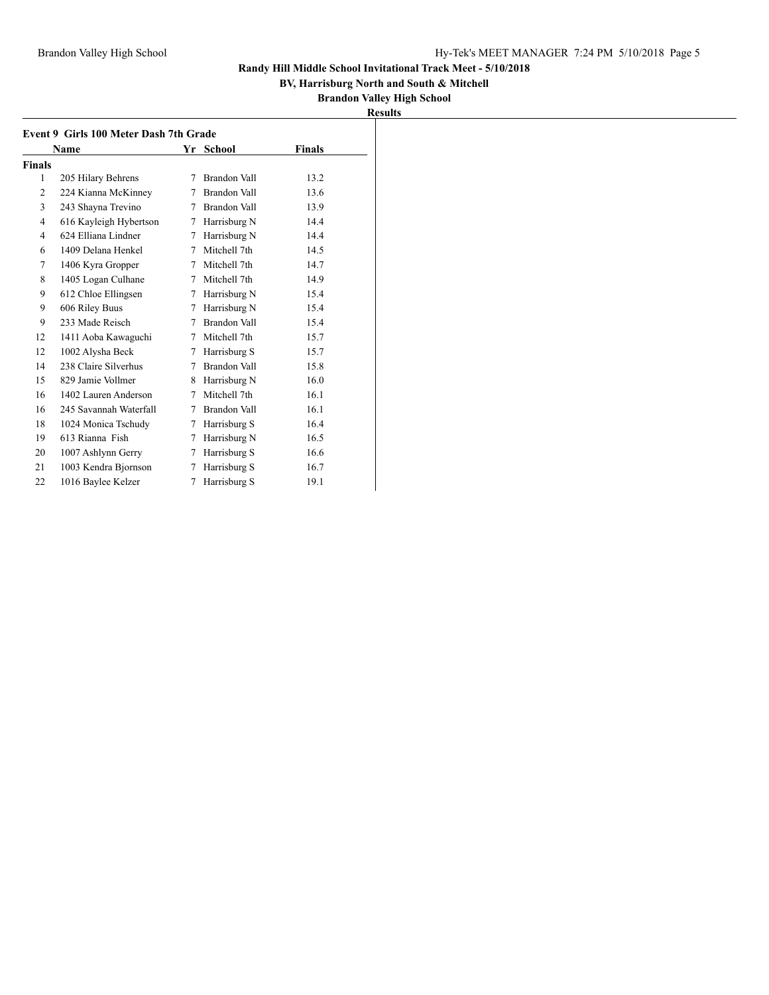**and South & Mitchell** 

# **High School**

|               |                                        |   |              | <b>BV, Harrisburg North and</b><br><b>Brandon Valley Hi</b><br><b>Results</b> |
|---------------|----------------------------------------|---|--------------|-------------------------------------------------------------------------------|
|               | Event 9 Girls 100 Meter Dash 7th Grade |   |              |                                                                               |
|               | <b>Name</b>                            |   | Yr School    | <b>Finals</b>                                                                 |
| <b>Finals</b> |                                        |   |              |                                                                               |
| 1             | 205 Hilary Behrens                     | 7 | Brandon Vall | 13.2                                                                          |
| 2             | 224 Kianna McKinney                    | 7 | Brandon Vall | 13.6                                                                          |
| 3             | 243 Shayna Trevino                     | 7 | Brandon Vall | 13.9                                                                          |
| 4             | 616 Kayleigh Hybertson                 | 7 | Harrisburg N | 14.4                                                                          |
| 4             | 624 Elliana Lindner                    | 7 | Harrisburg N | 14.4                                                                          |
| 6             | 1409 Delana Henkel                     | 7 | Mitchell 7th | 14.5                                                                          |
| $\tau$        | 1406 Kyra Gropper                      | 7 | Mitchell 7th | 14.7                                                                          |
| 8             | 1405 Logan Culhane                     | 7 | Mitchell 7th | 14.9                                                                          |
| 9             | 612 Chloe Ellingsen                    | 7 | Harrisburg N | 15.4                                                                          |
| 9             | 606 Riley Buus                         | 7 | Harrisburg N | 15.4                                                                          |
| 9             | 233 Made Reisch                        | 7 | Brandon Vall | 15.4                                                                          |
| 12            | 1411 Aoba Kawaguchi                    | 7 | Mitchell 7th | 15.7                                                                          |
| 12            | 1002 Alysha Beck                       | 7 | Harrisburg S | 15.7                                                                          |
| 14            | 238 Claire Silverhus                   | 7 | Brandon Vall | 15.8                                                                          |
| 15            | 829 Jamie Vollmer                      | 8 | Harrisburg N | 16.0                                                                          |
| 16            | 1402 Lauren Anderson                   | 7 | Mitchell 7th | 16.1                                                                          |
| 16            | 245 Savannah Waterfall                 |   | Brandon Vall | 16.1                                                                          |
| 18            | 1024 Monica Tschudy                    | 7 | Harrisburg S | 16.4                                                                          |
| 19            | 613 Rianna Fish                        | 7 | Harrisburg N | 16.5                                                                          |
| 20            | 1007 Ashlynn Gerry                     | 7 | Harrisburg S | 16.6                                                                          |
| 21            | 1003 Kendra Bjornson                   | 7 | Harrisburg S | 16.7                                                                          |
| 22            | 1016 Baylee Kelzer                     | 7 | Harrisburg S | 19.1                                                                          |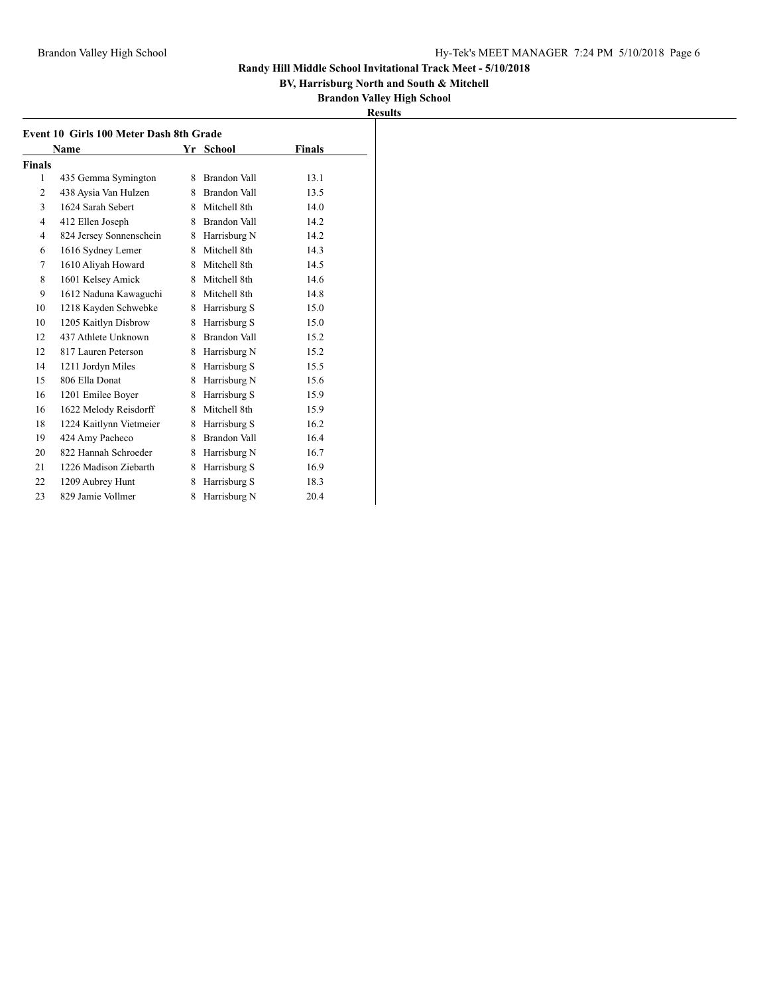**BV, Harrisburg North and South & Mitchell**

| n<br>ш<br>n<br>۰.<br>÷. |  |
|-------------------------|--|
|                         |  |

|               | Event 10 Girls 100 Meter Dash 8th Grade |    |                     |        |
|---------------|-----------------------------------------|----|---------------------|--------|
|               | Name                                    |    | Yr School           | Finals |
| <b>Finals</b> |                                         |    |                     |        |
| 1             | 435 Gemma Symington                     | 8  | Brandon Vall        | 13.1   |
| 2             | 438 Aysia Van Hulzen                    | 8. | Brandon Vall        | 13.5   |
| 3             | 1624 Sarah Sebert                       | 8. | Mitchell 8th        | 14.0   |
| 4             | 412 Ellen Joseph                        | 8  | Brandon Vall        | 14.2   |
| 4             | 824 Jersey Sonnenschein                 | 8  | Harrisburg N        | 14.2   |
| 6             | 1616 Sydney Lemer                       | 8  | Mitchell 8th        | 14.3   |
| 7             | 1610 Aliyah Howard                      | 8  | Mitchell 8th        | 14.5   |
| 8             | 1601 Kelsey Amick                       | 8  | Mitchell 8th        | 14.6   |
| 9             | 1612 Naduna Kawaguchi                   | 8  | Mitchell 8th        | 14.8   |
| 10            | 1218 Kayden Schwebke                    | 8  | Harrisburg S        | 15.0   |
| 10            | 1205 Kaitlyn Disbrow                    | 8  | Harrisburg S        | 15.0   |
| 12            | 437 Athlete Unknown                     | 8  | <b>Brandon Vall</b> | 15.2   |
| 12            | 817 Lauren Peterson                     | 8  | Harrisburg N        | 15.2   |
| 14            | 1211 Jordyn Miles                       | 8  | Harrisburg S        | 15.5   |
| 15            | 806 Ella Donat                          | 8  | Harrisburg N        | 15.6   |
| 16            | 1201 Emilee Boyer                       | 8  | Harrisburg S        | 15.9   |
| 16            | 1622 Melody Reisdorff                   | 8  | Mitchell 8th        | 15.9   |
| 18            | 1224 Kaitlynn Vietmeier                 | 8  | Harrisburg S        | 16.2   |
| 19            | 424 Amy Pacheco                         | 8  | <b>Brandon Vall</b> | 16.4   |
| 20            | 822 Hannah Schroeder                    | 8  | Harrisburg N        | 16.7   |
| 21            | 1226 Madison Ziebarth                   | 8  | Harrisburg S        | 16.9   |
| 22            | 1209 Aubrey Hunt                        | 8  | Harrisburg S        | 18.3   |
| 23            | 829 Jamie Vollmer                       | 8  | Harrisburg N        | 20.4   |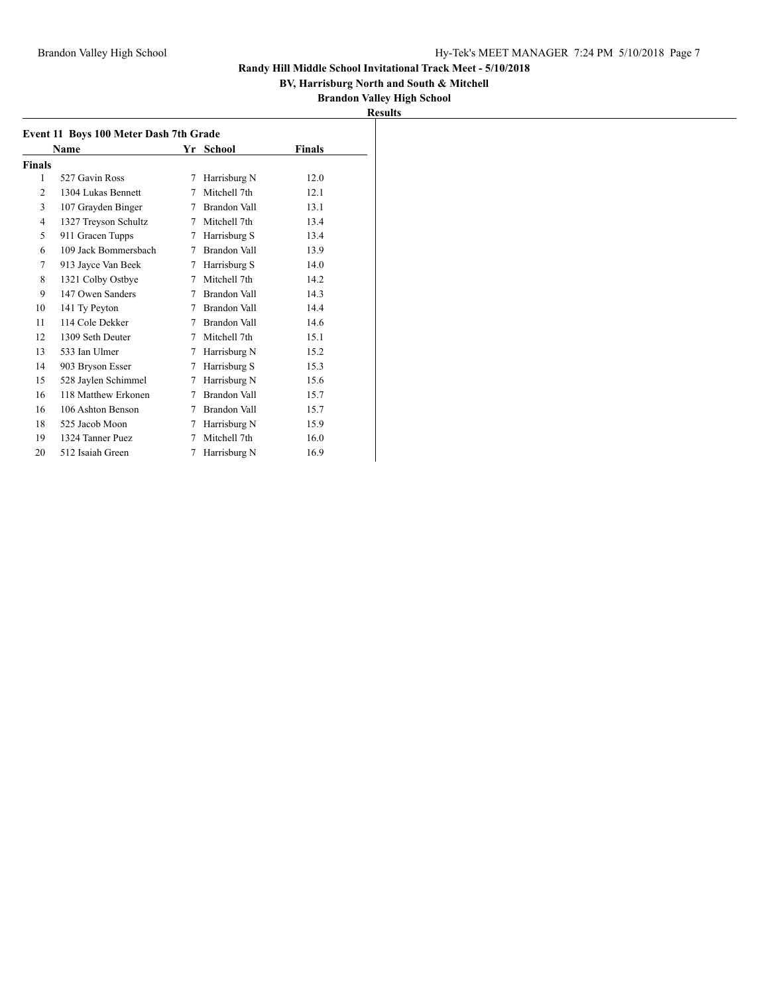## **BV, Harrisburg North and South & Mitchell**

| <b>Results</b> |  |
|----------------|--|

|                | Name                 |   | Yr School           | Finals |
|----------------|----------------------|---|---------------------|--------|
| <b>Finals</b>  |                      |   |                     |        |
| 1              | 527 Gavin Ross       | 7 | Harrisburg N        | 12.0   |
| $\overline{c}$ | 1304 Lukas Bennett   | 7 | Mitchell 7th        | 12.1   |
| 3              | 107 Grayden Binger   | 7 | <b>Brandon Vall</b> | 13.1   |
| 4              | 1327 Treyson Schultz | 7 | Mitchell 7th        | 13.4   |
| 5              | 911 Gracen Tupps     | 7 | Harrisburg S        | 13.4   |
| 6              | 109 Jack Bommersbach | 7 | Brandon Vall        | 13.9   |
| 7              | 913 Jayce Van Beek   | 7 | Harrisburg S        | 14.0   |
| 8              | 1321 Colby Ostbye    | 7 | Mitchell 7th        | 14.2   |
| 9              | 147 Owen Sanders     | 7 | Brandon Vall        | 14.3   |
| 10             | 141 Ty Peyton        | 7 | Brandon Vall        | 14.4   |
| 11             | 114 Cole Dekker      | 7 | Brandon Vall        | 14.6   |
| 12             | 1309 Seth Deuter     | 7 | Mitchell 7th        | 15.1   |
| 13             | 533 Ian Ulmer        | 7 | Harrisburg N        | 15.2   |
| 14             | 903 Bryson Esser     | 7 | Harrisburg S        | 15.3   |
| 15             | 528 Jaylen Schimmel  | 7 | Harrisburg N        | 15.6   |
| 16             | 118 Matthew Erkonen  | 7 | Brandon Vall        | 15.7   |
| 16             | 106 Ashton Benson    | 7 | <b>Brandon Vall</b> | 15.7   |
| 18             | 525 Jacob Moon       | 7 | Harrisburg N        | 15.9   |
| 19             | 1324 Tanner Puez     | 7 | Mitchell 7th        | 16.0   |
| 20             | 512 Isaiah Green     | 7 | Harrisburg N        | 16.9   |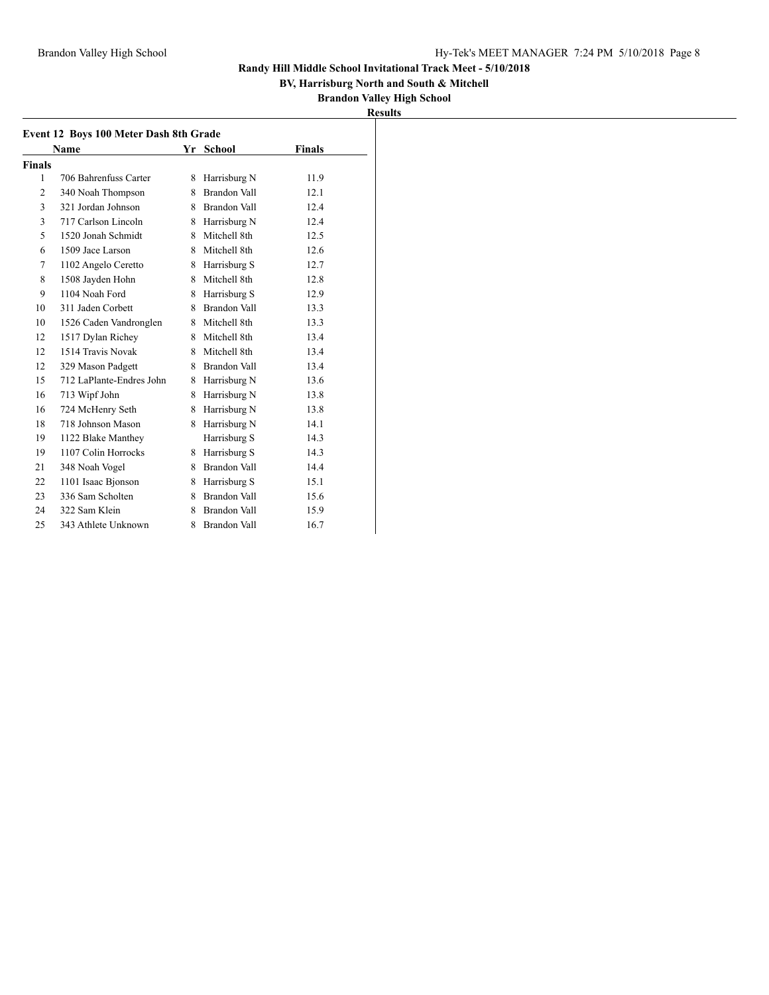**BV, Harrisburg North and South & Mitchell**

| 11 I<br>PS. |  |
|-------------|--|
|             |  |

|               | Event 12 Boys 100 Meter Dash 8th Grade |    |                     |               |
|---------------|----------------------------------------|----|---------------------|---------------|
|               | Name                                   |    | Yr School           | <b>Finals</b> |
| <b>Finals</b> |                                        |    |                     |               |
| 1             | 706 Bahrenfuss Carter                  | 8. | Harrisburg N        | 11.9          |
| 2             | 340 Noah Thompson                      | 8. | Brandon Vall        | 12.1          |
| 3             | 321 Jordan Johnson                     | 8  | Brandon Vall        | 12.4          |
| 3             | 717 Carlson Lincoln                    | 8  | Harrisburg N        | 12.4          |
| 5             | 1520 Jonah Schmidt                     | 8  | Mitchell 8th        | 12.5          |
| 6             | 1509 Jace Larson                       | 8  | Mitchell 8th        | 12.6          |
| 7             | 1102 Angelo Ceretto                    | 8  | Harrisburg S        | 12.7          |
| 8             | 1508 Jayden Hohn                       | 8  | Mitchell 8th        | 12.8          |
| 9             | 1104 Noah Ford                         | 8  | Harrisburg S        | 12.9          |
| 10            | 311 Jaden Corbett                      | 8  | <b>Brandon Vall</b> | 13.3          |
| 10            | 1526 Caden Vandronglen                 | 8  | Mitchell 8th        | 13.3          |
| 12            | 1517 Dylan Richey                      | 8. | Mitchell 8th        | 13.4          |
| 12            | 1514 Travis Novak                      | 8  | Mitchell 8th        | 13.4          |
| 12            | 329 Mason Padgett                      | 8. | <b>Brandon Vall</b> | 13.4          |
| 15            | 712 LaPlante-Endres John               | 8  | Harrisburg N        | 13.6          |
| 16            | 713 Wipf John                          | 8  | Harrisburg N        | 13.8          |
| 16            | 724 McHenry Seth                       | 8  | Harrisburg N        | 13.8          |
| 18            | 718 Johnson Mason                      | 8  | Harrisburg N        | 14.1          |
| 19            | 1122 Blake Manthey                     |    | Harrisburg S        | 14.3          |
| 19            | 1107 Colin Horrocks                    | 8  | Harrisburg S        | 14.3          |
| 21            | 348 Noah Vogel                         | 8. | Brandon Vall        | 14.4          |
| 22            | 1101 Isaac Bjonson                     | 8  | Harrisburg S        | 15.1          |
| 23            | 336 Sam Scholten                       | 8. | Brandon Vall        | 15.6          |
| 24            | 322 Sam Klein                          | 8  | Brandon Vall        | 15.9          |
| 25            | 343 Athlete Unknown                    | 8  | <b>Brandon Vall</b> | 16.7          |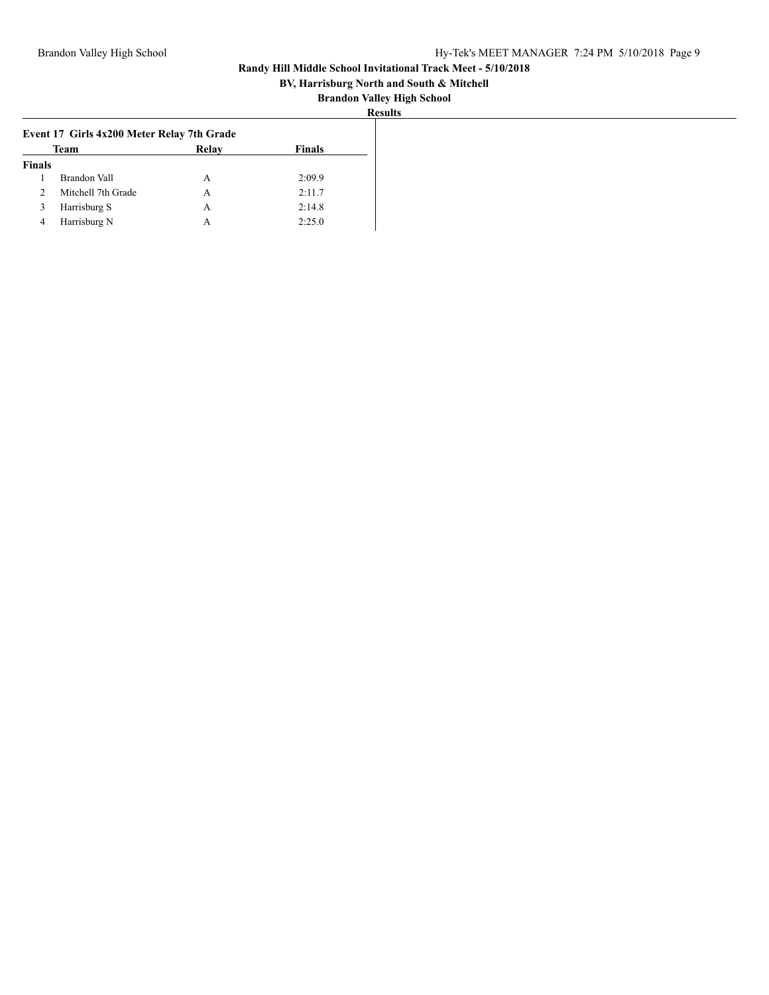## **BV, Harrisburg North and South & Mitchell**

| ۰<br>н |  |
|--------|--|
|        |  |

|               | Event 17 Girls 4x200 Meter Relay 7th Grade |       |               |
|---------------|--------------------------------------------|-------|---------------|
|               | <b>Team</b>                                | Relay | <b>Finals</b> |
| <b>Finals</b> |                                            |       |               |
|               | <b>Brandon Vall</b>                        | A     | 2:09.9        |
|               | Mitchell 7th Grade                         | А     | 2:11.7        |
| $\Delta$      | Harrisburg S                               | A     | 2:14.8        |
| 4             | Harrisburg N                               | А     | 2:25.0        |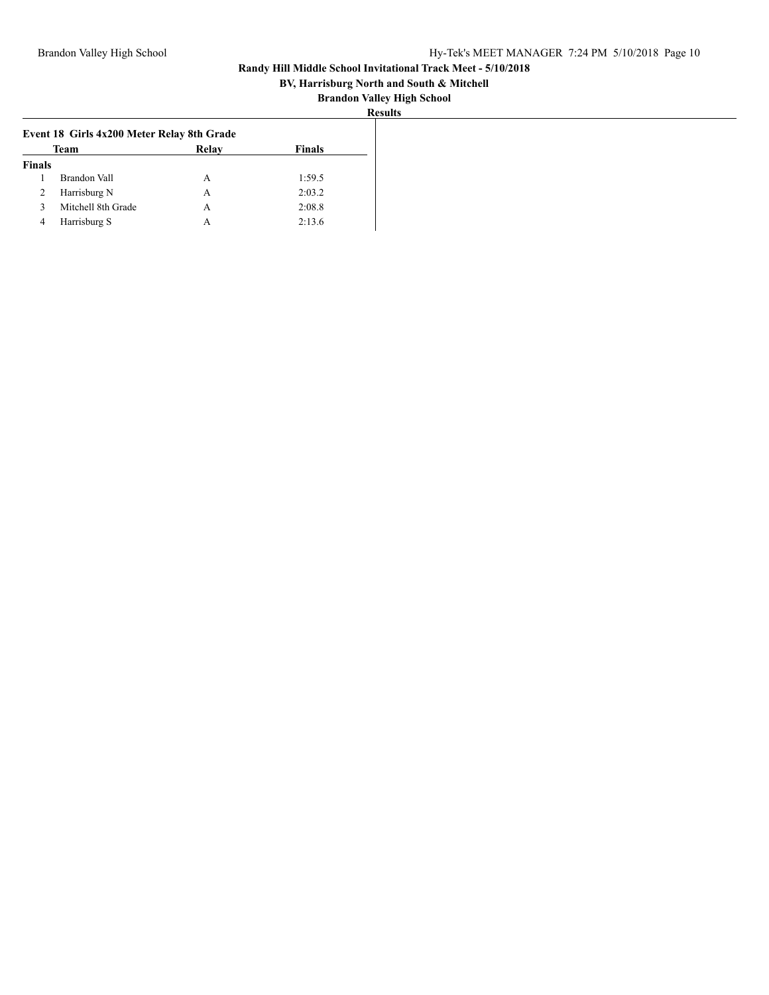## **BV, Harrisburg North and South & Mitchell**

|--|

|               | Event 18 Girls 4x200 Meter Relay 8th Grade |       |        |
|---------------|--------------------------------------------|-------|--------|
|               | <b>Team</b>                                | Relay | Finals |
| <b>Finals</b> |                                            |       |        |
|               | Brandon Vall                               | A     | 1:59.5 |
| ∠             | Harrisburg N                               | А     | 2:03.2 |
|               | Mitchell 8th Grade                         | А     | 2:08.8 |
| 4             | Harrisburg S                               | А     | 2:13.6 |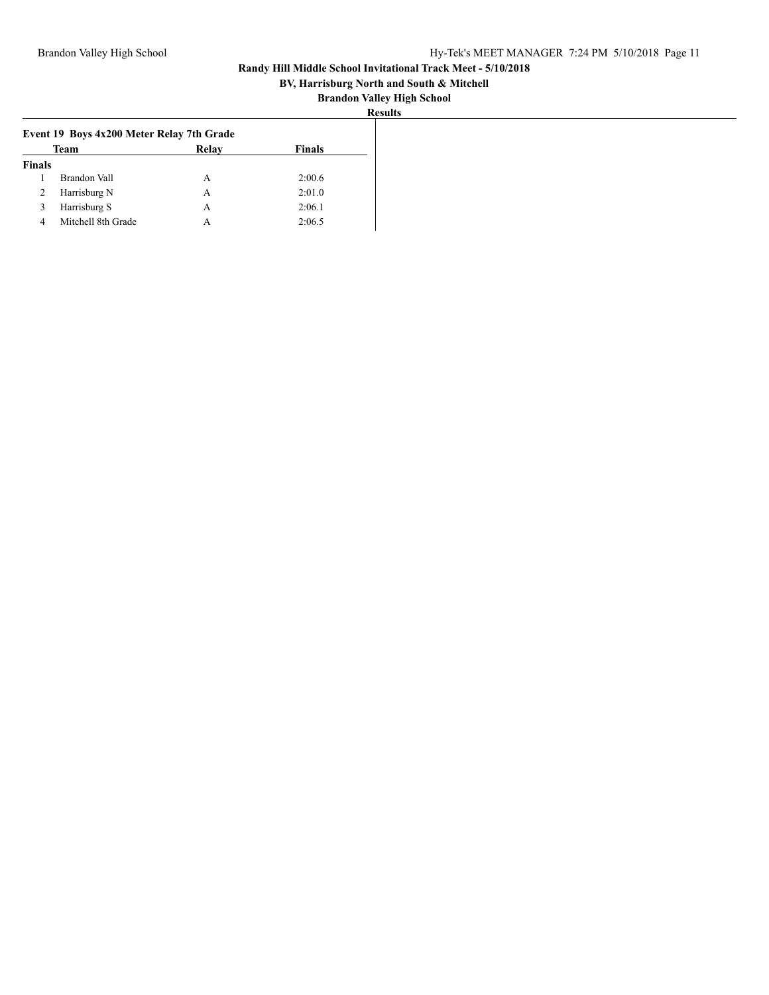## **BV, Harrisburg North and South & Mitchell**

|               | Event 19 Boys 4x200 Meter Relay 7th Grade |              |               |
|---------------|-------------------------------------------|--------------|---------------|
|               | Team                                      | <b>Relay</b> | <b>Finals</b> |
| <b>Finals</b> |                                           |              |               |
|               | Brandon Vall                              | A            | 2:00.6        |
| ∠             | Harrisburg N                              | А            | 2:01.0        |
|               | Harrisburg S                              | А            | 2:06.1        |
|               | Mitchell 8th Grade                        | А            | 2:06.5        |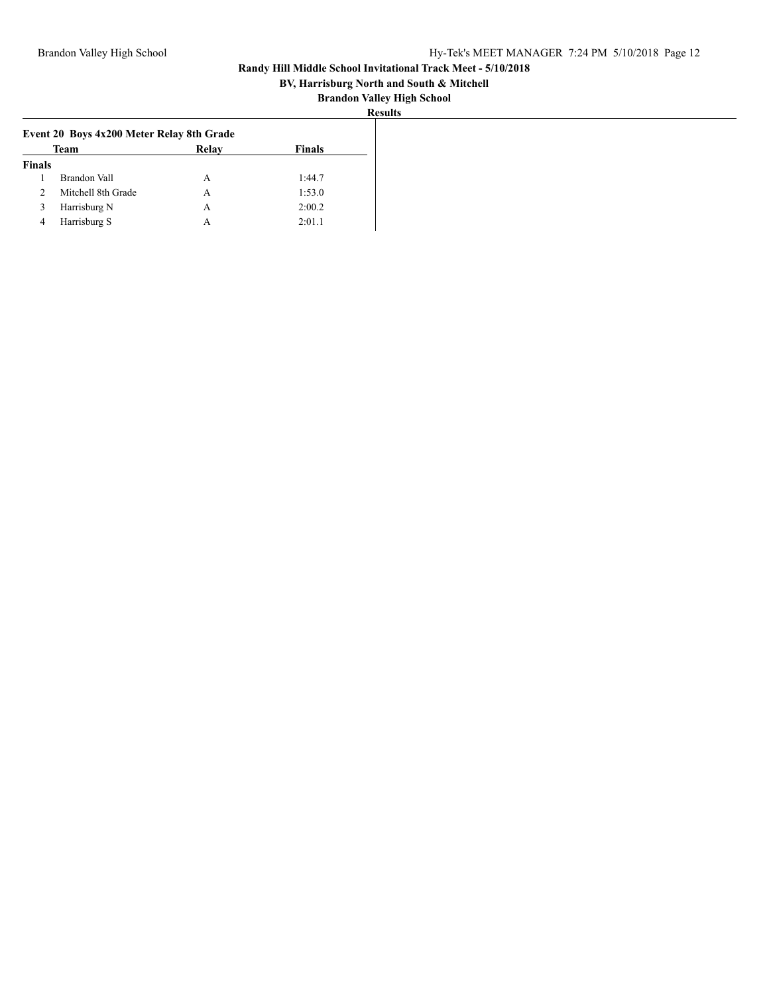## **BV, Harrisburg North and South & Mitchell**

| `Sults |
|--------|
|--------|

|               | Event 20 Boys 4x200 Meter Relay 8th Grade |              |        |
|---------------|-------------------------------------------|--------------|--------|
|               | Team                                      | <b>Relay</b> | Finals |
| <b>Finals</b> |                                           |              |        |
|               | <b>Brandon Vall</b>                       | A            | 1:44.7 |
|               | Mitchell 8th Grade                        | А            | 1:53.0 |
|               | Harrisburg N                              | А            | 2:00.2 |
| 4             | Harrisburg S                              | A            | 2:01.1 |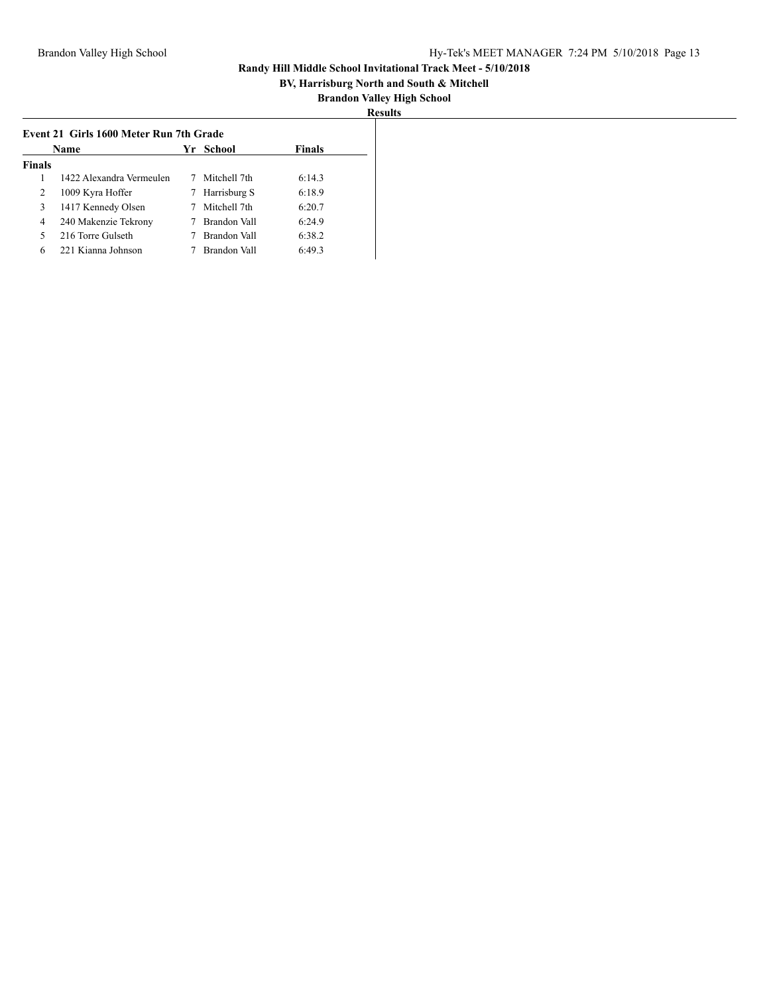## **BV, Harrisburg North and South & Mitchell**

| <b>Results</b> |  |
|----------------|--|

|               | Name                     |   | Yr School    | <b>Finals</b> |
|---------------|--------------------------|---|--------------|---------------|
| <b>Finals</b> |                          |   |              |               |
|               | 1422 Alexandra Vermeulen | 7 | Mitchell 7th | 6:14.3        |
| 2             | 1009 Kyra Hoffer         | 7 | Harrisburg S | 6:18.9        |
| 3             | 1417 Kennedy Olsen       |   | Mitchell 7th | 6:20.7        |
| 4             | 240 Makenzie Tekrony     |   | Brandon Vall | 6:24.9        |
| 5             | 216 Torre Gulseth        |   | Brandon Vall | 6:38.2        |
| 6             | 221 Kianna Johnson       |   | Brandon Vall | 6:49.3        |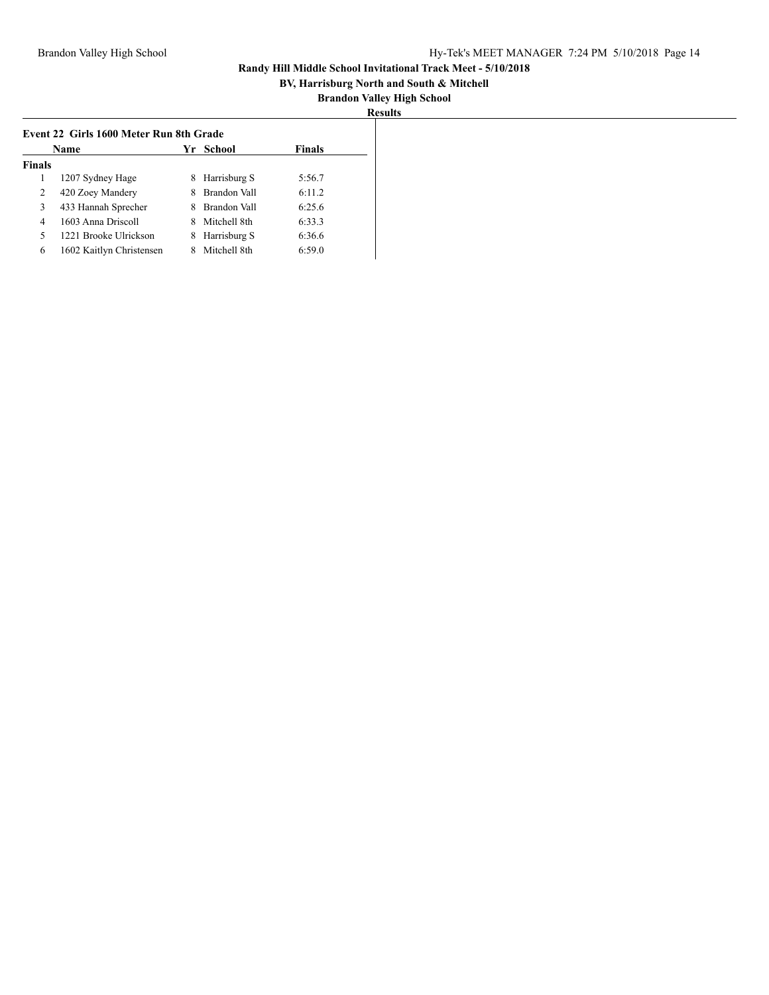## **BV, Harrisburg North and South & Mitchell**

|               | <b>Name</b>              |    | Yr School    | <b>Finals</b> |
|---------------|--------------------------|----|--------------|---------------|
| <b>Finals</b> |                          |    |              |               |
|               | 1207 Sydney Hage         | 8. | Harrisburg S | 5:56.7        |
| 2             | 420 Zoey Mandery         | 8  | Brandon Vall | 6:11.2        |
| 3             | 433 Hannah Sprecher      | 8. | Brandon Vall | 6:25.6        |
| 4             | 1603 Anna Driscoll       | 8. | Mitchell 8th | 6:33.3        |
|               | 1221 Brooke Ulrickson    | 8. | Harrisburg S | 6:36.6        |
| 6             | 1602 Kaitlyn Christensen |    | Mitchell 8th | 6:59.0        |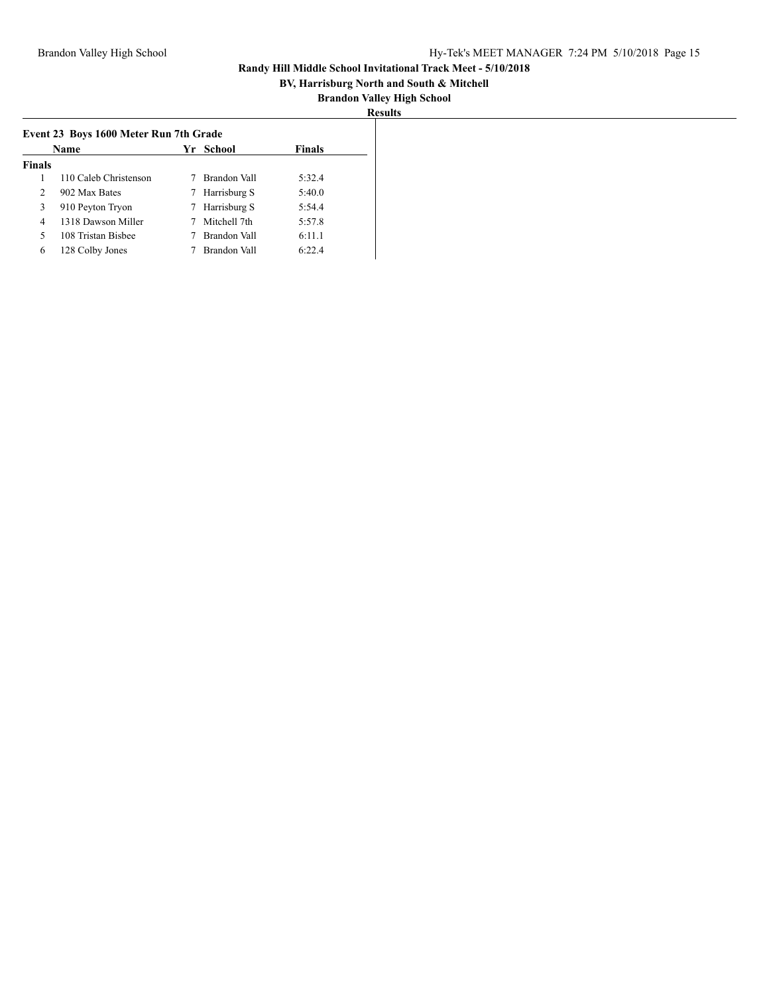## **BV, Harrisburg North and South & Mitchell**

|               | <b>Name</b>           |   | Yr School    | <b>Finals</b> |
|---------------|-----------------------|---|--------------|---------------|
| <b>Finals</b> |                       |   |              |               |
|               | 110 Caleb Christenson |   | Brandon Vall | 5:32.4        |
| $\mathcal{L}$ | 902 Max Bates         | 7 | Harrisburg S | 5:40.0        |
| 3             | 910 Peyton Tryon      |   | Harrisburg S | 5:54.4        |
| 4             | 1318 Dawson Miller    |   | Mitchell 7th | 5:57.8        |
| 5             | 108 Tristan Bisbee    |   | Brandon Vall | 6:11.1        |
| 6             | 128 Colby Jones       |   | Brandon Vall | 6:22.4        |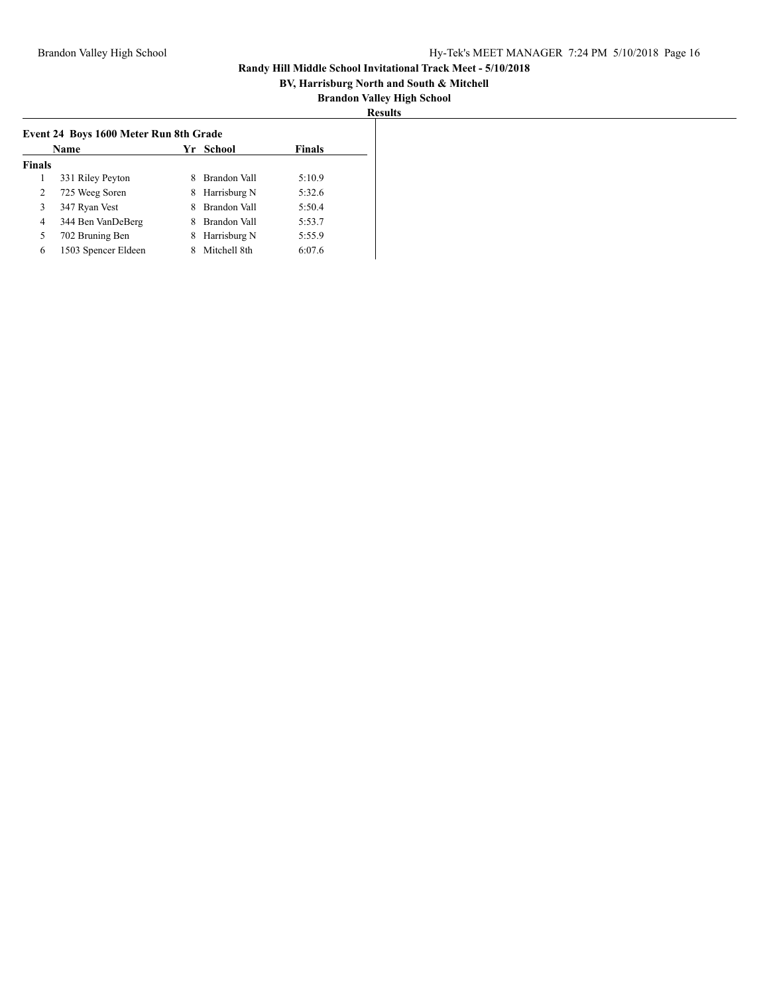## **BV, Harrisburg North and South & Mitchell**

|               | <b>Name</b>         |   | Yr School    | <b>Finals</b> |
|---------------|---------------------|---|--------------|---------------|
| <b>Finals</b> |                     |   |              |               |
|               | 331 Riley Peyton    | 8 | Brandon Vall | 5:10.9        |
| 2             | 725 Weeg Soren      | 8 | Harrisburg N | 5:32.6        |
| 3             | 347 Ryan Vest       | 8 | Brandon Vall | 5:50.4        |
| 4             | 344 Ben VanDeBerg   | 8 | Brandon Vall | 5:53.7        |
| 5             | 702 Bruning Ben     | 8 | Harrisburg N | 5:55.9        |
| 6             | 1503 Spencer Eldeen | 8 | Mitchell 8th | 6:07.6        |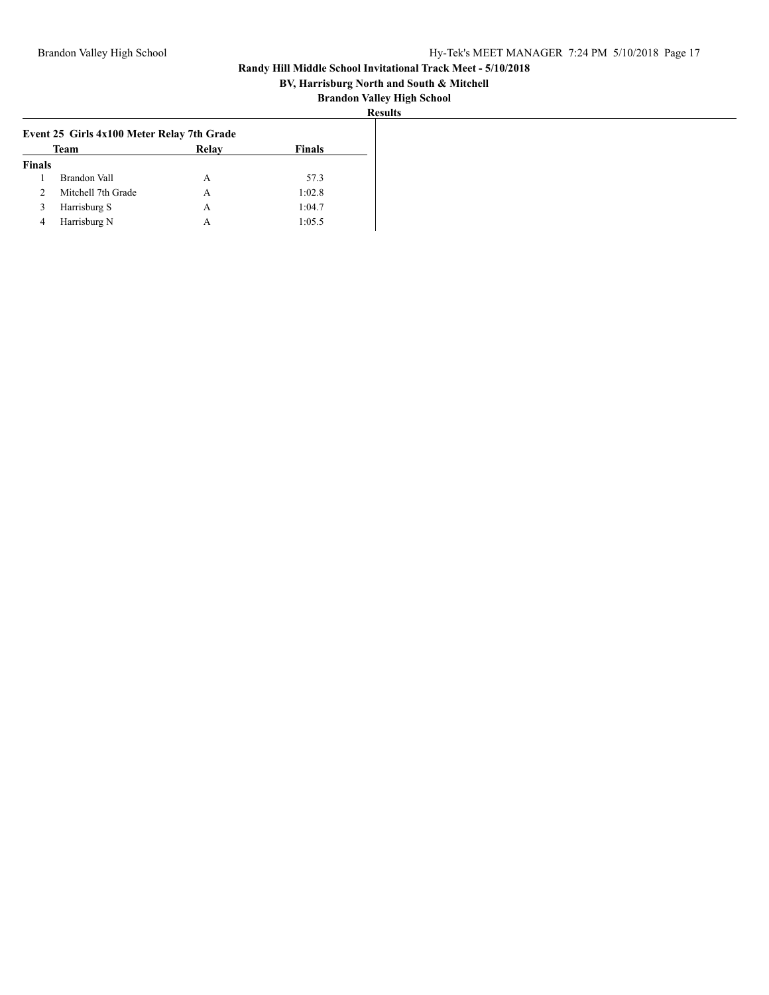## **BV, Harrisburg North and South & Mitchell**

|--|

|               | Event 25 Girls 4x100 Meter Relay 7th Grade |              |               |
|---------------|--------------------------------------------|--------------|---------------|
|               | Team                                       | <b>Relay</b> | <b>Finals</b> |
| <b>Finals</b> |                                            |              |               |
|               | Brandon Vall                               | A            | 57.3          |
|               | Mitchell 7th Grade                         | А            | 1:02.8        |
|               | Harrisburg S                               | А            | 1:04.7        |
| 4             | Harrisburg N                               | А            | 1:05.5        |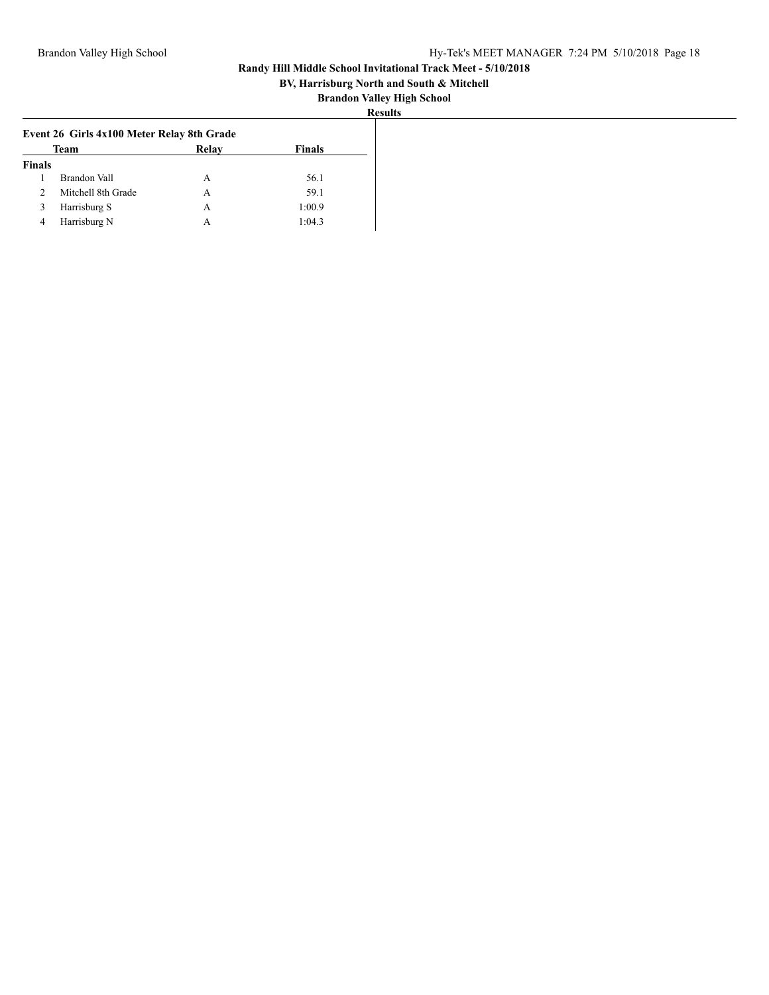## **BV, Harrisburg North and South & Mitchell**

| ≺esults |
|---------|
|---------|

|               | Event 26 Girls 4x100 Meter Relay 8th Grade |       |               |
|---------------|--------------------------------------------|-------|---------------|
|               | <b>Team</b>                                | Relay | <b>Finals</b> |
| <b>Finals</b> |                                            |       |               |
|               | Brandon Vall                               | A     | 56.1          |
|               | Mitchell 8th Grade                         | А     | 59.1          |
|               | Harrisburg S                               | А     | 1:00.9        |
| 4             | Harrisburg N                               | A     | 1:04.3        |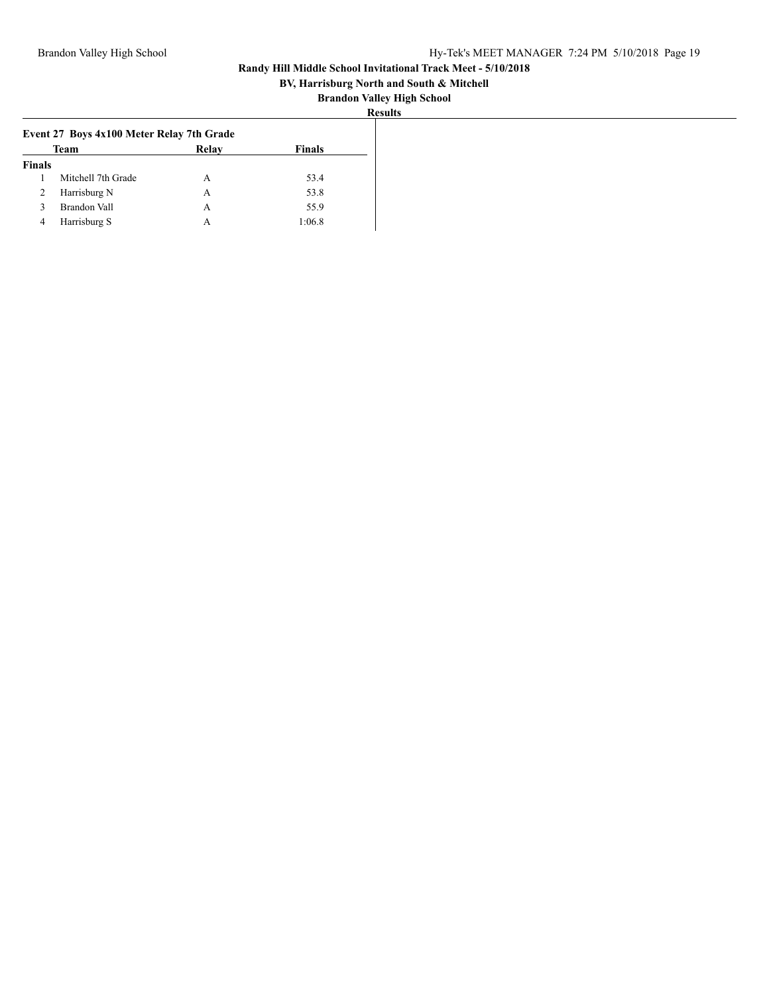## **BV, Harrisburg North and South & Mitchell**

|--|

|               | Event 27 Boys 4x100 Meter Relay 7th Grade |       |               |
|---------------|-------------------------------------------|-------|---------------|
|               | <b>Team</b>                               | Relay | <b>Finals</b> |
| <b>Finals</b> |                                           |       |               |
|               | Mitchell 7th Grade                        | А     | 53.4          |
| ∠             | Harrisburg N                              | А     | 53.8          |
|               | Brandon Vall                              | А     | 55.9          |
| 4             | Harrisburg S                              | А     | 1:06.8        |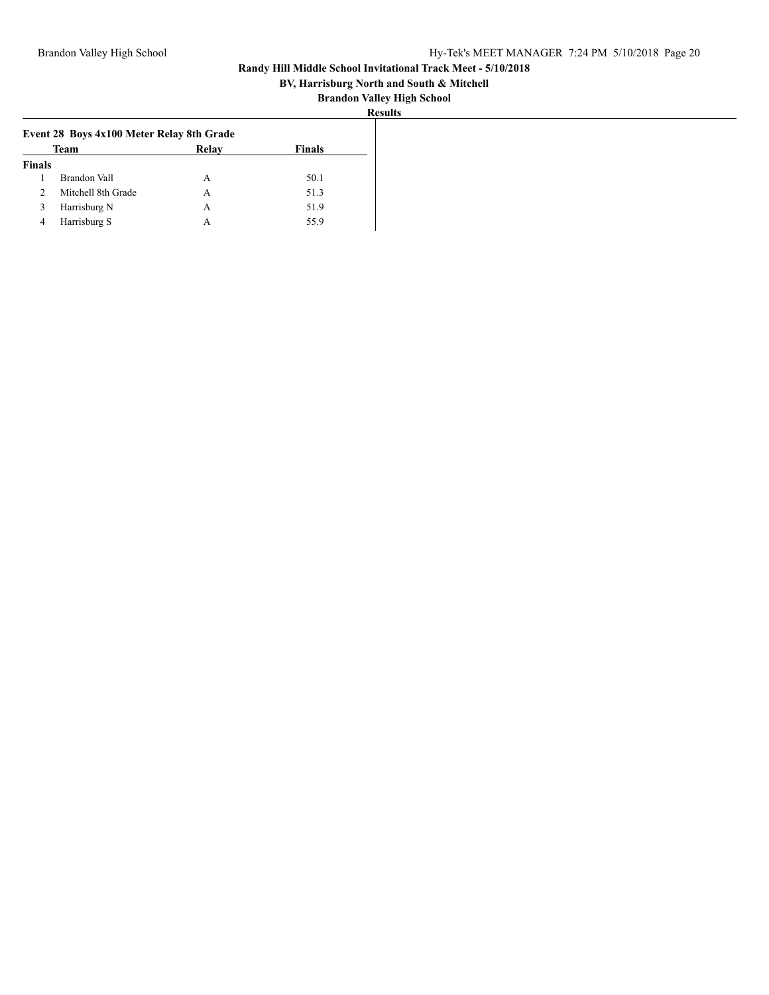## **BV, Harrisburg North and South & Mitchell**

| :S11 11 |
|---------|
|---------|

|               | Event 28 Boys 4x100 Meter Relay 8th Grade |       |               |
|---------------|-------------------------------------------|-------|---------------|
|               | Team                                      | Relay | <b>Finals</b> |
| <b>Finals</b> |                                           |       |               |
|               | Brandon Vall                              | А     | 50.1          |
|               | Mitchell 8th Grade                        | А     | 51.3          |
| 3             | Harrisburg N                              | A     | 51.9          |
|               | Harrisburg S                              | А     | 55.9          |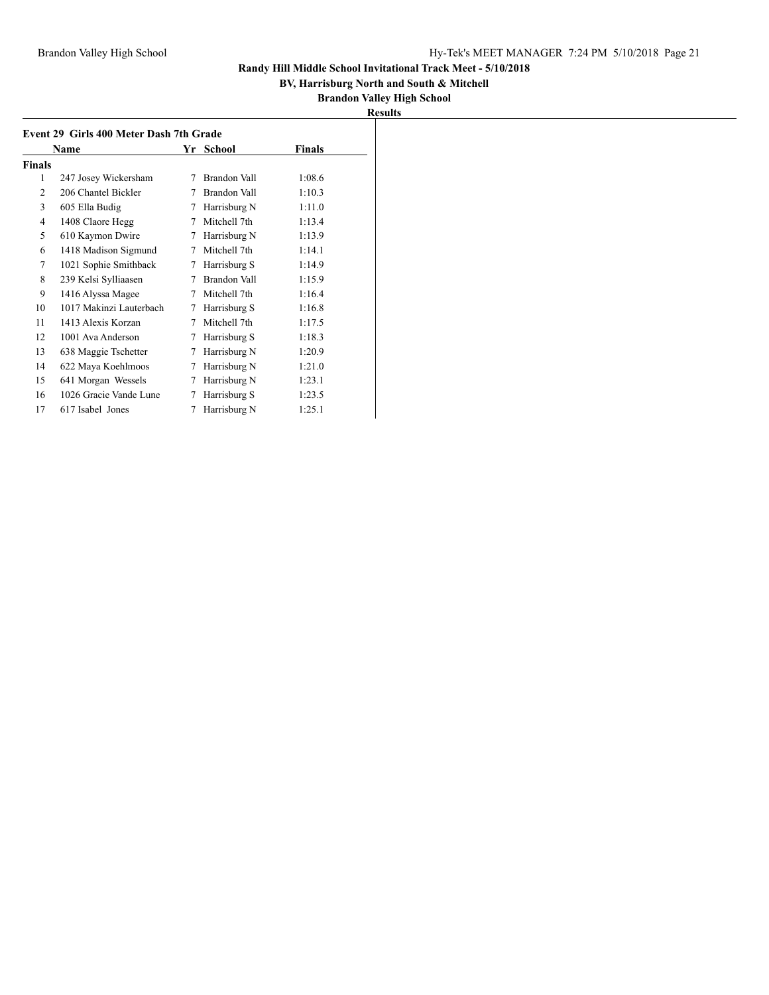## **BV, Harrisburg North and South & Mitchell**

|                | Name                    |   | Yr School    | <b>Finals</b> |
|----------------|-------------------------|---|--------------|---------------|
| <b>Finals</b>  |                         |   |              |               |
| 1              | 247 Josey Wickersham    | 7 | Brandon Vall | 1:08.6        |
| $\overline{2}$ | 206 Chantel Bickler     | 7 | Brandon Vall | 1:10.3        |
| 3              | 605 Ella Budig          | 7 | Harrisburg N | 1:11.0        |
| 4              | 1408 Claore Hegg        | 7 | Mitchell 7th | 1:13.4        |
| 5              | 610 Kaymon Dwire        | 7 | Harrisburg N | 1:13.9        |
| 6              | 1418 Madison Sigmund    | 7 | Mitchell 7th | 1:14.1        |
| 7              | 1021 Sophie Smithback   | 7 | Harrisburg S | 1:14.9        |
| 8              | 239 Kelsi Sylliaasen    | 7 | Brandon Vall | 1:15.9        |
| 9              | 1416 Alyssa Magee       | 7 | Mitchell 7th | 1:16.4        |
| 10             | 1017 Makinzi Lauterbach | 7 | Harrisburg S | 1:16.8        |
| 11             | 1413 Alexis Korzan      | 7 | Mitchell 7th | 1:17.5        |
| 12             | 1001 Ava Anderson       | 7 | Harrisburg S | 1:18.3        |
| 13             | 638 Maggie Tschetter    | 7 | Harrisburg N | 1:20.9        |
| 14             | 622 Maya Koehlmoos      | 7 | Harrisburg N | 1:21.0        |
| 15             | 641 Morgan Wessels      | 7 | Harrisburg N | 1:23.1        |
| 16             | 1026 Gracie Vande Lune  | 7 | Harrisburg S | 1:23.5        |
| 17             | 617 Isabel Jones        | 7 | Harrisburg N | 1:25.1        |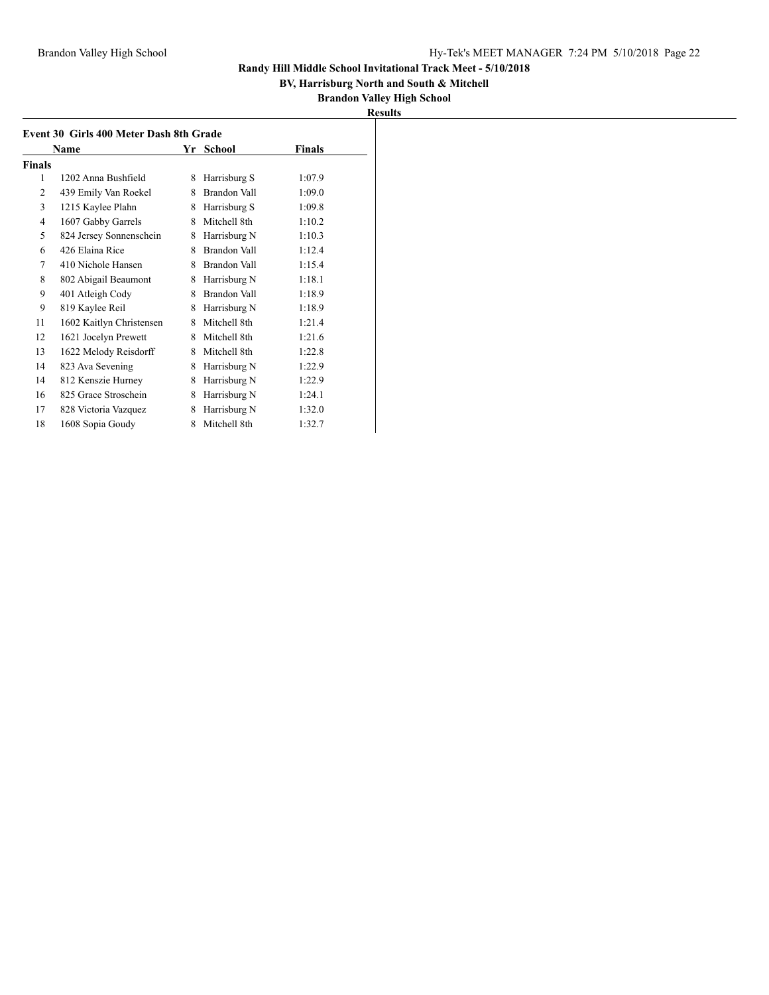## **BV, Harrisburg North and South & Mitchell**

|--|

| Event 30 Girls 400 Meter Dash 8th Grade |                          |   |              |        |  |
|-----------------------------------------|--------------------------|---|--------------|--------|--|
|                                         | Name                     |   | Yr School    | Finals |  |
| Finals                                  |                          |   |              |        |  |
| 1                                       | 1202 Anna Bushfield      | 8 | Harrisburg S | 1:07.9 |  |
| 2                                       | 439 Emily Van Roekel     | 8 | Brandon Vall | 1:09.0 |  |
| 3                                       | 1215 Kaylee Plahn        | 8 | Harrisburg S | 1:09.8 |  |
| $\overline{4}$                          | 1607 Gabby Garrels       | 8 | Mitchell 8th | 1:10.2 |  |
| 5                                       | 824 Jersey Sonnenschein  | 8 | Harrisburg N | 1:10.3 |  |
| 6                                       | 426 Elaina Rice          | 8 | Brandon Vall | 1:12.4 |  |
| 7                                       | 410 Nichole Hansen       | 8 | Brandon Vall | 1:15.4 |  |
| 8                                       | 802 Abigail Beaumont     | 8 | Harrisburg N | 1:18.1 |  |
| 9                                       | 401 Atleigh Cody         | 8 | Brandon Vall | 1:18.9 |  |
| 9                                       | 819 Kaylee Reil          | 8 | Harrisburg N | 1:18.9 |  |
| 11                                      | 1602 Kaitlyn Christensen | 8 | Mitchell 8th | 1:21.4 |  |
| 12                                      | 1621 Jocelyn Prewett     | 8 | Mitchell 8th | 1:21.6 |  |
| 13                                      | 1622 Melody Reisdorff    | 8 | Mitchell 8th | 1:22.8 |  |
| 14                                      | 823 Ava Sevening         | 8 | Harrisburg N | 1:22.9 |  |
| 14                                      | 812 Kenszie Hurney       | 8 | Harrisburg N | 1:22.9 |  |
| 16                                      | 825 Grace Stroschein     | 8 | Harrisburg N | 1:24.1 |  |
| 17                                      | 828 Victoria Vazquez     | 8 | Harrisburg N | 1:32.0 |  |
| 18                                      | 1608 Sopia Goudy         | 8 | Mitchell 8th | 1:32.7 |  |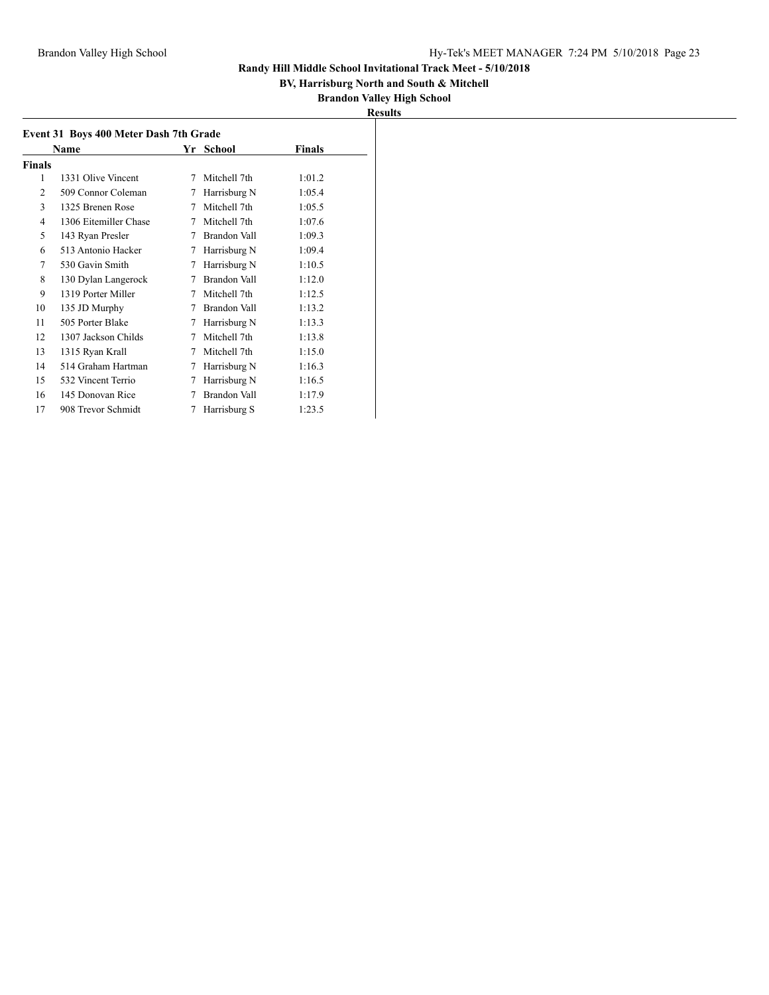## **BV, Harrisburg North and South & Mitchell**

## **Brandon Valley High School <u>esults</u>**

|                | <b>Name</b>           |   | Yr School           | <b>Finals</b> |
|----------------|-----------------------|---|---------------------|---------------|
| <b>Finals</b>  |                       |   |                     |               |
| 1              | 1331 Olive Vincent    | 7 | Mitchell 7th        | 1:01.2        |
| $\mathfrak{D}$ | 509 Connor Coleman    | 7 | Harrisburg N        | 1:05.4        |
| 3              | 1325 Brenen Rose      | 7 | Mitchell 7th        | 1:05.5        |
| 4              | 1306 Eitemiller Chase | 7 | Mitchell 7th        | 1:07.6        |
| 5              | 143 Ryan Presler      | 7 | <b>Brandon Vall</b> | 1:09.3        |
| 6              | 513 Antonio Hacker    | 7 | Harrisburg N        | 1:09.4        |
| 7              | 530 Gavin Smith       | 7 | Harrisburg N        | 1:10.5        |
| 8              | 130 Dylan Langerock   | 7 | Brandon Vall        | 1:12.0        |
| 9              | 1319 Porter Miller    | 7 | Mitchell 7th        | 1:12.5        |
| 10             | 135 JD Murphy         | 7 | Brandon Vall        | 1:13.2        |
| 11             | 505 Porter Blake      | 7 | Harrisburg N        | 1:13.3        |
| 12             | 1307 Jackson Childs   | 7 | Mitchell 7th        | 1:13.8        |
| 13             | 1315 Ryan Krall       | 7 | Mitchell 7th        | 1:15.0        |
| 14             | 514 Graham Hartman    | 7 | Harrisburg N        | 1:16.3        |
| 15             | 532 Vincent Terrio    | 7 | Harrisburg N        | 1:16.5        |
| 16             | 145 Donovan Rice      | 7 | Brandon Vall        | 1:17.9        |
| 17             | 908 Trevor Schmidt    |   | Harrisburg S        | 1:23.5        |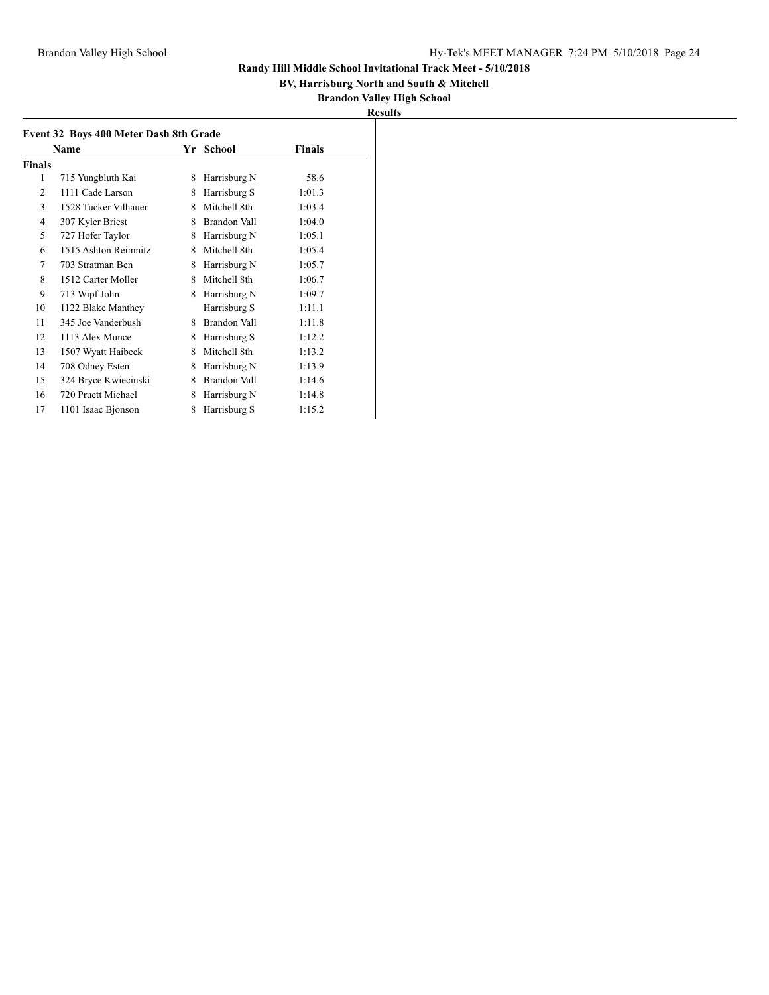## **BV, Harrisburg North and South & Mitchell**

| <b>Results</b> |
|----------------|
|----------------|

| Event 32 Boys 400 Meter Dash 8th Grade |                      |   |                     |               |  |
|----------------------------------------|----------------------|---|---------------------|---------------|--|
|                                        | <b>Name</b>          |   | Yr School           | <b>Finals</b> |  |
| Finals                                 |                      |   |                     |               |  |
| 1                                      | 715 Yungbluth Kai    | 8 | Harrisburg N        | 58.6          |  |
| 2                                      | 1111 Cade Larson     | 8 | Harrisburg S        | 1:01.3        |  |
| 3                                      | 1528 Tucker Vilhauer | 8 | Mitchell 8th        | 1:03.4        |  |
| 4                                      | 307 Kyler Briest     | 8 | <b>Brandon Vall</b> | 1:04.0        |  |
| 5                                      | 727 Hofer Taylor     | 8 | Harrisburg N        | 1:05.1        |  |
| 6                                      | 1515 Ashton Reimnitz | 8 | Mitchell 8th        | 1:05.4        |  |
| 7                                      | 703 Stratman Ben     | 8 | Harrisburg N        | 1:05.7        |  |
| 8                                      | 1512 Carter Moller   | 8 | Mitchell 8th        | 1:06.7        |  |
| 9                                      | 713 Wipf John        | 8 | Harrisburg N        | 1:09.7        |  |
| 10                                     | 1122 Blake Manthey   |   | Harrisburg S        | 1:11.1        |  |
| 11                                     | 345 Joe Vanderbush   | 8 | Brandon Vall        | 1:11.8        |  |
| 12                                     | 1113 Alex Munce      | 8 | Harrisburg S        | 1:12.2        |  |
| 13                                     | 1507 Wyatt Haibeck   | 8 | Mitchell 8th        | 1:13.2        |  |
| 14                                     | 708 Odney Esten      | 8 | Harrisburg N        | 1:13.9        |  |
| 15                                     | 324 Bryce Kwiecinski | 8 | Brandon Vall        | 1:14.6        |  |
| 16                                     | 720 Pruett Michael   | 8 | Harrisburg N        | 1:14.8        |  |
| 17                                     | 1101 Isaac Bjonson   | 8 | Harrisburg S        | 1:15.2        |  |
|                                        |                      |   |                     |               |  |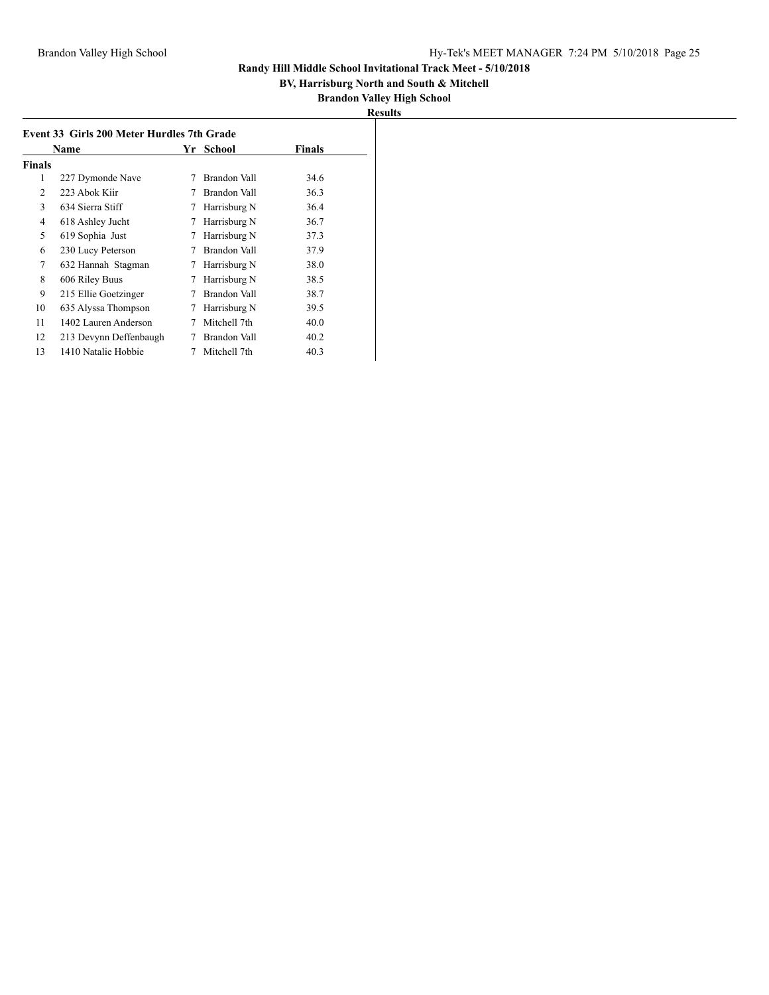## **BV, Harrisburg North and South & Mitchell**

| Results |
|---------|
|---------|

| Event 33 Girls 200 Meter Hurdles 7th Grade |                        |    |                     |        |  |
|--------------------------------------------|------------------------|----|---------------------|--------|--|
|                                            | Name                   | Yr | School              | Finals |  |
| Finals                                     |                        |    |                     |        |  |
| 1                                          | 227 Dymonde Nave       | 7  | Brandon Vall        | 34.6   |  |
| $\overline{2}$                             | 223 Abok Kiir          |    | Brandon Vall        | 36.3   |  |
| 3                                          | 634 Sierra Stiff       | 7  | Harrisburg N        | 36.4   |  |
| 4                                          | 618 Ashley Jucht       | 7  | Harrisburg N        | 36.7   |  |
| 5                                          | 619 Sophia Just        | 7  | Harrisburg N        | 37.3   |  |
| 6                                          | 230 Lucy Peterson      | 7  | Brandon Vall        | 37.9   |  |
| 7                                          | 632 Hannah Stagman     | 7  | Harrisburg N        | 38.0   |  |
| 8                                          | 606 Riley Buus         | 7  | Harrisburg N        | 38.5   |  |
| 9                                          | 215 Ellie Goetzinger   | 7  | Brandon Vall        | 38.7   |  |
| 10                                         | 635 Alyssa Thompson    | 7  | Harrisburg N        | 39.5   |  |
| 11                                         | 1402 Lauren Anderson   |    | Mitchell 7th        | 40.0   |  |
| 12                                         | 213 Devynn Deffenbaugh |    | <b>Brandon Vall</b> | 40.2   |  |
| 13                                         | 1410 Natalie Hobbie    |    | Mitchell 7th        | 40.3   |  |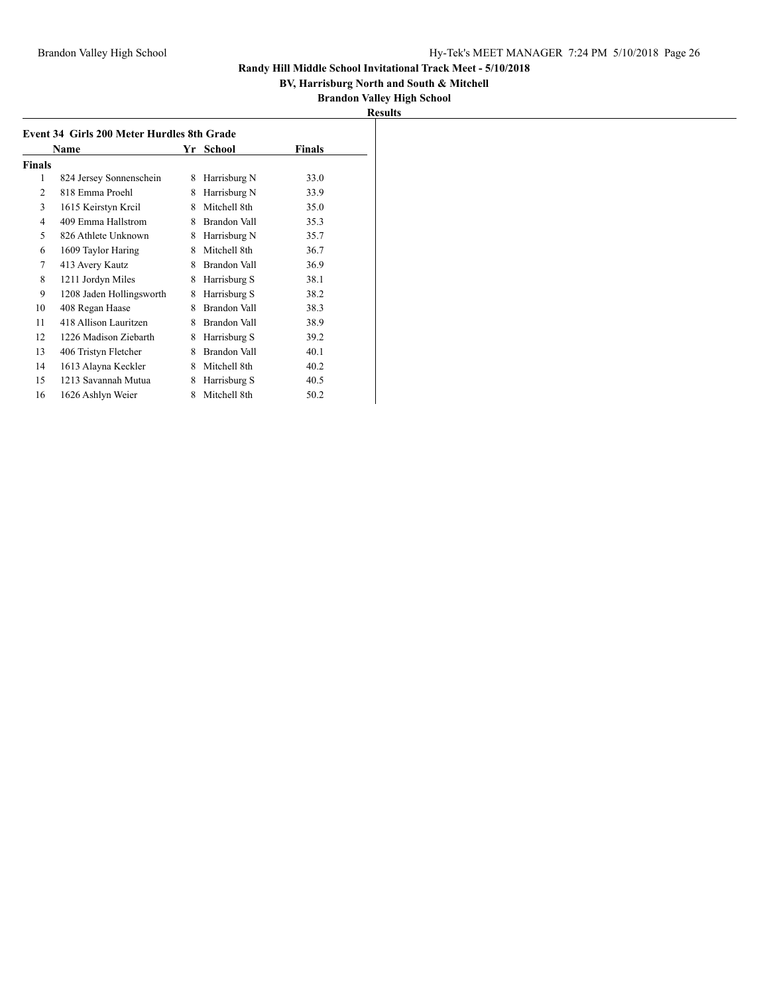## **BV, Harrisburg North and South & Mitchell**

|--|

| Event 34 Girls 200 Meter Hurdles 8th Grade |                          |   |              |        |  |
|--------------------------------------------|--------------------------|---|--------------|--------|--|
|                                            | Name                     |   | Yr School    | Finals |  |
| Finals                                     |                          |   |              |        |  |
| 1                                          | 824 Jersey Sonnenschein  | 8 | Harrisburg N | 33.0   |  |
| 2                                          | 818 Emma Proehl          | 8 | Harrisburg N | 33.9   |  |
| 3                                          | 1615 Keirstyn Kreil      | 8 | Mitchell 8th | 35.0   |  |
| 4                                          | 409 Emma Hallstrom       | 8 | Brandon Vall | 35.3   |  |
| 5                                          | 826 Athlete Unknown      | 8 | Harrisburg N | 35.7   |  |
| 6                                          | 1609 Taylor Haring       | 8 | Mitchell 8th | 36.7   |  |
| 7                                          | 413 Avery Kautz          | 8 | Brandon Vall | 36.9   |  |
| 8                                          | 1211 Jordyn Miles        | 8 | Harrisburg S | 38.1   |  |
| 9                                          | 1208 Jaden Hollingsworth | 8 | Harrisburg S | 38.2   |  |
| 10                                         | 408 Regan Haase          | 8 | Brandon Vall | 38.3   |  |
| 11                                         | 418 Allison Lauritzen    | 8 | Brandon Vall | 38.9   |  |
| 12                                         | 1226 Madison Ziebarth    | 8 | Harrisburg S | 39.2   |  |
| 13                                         | 406 Tristyn Fletcher     | 8 | Brandon Vall | 40.1   |  |
| 14                                         | 1613 Alayna Keckler      | 8 | Mitchell 8th | 40.2   |  |
| 15                                         | 1213 Savannah Mutua      | 8 | Harrisburg S | 40.5   |  |
| 16                                         | 1626 Ashlyn Weier        | 8 | Mitchell 8th | 50.2   |  |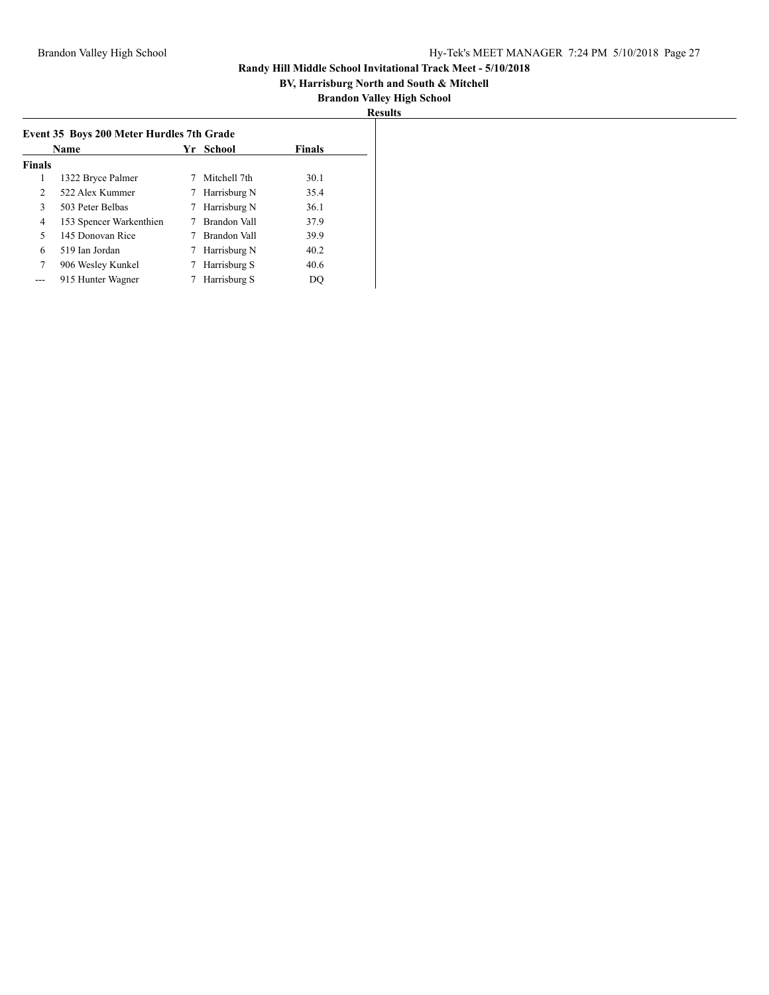## **BV, Harrisburg North and South & Mitchell**

|                | Event 35 Boys 200 Meter Hurdles 7th Grade |   |              |               |  |  |
|----------------|-------------------------------------------|---|--------------|---------------|--|--|
|                | Name                                      |   | Yr School    | <b>Finals</b> |  |  |
| <b>Finals</b>  |                                           |   |              |               |  |  |
| 1              | 1322 Bryce Palmer                         |   | Mitchell 7th | 30.1          |  |  |
| $\overline{2}$ | 522 Alex Kummer                           | 7 | Harrisburg N | 35.4          |  |  |
| 3              | 503 Peter Belbas                          | 7 | Harrisburg N | 36.1          |  |  |
| 4              | 153 Spencer Warkenthien                   |   | Brandon Vall | 37.9          |  |  |
| 5              | 145 Donovan Rice                          |   | Brandon Vall | 39.9          |  |  |
| 6              | 519 Ian Jordan                            | 7 | Harrisburg N | 40.2          |  |  |
| 7              | 906 Wesley Kunkel                         | 7 | Harrisburg S | 40.6          |  |  |
|                | 915 Hunter Wagner                         |   | Harrisburg S | DO            |  |  |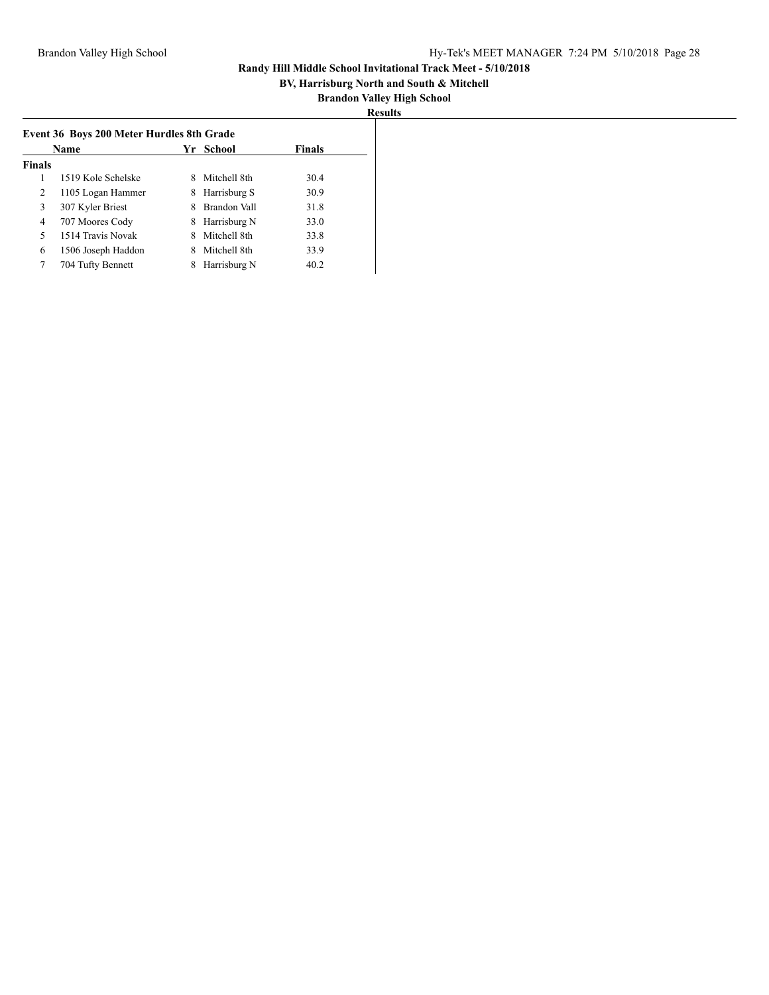## **BV, Harrisburg North and South & Mitchell**

| ľ<br>ш<br>v.<br>- |
|-------------------|
|                   |

|               | <b>Name</b>        | Yr | School       | <b>Finals</b> |
|---------------|--------------------|----|--------------|---------------|
| <b>Finals</b> |                    |    |              |               |
|               | 1519 Kole Schelske | 8  | Mitchell 8th | 30.4          |
| 2             | 1105 Logan Hammer  | 8  | Harrisburg S | 30.9          |
| 3             | 307 Kyler Briest   | 8  | Brandon Vall | 31.8          |
| 4             | 707 Moores Cody    | 8  | Harrisburg N | 33.0          |
| 5             | 1514 Travis Novak  | 8  | Mitchell 8th | 33.8          |
| 6             | 1506 Joseph Haddon | 8  | Mitchell 8th | 33.9          |
| 7             | 704 Tufty Bennett  | 8  | Harrisburg N | 40.2          |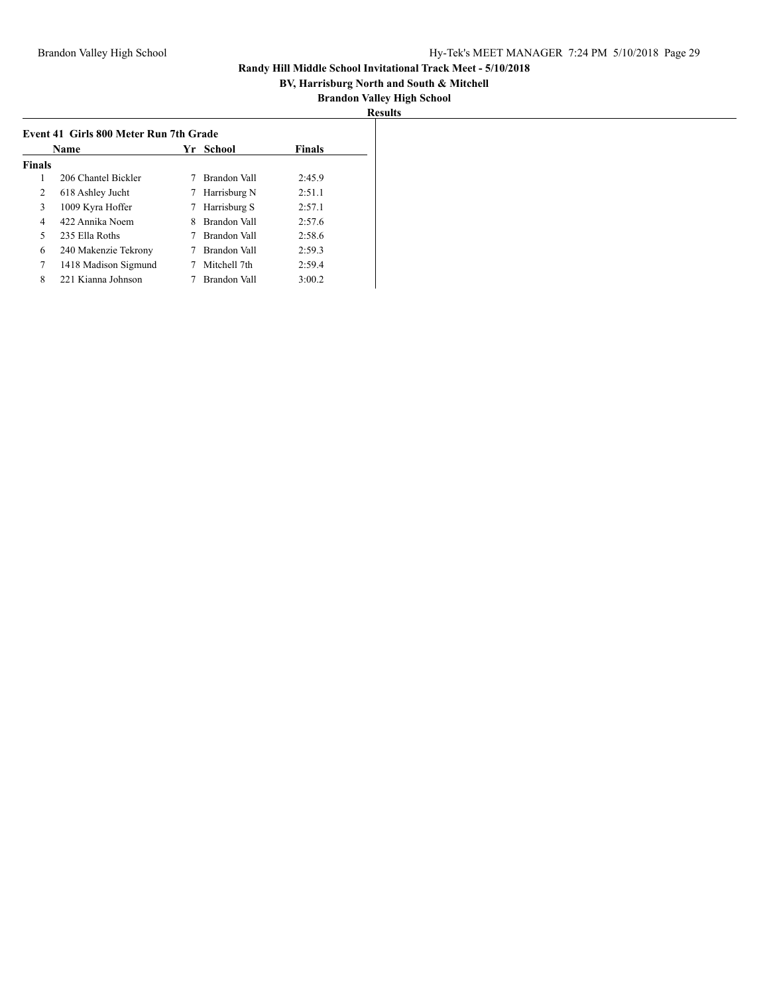## **BV, Harrisburg North and South & Mitchell**

| <b>Results</b> |
|----------------|
|----------------|

|               | Event 41 Girls 800 Meter Run 7th Grade |    |              |               |  |  |
|---------------|----------------------------------------|----|--------------|---------------|--|--|
|               | Name                                   |    | Yr School    | <b>Finals</b> |  |  |
| <b>Finals</b> |                                        |    |              |               |  |  |
| 1             | 206 Chantel Bickler                    |    | Brandon Vall | 2:45.9        |  |  |
| 2             | 618 Ashley Jucht                       |    | Harrisburg N | 2:51.1        |  |  |
| 3             | 1009 Kyra Hoffer                       | 7. | Harrisburg S | 2:57.1        |  |  |
| 4             | 422 Annika Noem                        | 8  | Brandon Vall | 2:57.6        |  |  |
| 5             | 235 Ella Roths                         |    | Brandon Vall | 2:58.6        |  |  |
| 6             | 240 Makenzie Tekrony                   |    | Brandon Vall | 2:59.3        |  |  |
| 7             | 1418 Madison Sigmund                   |    | Mitchell 7th | 2:59.4        |  |  |
| 8             | 221 Kianna Johnson                     |    | Brandon Vall | 3:00.2        |  |  |
|               |                                        |    |              |               |  |  |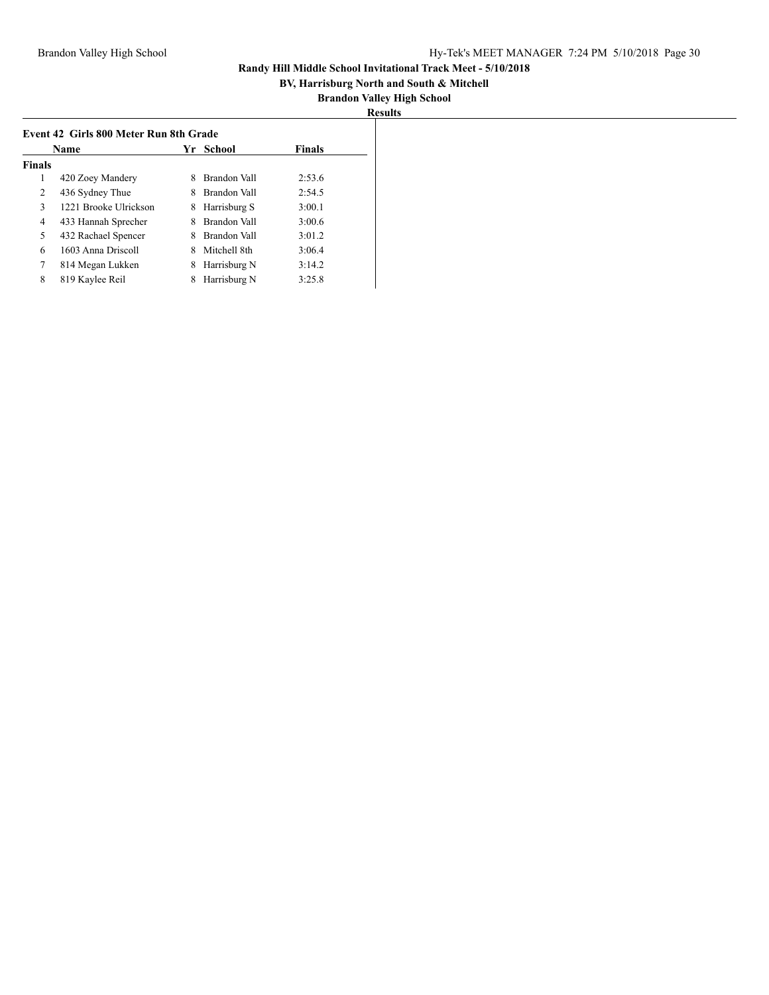## **BV, Harrisburg North and South & Mitchell**

| ¤esults |
|---------|
|---------|

| Event 42 Girls 800 Meter Run 8th Grade<br><b>Name</b> |                       |   | Yr School    | <b>Finals</b> |
|-------------------------------------------------------|-----------------------|---|--------------|---------------|
| <b>Finals</b>                                         |                       |   |              |               |
| 1                                                     | 420 Zoey Mandery      | 8 | Brandon Vall | 2:53.6        |
| 2                                                     | 436 Sydney Thue       | 8 | Brandon Vall | 2:54.5        |
| 3                                                     | 1221 Brooke Ulrickson | 8 | Harrisburg S | 3:00.1        |
| 4                                                     | 433 Hannah Sprecher   | 8 | Brandon Vall | 3:00.6        |
| 5                                                     | 432 Rachael Spencer   |   | Brandon Vall | 3:01.2        |
| 6                                                     | 1603 Anna Driscoll    | 8 | Mitchell 8th | 3:06.4        |
| 7                                                     | 814 Megan Lukken      | 8 | Harrisburg N | 3:14.2        |
| 8                                                     | 819 Kaylee Reil       | 8 | Harrisburg N | 3:25.8        |
|                                                       |                       |   |              |               |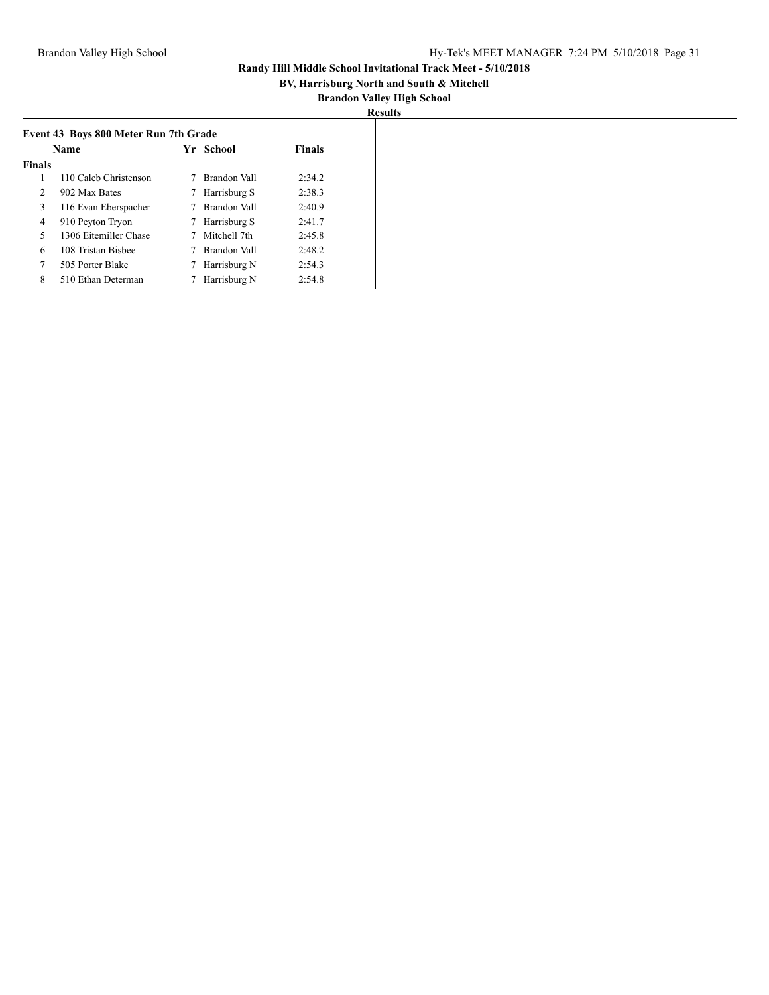## **BV, Harrisburg North and South & Mitchell**

|--|

|                | Event 43 Boys 800 Meter Run 7th Grade |    |              |               |  |  |
|----------------|---------------------------------------|----|--------------|---------------|--|--|
|                | Name                                  | Yr | School       | <b>Finals</b> |  |  |
| <b>Finals</b>  |                                       |    |              |               |  |  |
| 1              | 110 Caleb Christenson                 |    | Brandon Vall | 2:34.2        |  |  |
| $\overline{2}$ | 902 Max Bates                         |    | Harrisburg S | 2:38.3        |  |  |
| 3              | 116 Evan Eberspacher                  |    | Brandon Vall | 2:40.9        |  |  |
| 4              | 910 Peyton Tryon                      |    | Harrisburg S | 2:41.7        |  |  |
| 5              | 1306 Eitemiller Chase                 |    | Mitchell 7th | 2:45.8        |  |  |
| 6              | 108 Tristan Bisbee                    |    | Brandon Vall | 2:48.2        |  |  |
| 7              | 505 Porter Blake                      |    | Harrisburg N | 2:54.3        |  |  |
| 8              | 510 Ethan Determan                    |    | Harrisburg N | 2:54.8        |  |  |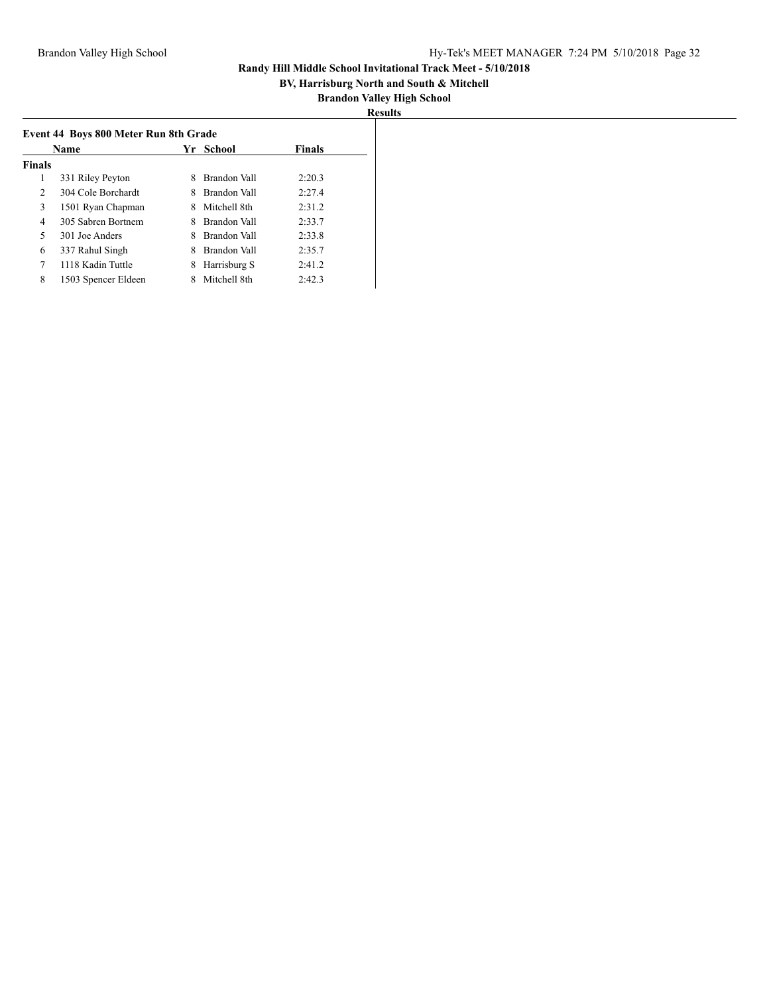## **BV, Harrisburg North and South & Mitchell**

|--|

|                | Event 44 Boys 800 Meter Run 8th Grade |    |              |               |  |  |
|----------------|---------------------------------------|----|--------------|---------------|--|--|
|                | Name                                  | Yr | School       | <b>Finals</b> |  |  |
| <b>Finals</b>  |                                       |    |              |               |  |  |
| 1              | 331 Riley Peyton                      |    | Brandon Vall | 2:20.3        |  |  |
| $\overline{2}$ | 304 Cole Borchardt                    | 8  | Brandon Vall | 2:27.4        |  |  |
| 3              | 1501 Ryan Chapman                     | 8  | Mitchell 8th | 2:31.2        |  |  |
| 4              | 305 Sabren Bortnem                    | 8  | Brandon Vall | 2:33.7        |  |  |
| 5              | 301 Joe Anders                        |    | Brandon Vall | 2:33.8        |  |  |
| 6              | 337 Rahul Singh                       | 8  | Brandon Vall | 2:35.7        |  |  |
| 7              | 1118 Kadin Tuttle                     | 8  | Harrisburg S | 2:41.2        |  |  |
| 8              | 1503 Spencer Eldeen                   |    | Mitchell 8th | 2:42.3        |  |  |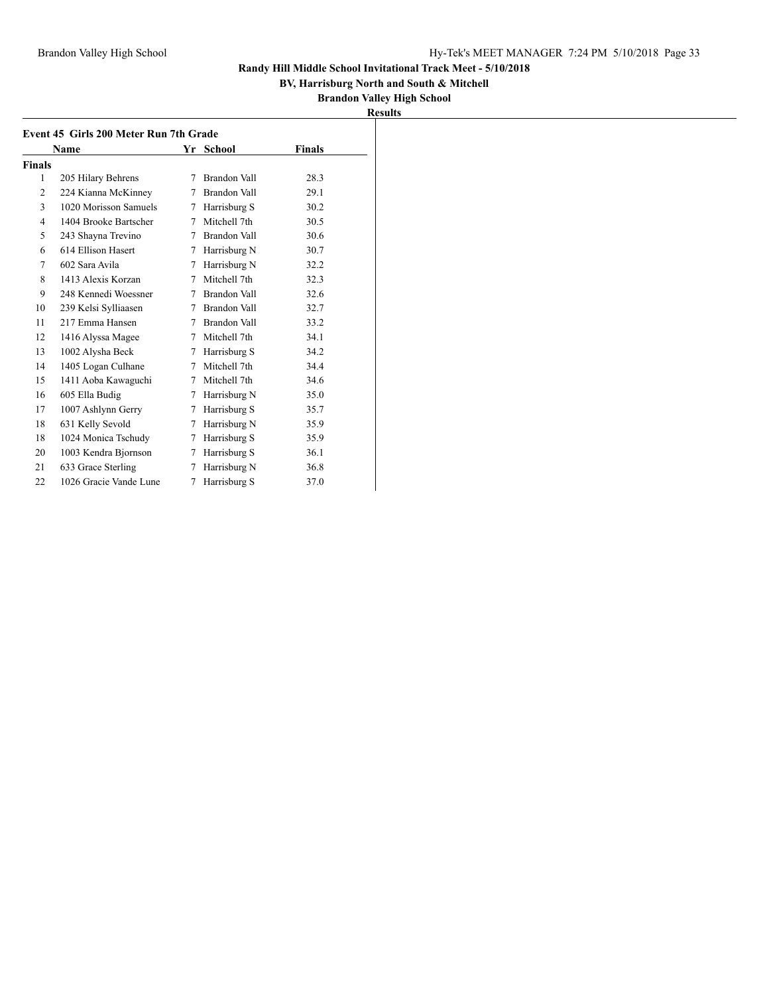## **BV, Harrisburg North and South & Mitchell**

|        | Name                   |   | Yr School    | Finals |
|--------|------------------------|---|--------------|--------|
| Finals |                        |   |              |        |
| 1      | 205 Hilary Behrens     | 7 | Brandon Vall | 28.3   |
| 2      | 224 Kianna McKinney    | 7 | Brandon Vall | 29.1   |
| 3      | 1020 Morisson Samuels  | 7 | Harrisburg S | 30.2   |
| 4      | 1404 Brooke Bartscher  | 7 | Mitchell 7th | 30.5   |
| 5      | 243 Shayna Trevino     | 7 | Brandon Vall | 30.6   |
| 6      | 614 Ellison Hasert     | 7 | Harrisburg N | 30.7   |
| 7      | 602 Sara Avila         | 7 | Harrisburg N | 32.2   |
| 8      | 1413 Alexis Korzan     | 7 | Mitchell 7th | 32.3   |
| 9      | 248 Kennedi Woessner   | 7 | Brandon Vall | 32.6   |
| 10     | 239 Kelsi Sylliaasen   | 7 | Brandon Vall | 32.7   |
| 11     | 217 Emma Hansen        | 7 | Brandon Vall | 33.2   |
| 12     | 1416 Alyssa Magee      | 7 | Mitchell 7th | 34.1   |
| 13     | 1002 Alysha Beck       | 7 | Harrisburg S | 34.2   |
| 14     | 1405 Logan Culhane     | 7 | Mitchell 7th | 34.4   |
| 15     | 1411 Aoba Kawaguchi    | 7 | Mitchell 7th | 34.6   |
| 16     | 605 Ella Budig         | 7 | Harrisburg N | 35.0   |
| 17     | 1007 Ashlynn Gerry     | 7 | Harrisburg S | 35.7   |
| 18     | 631 Kelly Sevold       | 7 | Harrisburg N | 35.9   |
| 18     | 1024 Monica Tschudy    | 7 | Harrisburg S | 35.9   |
| 20     | 1003 Kendra Bjornson   | 7 | Harrisburg S | 36.1   |
| 21     | 633 Grace Sterling     | 7 | Harrisburg N | 36.8   |
| 22     | 1026 Gracie Vande Lune | 7 | Harrisburg S | 37.0   |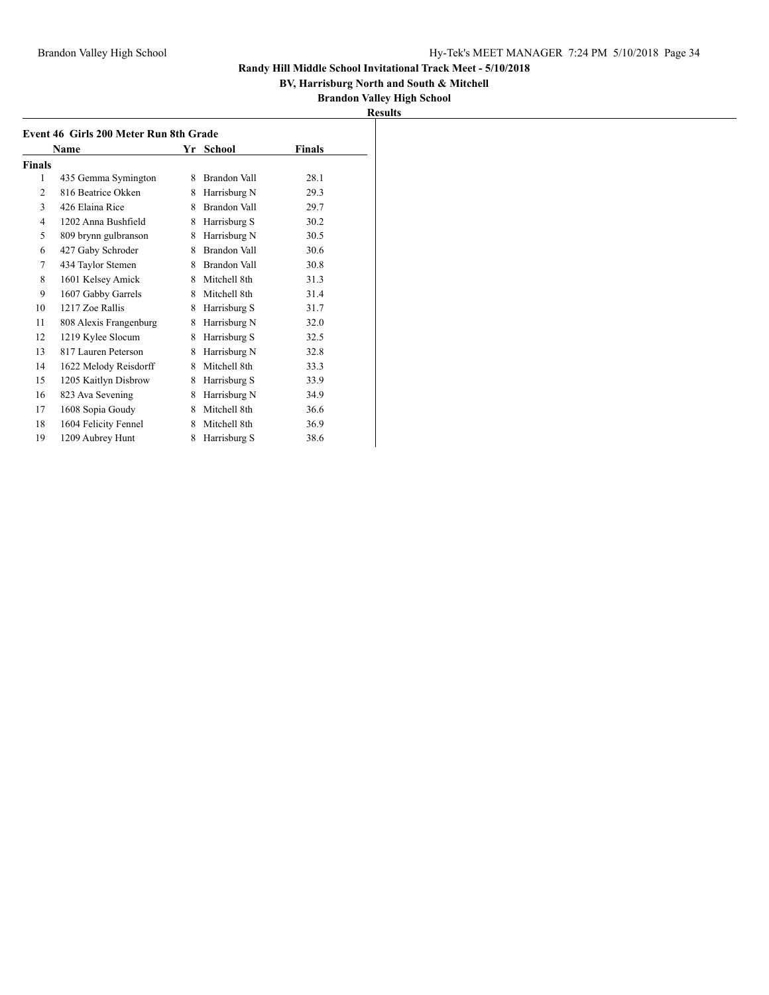## **BV, Harrisburg North and South & Mitchell**

| <b>Results</b> |
|----------------|
|----------------|

|                | Name                   |   | Yr School    | <b>Finals</b> |
|----------------|------------------------|---|--------------|---------------|
| <b>Finals</b>  |                        |   |              |               |
| 1              | 435 Gemma Symington    | 8 | Brandon Vall | 28.1          |
| $\overline{c}$ | 816 Beatrice Okken     | 8 | Harrisburg N | 29.3          |
| 3              | 426 Elaina Rice        | 8 | Brandon Vall | 29.7          |
| 4              | 1202 Anna Bushfield    | 8 | Harrisburg S | 30.2          |
| 5              | 809 brynn gulbranson   | 8 | Harrisburg N | 30.5          |
| 6              | 427 Gaby Schroder      | 8 | Brandon Vall | 30.6          |
| 7              | 434 Taylor Stemen      | 8 | Brandon Vall | 30.8          |
| 8              | 1601 Kelsey Amick      | 8 | Mitchell 8th | 31.3          |
| 9              | 1607 Gabby Garrels     | 8 | Mitchell 8th | 31.4          |
| 10             | 1217 Zoe Rallis        | 8 | Harrisburg S | 31.7          |
| 11             | 808 Alexis Frangenburg | 8 | Harrisburg N | 32.0          |
| 12             | 1219 Kylee Slocum      | 8 | Harrisburg S | 32.5          |
| 13             | 817 Lauren Peterson    | 8 | Harrisburg N | 32.8          |
| 14             | 1622 Melody Reisdorff  | 8 | Mitchell 8th | 33.3          |
| 15             | 1205 Kaitlyn Disbrow   | 8 | Harrisburg S | 33.9          |
| 16             | 823 Ava Sevening       | 8 | Harrisburg N | 34.9          |
| 17             | 1608 Sopia Goudy       | 8 | Mitchell 8th | 36.6          |
| 18             | 1604 Felicity Fennel   | 8 | Mitchell 8th | 36.9          |
| 19             | 1209 Aubrey Hunt       | 8 | Harrisburg S | 38.6          |
|                |                        |   |              |               |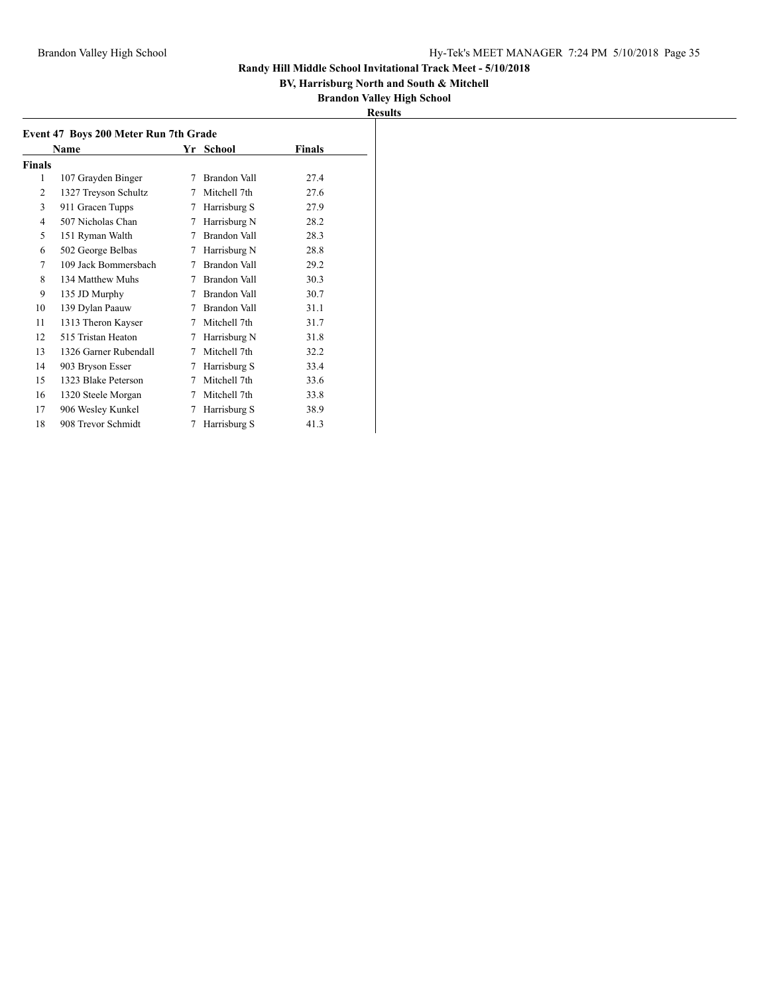## **BV, Harrisburg North and South & Mitchell**

|               | Name                  |   | Yr School    | Finals |
|---------------|-----------------------|---|--------------|--------|
| <b>Finals</b> |                       |   |              |        |
| 1             | 107 Grayden Binger    | 7 | Brandon Vall | 27.4   |
| 2             | 1327 Treyson Schultz  | 7 | Mitchell 7th | 27.6   |
| 3             | 911 Gracen Tupps      | 7 | Harrisburg S | 27.9   |
| 4             | 507 Nicholas Chan     | 7 | Harrisburg N | 28.2   |
| 5             | 151 Ryman Walth       | 7 | Brandon Vall | 28.3   |
| 6             | 502 George Belbas     | 7 | Harrisburg N | 28.8   |
| 7             | 109 Jack Bommersbach  | 7 | Brandon Vall | 29.2   |
| 8             | 134 Matthew Muhs      | 7 | Brandon Vall | 30.3   |
| 9             | 135 JD Murphy         | 7 | Brandon Vall | 30.7   |
| 10            | 139 Dylan Paauw       | 7 | Brandon Vall | 31.1   |
| 11            | 1313 Theron Kayser    | 7 | Mitchell 7th | 31.7   |
| 12            | 515 Tristan Heaton    | 7 | Harrisburg N | 31.8   |
| 13            | 1326 Garner Rubendall | 7 | Mitchell 7th | 32.2   |
| 14            | 903 Bryson Esser      | 7 | Harrisburg S | 33.4   |
| 15            | 1323 Blake Peterson   | 7 | Mitchell 7th | 33.6   |
| 16            | 1320 Steele Morgan    | 7 | Mitchell 7th | 33.8   |
| 17            | 906 Wesley Kunkel     | 7 | Harrisburg S | 38.9   |
| 18            | 908 Trevor Schmidt    | 7 | Harrisburg S | 41.3   |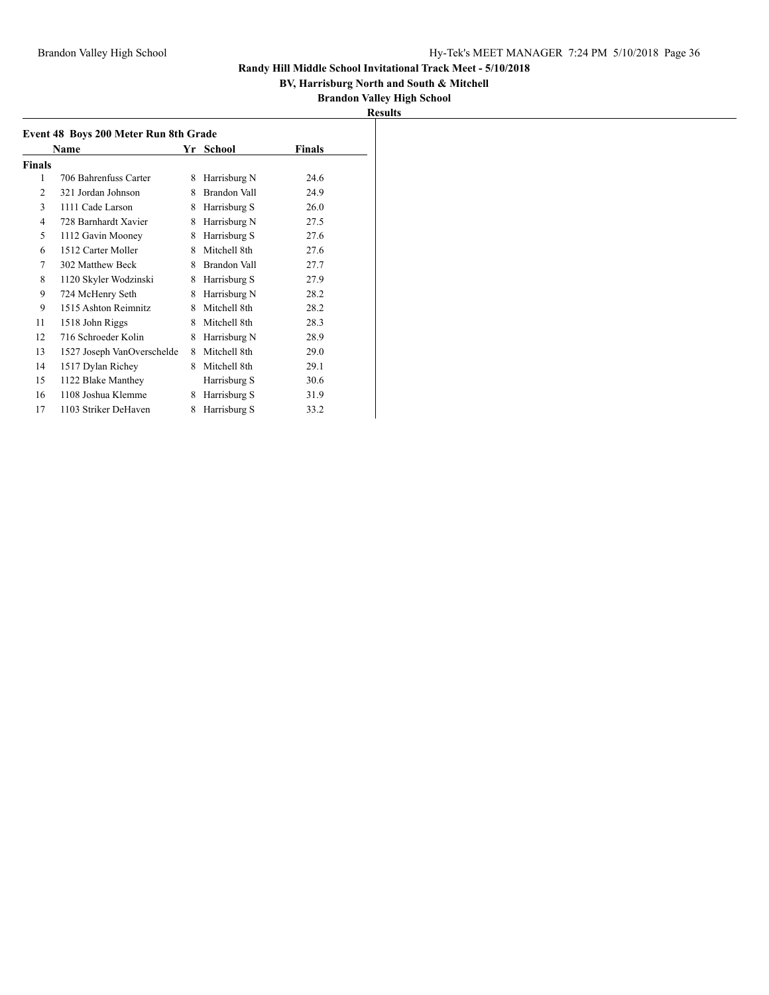## **BV, Harrisburg North and South & Mitchell**

| <b>Results</b> |
|----------------|
|----------------|

| Event 48 Boys 200 Meter Run 8th Grade |                            |    |                     |               |  |  |
|---------------------------------------|----------------------------|----|---------------------|---------------|--|--|
|                                       | <b>Name</b>                | Yr | School              | <b>Finals</b> |  |  |
| Finals                                |                            |    |                     |               |  |  |
| 1                                     | 706 Bahrenfuss Carter      | 8  | Harrisburg N        | 24.6          |  |  |
| 2                                     | 321 Jordan Johnson         | 8  | Brandon Vall        | 24.9          |  |  |
| 3                                     | 1111 Cade Larson           | 8  | Harrisburg S        | 26.0          |  |  |
| 4                                     | 728 Barnhardt Xavier       | 8  | Harrisburg N        | 27.5          |  |  |
| 5                                     | 1112 Gavin Mooney          | 8  | Harrisburg S        | 27.6          |  |  |
| 6                                     | 1512 Carter Moller         | 8  | Mitchell 8th        | 27.6          |  |  |
| 7                                     | 302 Matthew Beck           | 8  | <b>Brandon Vall</b> | 27.7          |  |  |
| 8                                     | 1120 Skyler Wodzinski      | 8  | Harrisburg S        | 27.9          |  |  |
| 9                                     | 724 McHenry Seth           | 8  | Harrisburg N        | 28.2          |  |  |
| 9                                     | 1515 Ashton Reimnitz       | 8  | Mitchell 8th        | 28.2          |  |  |
| 11                                    | 1518 John Riggs            | 8  | Mitchell 8th        | 28.3          |  |  |
| 12                                    | 716 Schroeder Kolin        | 8  | Harrisburg N        | 28.9          |  |  |
| 13                                    | 1527 Joseph VanOverschelde | 8  | Mitchell 8th        | 29.0          |  |  |
| 14                                    | 1517 Dylan Richey          | 8  | Mitchell 8th        | 29.1          |  |  |
| 15                                    | 1122 Blake Manthey         |    | Harrisburg S        | 30.6          |  |  |
| 16                                    | 1108 Joshua Klemme         | 8  | Harrisburg S        | 31.9          |  |  |
| 17                                    | 1103 Striker DeHaven       | 8  | Harrisburg S        | 33.2          |  |  |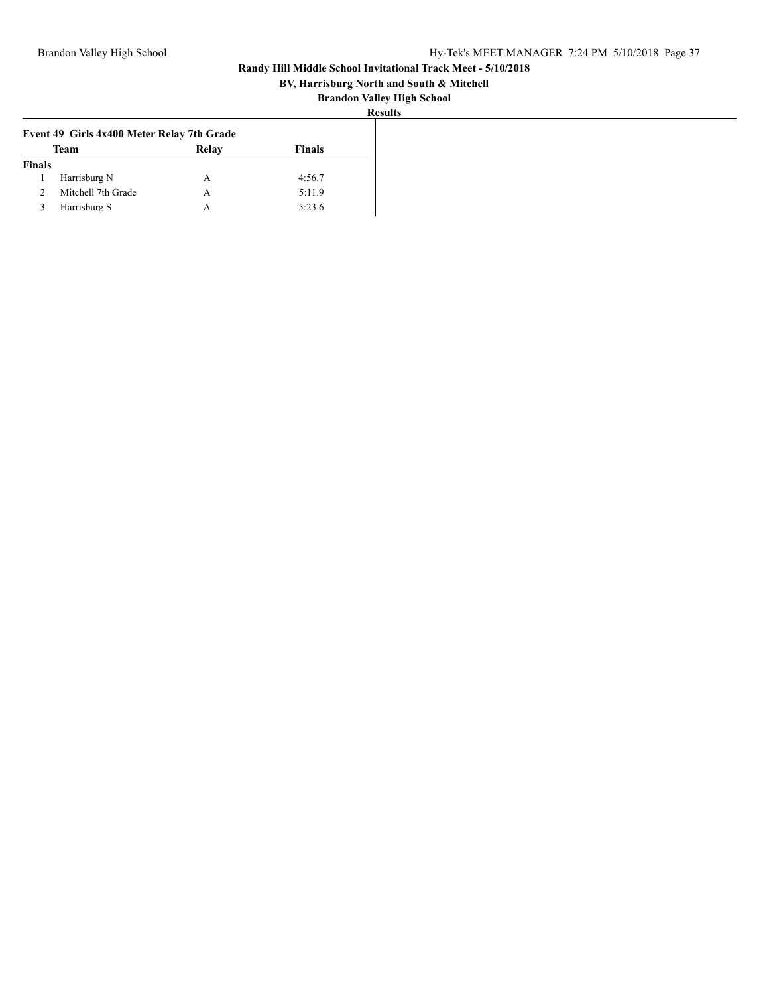## **BV, Harrisburg North and South & Mitchell**

| ו ח<br>×. |
|-----------|
|-----------|

|                                | Event 49 Girls 4x400 Meter Relay 7th Grade |  |        |  |
|--------------------------------|--------------------------------------------|--|--------|--|
| Relay<br>Finals<br><b>Team</b> |                                            |  |        |  |
| <b>Finals</b>                  |                                            |  |        |  |
|                                | Harrisburg N                               |  | 4:56.7 |  |
|                                | Mitchell 7th Grade                         |  | 5:11.9 |  |
|                                | Harrisburg S                               |  | 5:23.6 |  |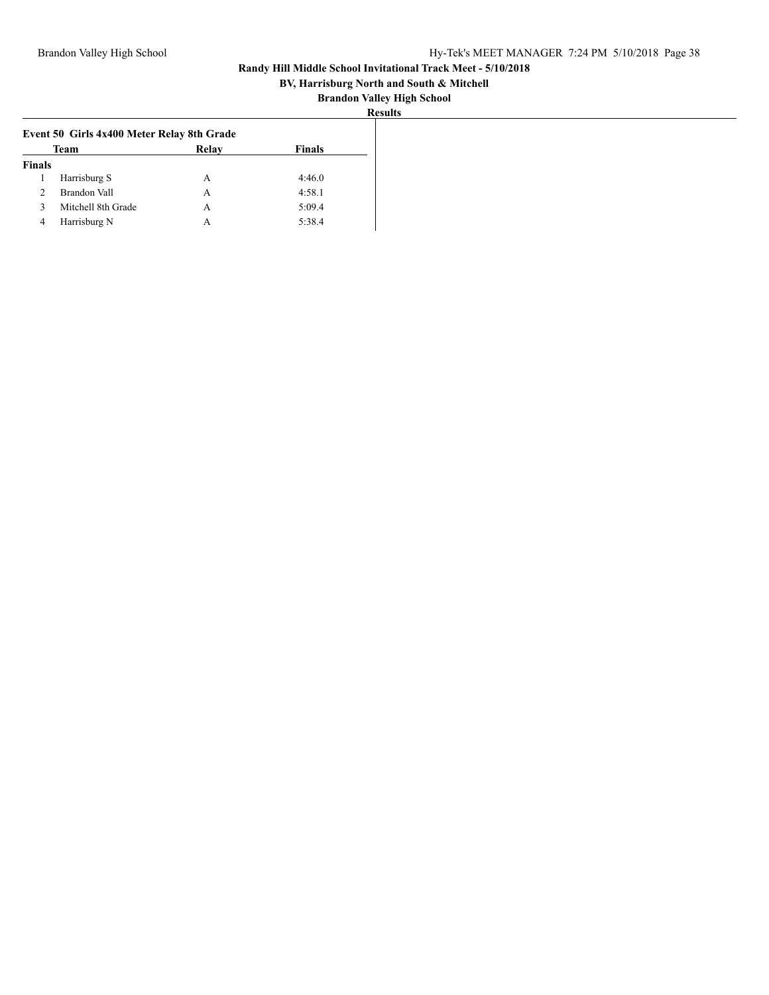## **BV, Harrisburg North and South & Mitchell**

|                                | Event 50 Girls 4x400 Meter Relay 8th Grade |   |        |
|--------------------------------|--------------------------------------------|---|--------|
| <b>Team</b><br>Relay<br>Finals |                                            |   |        |
| <b>Finals</b>                  |                                            |   |        |
|                                | Harrisburg S                               | А | 4:46.0 |
|                                | Brandon Vall                               | А | 4:58.1 |
|                                | Mitchell 8th Grade                         | А | 5:09.4 |
| 4                              | Harrisburg N                               |   | 5:38.4 |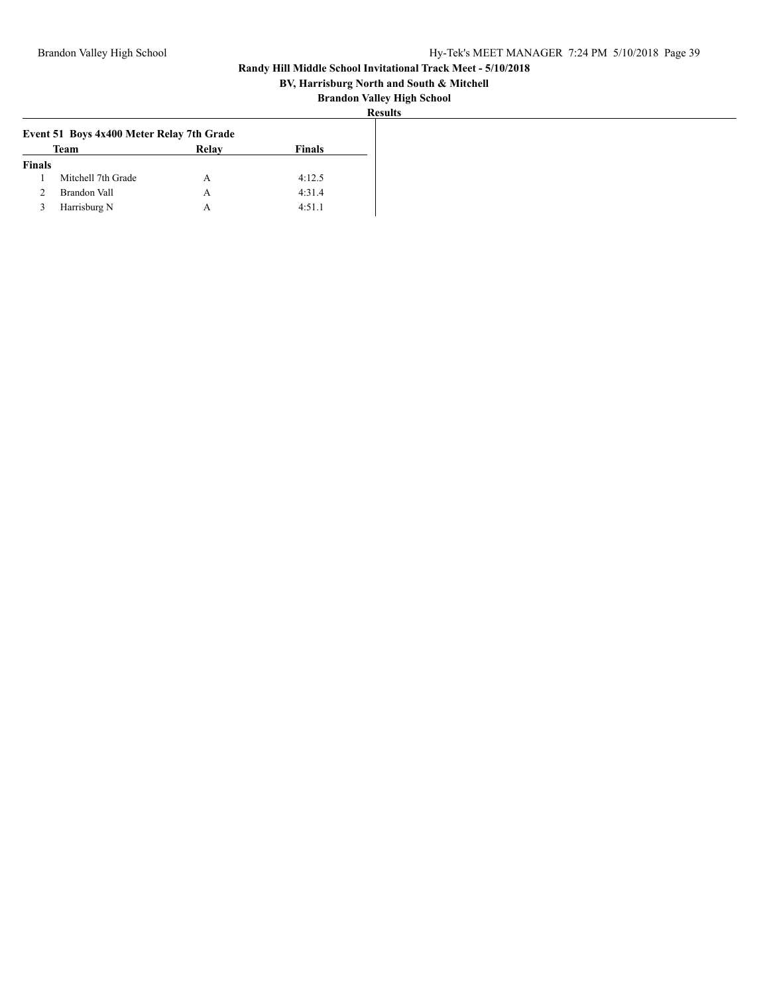## **BV, Harrisburg North and South & Mitchell**

|                                | Event 51 Boys 4x400 Meter Relay 7th Grade |   |        |
|--------------------------------|-------------------------------------------|---|--------|
| <b>Finals</b><br>Team<br>Relay |                                           |   |        |
| <b>Finals</b>                  |                                           |   |        |
|                                | Mitchell 7th Grade                        |   | 4:12.5 |
|                                | Brandon Vall                              |   | 4:31.4 |
|                                | Harrisburg N                              | A | 4:51.1 |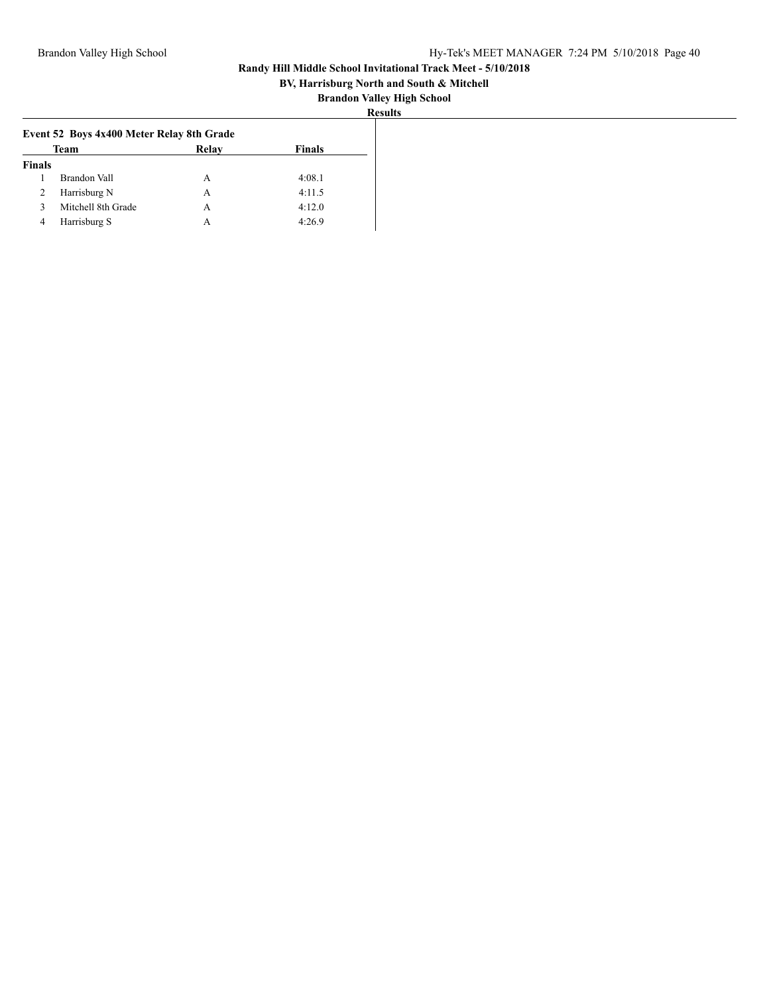## **BV, Harrisburg North and South & Mitchell**

| 11 11<br>w |
|------------|
|------------|

|                                | Event 52 Boys 4x400 Meter Relay 8th Grade |   |        |
|--------------------------------|-------------------------------------------|---|--------|
| Team<br>Relay<br><b>Finals</b> |                                           |   |        |
| <b>Finals</b>                  |                                           |   |        |
|                                | <b>Brandon Vall</b>                       | A | 4:08.1 |
| ∠                              | Harrisburg N                              | А | 4:11.5 |
|                                | Mitchell 8th Grade                        |   | 4:12.0 |
| 4                              | Harrisburg S                              | А | 4:26.9 |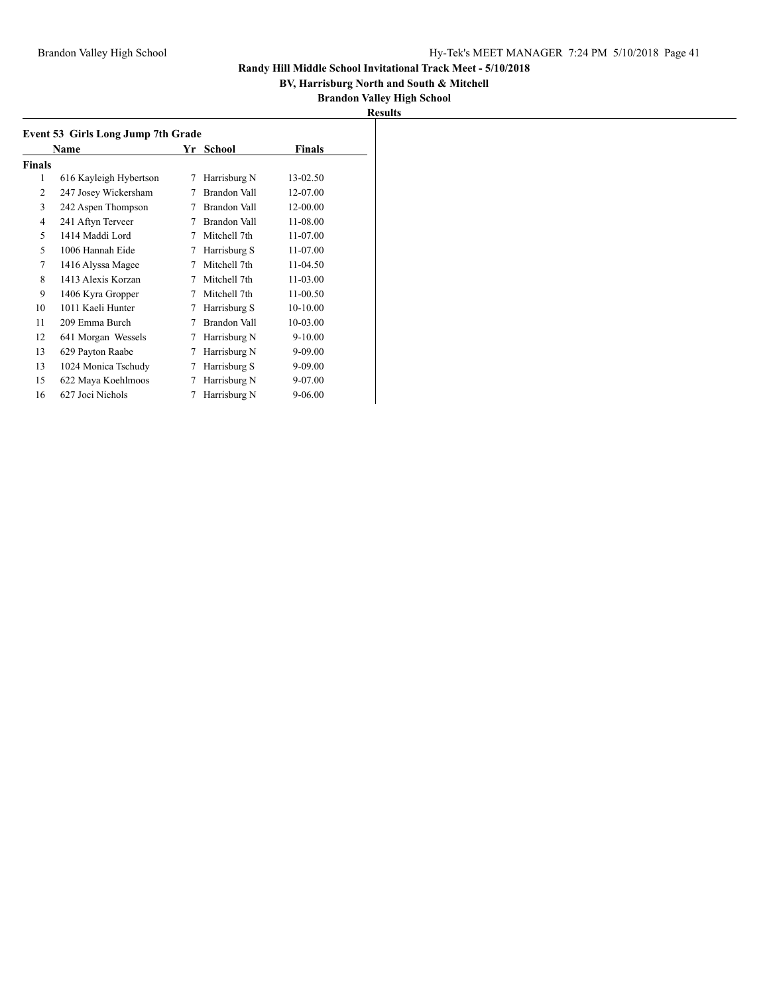## **BV, Harrisburg North and South & Mitchell**

| ۰<br>. . | ш |
|----------|---|
|          |   |

| Event 53 Girls Long Jump 7th Grade |                        |    |              |               |  |  |
|------------------------------------|------------------------|----|--------------|---------------|--|--|
|                                    | Name                   | Yr | School       | <b>Finals</b> |  |  |
| <b>Finals</b>                      |                        |    |              |               |  |  |
| 1                                  | 616 Kayleigh Hybertson | 7  | Harrisburg N | 13-02.50      |  |  |
| 2                                  | 247 Josey Wickersham   | 7  | Brandon Vall | 12-07.00      |  |  |
| 3                                  | 242 Aspen Thompson     | 7  | Brandon Vall | 12-00.00      |  |  |
| 4                                  | 241 Aftyn Terveer      | 7  | Brandon Vall | 11-08.00      |  |  |
| 5                                  | 1414 Maddi Lord        | 7  | Mitchell 7th | 11-07.00      |  |  |
| 5                                  | 1006 Hannah Eide       | 7  | Harrisburg S | 11-07.00      |  |  |
| 7                                  | 1416 Alyssa Magee      | 7  | Mitchell 7th | 11-04.50      |  |  |
| 8                                  | 1413 Alexis Korzan     | 7  | Mitchell 7th | $11 - 03.00$  |  |  |
| 9                                  | 1406 Kyra Gropper      | 7  | Mitchell 7th | 11-00.50      |  |  |
| 10                                 | 1011 Kaeli Hunter      | 7  | Harrisburg S | 10-10.00      |  |  |
| 11                                 | 209 Emma Burch         | 7  | Brandon Vall | 10-03.00      |  |  |
| 12                                 | 641 Morgan Wessels     | 7  | Harrisburg N | $9-10.00$     |  |  |
| 13                                 | 629 Payton Raabe       | 7  | Harrisburg N | 9-09.00       |  |  |
| 13                                 | 1024 Monica Tschudy    | 7  | Harrisburg S | 9-09.00       |  |  |
| 15                                 | 622 Maya Koehlmoos     | 7  | Harrisburg N | 9-07.00       |  |  |
| 16                                 | 627 Joci Nichols       | 7  | Harrisburg N | $9 - 06.00$   |  |  |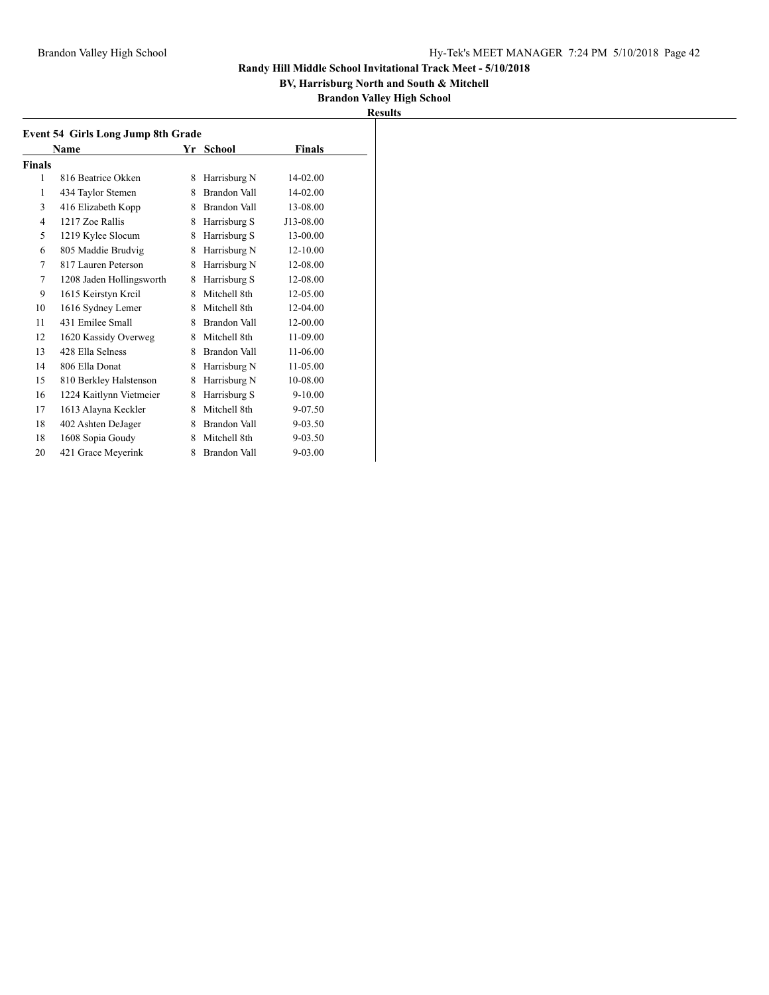## **BV, Harrisburg North and South & Mitchell**

| ш<br>91<br>m<br>- | ľ |
|-------------------|---|
|                   |   |

| <b>Event 54 Girls Long Jump 8th Grade</b> |                          |   |                     |             |  |  |
|-------------------------------------------|--------------------------|---|---------------------|-------------|--|--|
|                                           | Name                     |   | Yr School           | Finals      |  |  |
| <b>Finals</b>                             |                          |   |                     |             |  |  |
| 1                                         | 816 Beatrice Okken       | 8 | Harrisburg N        | 14-02.00    |  |  |
| 1                                         | 434 Taylor Stemen        | 8 | Brandon Vall        | 14-02.00    |  |  |
| 3                                         | 416 Elizabeth Kopp       | 8 | Brandon Vall        | 13-08.00    |  |  |
| $\overline{4}$                            | 1217 Zoe Rallis          | 8 | Harrisburg S        | J13-08.00   |  |  |
| 5                                         | 1219 Kylee Slocum        | 8 | Harrisburg S        | 13-00.00    |  |  |
| 6                                         | 805 Maddie Brudvig       | 8 | Harrisburg N        | 12-10.00    |  |  |
| 7                                         | 817 Lauren Peterson      | 8 | Harrisburg N        | 12-08.00    |  |  |
| 7                                         | 1208 Jaden Hollingsworth | 8 | Harrisburg S        | 12-08.00    |  |  |
| 9                                         | 1615 Keirstyn Kreil      | 8 | Mitchell 8th        | 12-05.00    |  |  |
| 10                                        | 1616 Sydney Lemer        | 8 | Mitchell 8th        | 12-04.00    |  |  |
| 11                                        | 431 Emilee Small         | 8 | Brandon Vall        | 12-00.00    |  |  |
| 12                                        | 1620 Kassidy Overweg     | 8 | Mitchell 8th        | 11-09.00    |  |  |
| 13                                        | 428 Ella Selness         | 8 | Brandon Vall        | 11-06.00    |  |  |
| 14                                        | 806 Ella Donat           | 8 | Harrisburg N        | 11-05.00    |  |  |
| 15                                        | 810 Berkley Halstenson   | 8 | Harrisburg N        | 10-08.00    |  |  |
| 16                                        | 1224 Kaitlynn Vietmeier  | 8 | Harrisburg S        | $9 - 10.00$ |  |  |
| 17                                        | 1613 Alayna Keckler      | 8 | Mitchell 8th        | 9-07.50     |  |  |
| 18                                        | 402 Ashten DeJager       | 8 | Brandon Vall        | $9 - 03.50$ |  |  |
| 18                                        | 1608 Sopia Goudy         | 8 | Mitchell 8th        | 9-03.50     |  |  |
| 20                                        | 421 Grace Meyerink       | 8 | <b>Brandon Vall</b> | $9 - 03.00$ |  |  |
|                                           |                          |   |                     |             |  |  |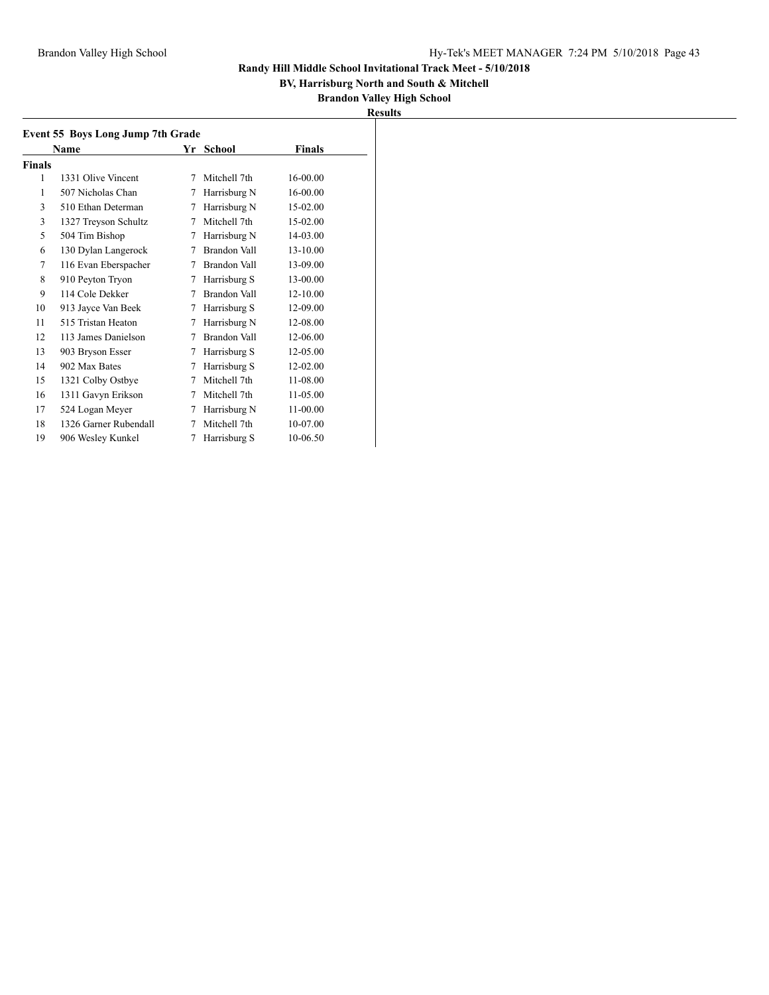## **BV, Harrisburg North and South & Mitchell**

| Results |
|---------|
|---------|

|        | Event 55 Boys Long Jump 7th Grade<br>Name |   | Yr School    | Finals   |
|--------|-------------------------------------------|---|--------------|----------|
| Finals |                                           |   |              |          |
| 1      | 1331 Olive Vincent                        | 7 | Mitchell 7th | 16-00.00 |
| 1      | 507 Nicholas Chan                         | 7 | Harrisburg N | 16-00.00 |
| 3      | 510 Ethan Determan                        | 7 | Harrisburg N | 15-02.00 |
| 3      | 1327 Treyson Schultz                      | 7 | Mitchell 7th | 15-02.00 |
| 5      | 504 Tim Bishop                            | 7 | Harrisburg N | 14-03.00 |
| 6      | 130 Dylan Langerock                       | 7 | Brandon Vall | 13-10.00 |
| 7      | 116 Evan Eberspacher                      | 7 | Brandon Vall | 13-09.00 |
| 8      | 910 Peyton Tryon                          | 7 | Harrisburg S | 13-00.00 |
| 9      | 114 Cole Dekker                           | 7 | Brandon Vall | 12-10.00 |
| 10     | 913 Jayce Van Beek                        | 7 | Harrisburg S | 12-09.00 |
| 11     | 515 Tristan Heaton                        | 7 | Harrisburg N | 12-08.00 |
| 12     | 113 James Danielson                       | 7 | Brandon Vall | 12-06.00 |
| 13     | 903 Bryson Esser                          | 7 | Harrisburg S | 12-05.00 |
| 14     | 902 Max Bates                             | 7 | Harrisburg S | 12-02.00 |
| 15     | 1321 Colby Ostbye                         | 7 | Mitchell 7th | 11-08.00 |
| 16     | 1311 Gavyn Erikson                        | 7 | Mitchell 7th | 11-05.00 |
| 17     | 524 Logan Meyer                           | 7 | Harrisburg N | 11-00.00 |
| 18     | 1326 Garner Rubendall                     | 7 | Mitchell 7th | 10-07.00 |
| 19     | 906 Wesley Kunkel                         | 7 | Harrisburg S | 10-06.50 |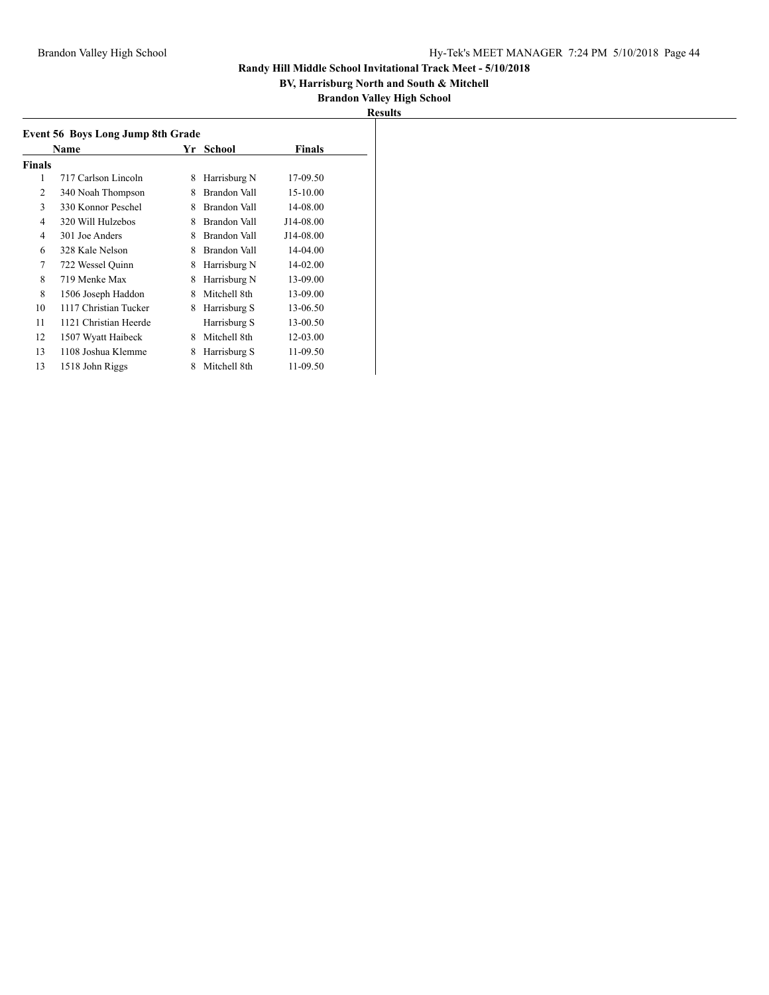## **BV, Harrisburg North and South & Mitchell**

| I<br>н<br>$\cdot$<br>۰ |  |
|------------------------|--|
|                        |  |

| <b>Event 56 Boys Long Jump 8th Grade</b> |                       |    |                     |           |  |  |
|------------------------------------------|-----------------------|----|---------------------|-----------|--|--|
|                                          | Name                  | Yr | School              | Finals    |  |  |
| Finals                                   |                       |    |                     |           |  |  |
| 1                                        | 717 Carlson Lincoln   | 8  | Harrisburg N        | 17-09.50  |  |  |
| 2                                        | 340 Noah Thompson     | 8  | Brandon Vall        | 15-10.00  |  |  |
| 3                                        | 330 Konnor Peschel    | 8  | Brandon Vall        | 14-08.00  |  |  |
| 4                                        | 320 Will Hulzebos     | 8  | Brandon Vall        | J14-08.00 |  |  |
| 4                                        | 301 Joe Anders        | 8  | Brandon Vall        | J14-08.00 |  |  |
| 6                                        | 328 Kale Nelson       | 8  | <b>Brandon Vall</b> | 14-04.00  |  |  |
| 7                                        | 722 Wessel Quinn      | 8  | Harrisburg N        | 14-02.00  |  |  |
| 8                                        | 719 Menke Max         | 8  | Harrisburg N        | 13-09.00  |  |  |
| 8                                        | 1506 Joseph Haddon    | 8  | Mitchell 8th        | 13-09.00  |  |  |
| 10                                       | 1117 Christian Tucker | 8  | Harrisburg S        | 13-06.50  |  |  |
| 11                                       | 1121 Christian Heerde |    | Harrisburg S        | 13-00.50  |  |  |
| 12                                       | 1507 Wyatt Haibeck    | 8  | Mitchell 8th        | 12-03.00  |  |  |
| 13                                       | 1108 Joshua Klemme    | 8  | Harrisburg S        | 11-09.50  |  |  |
| 13                                       | 1518 John Riggs       | 8  | Mitchell 8th        | 11-09.50  |  |  |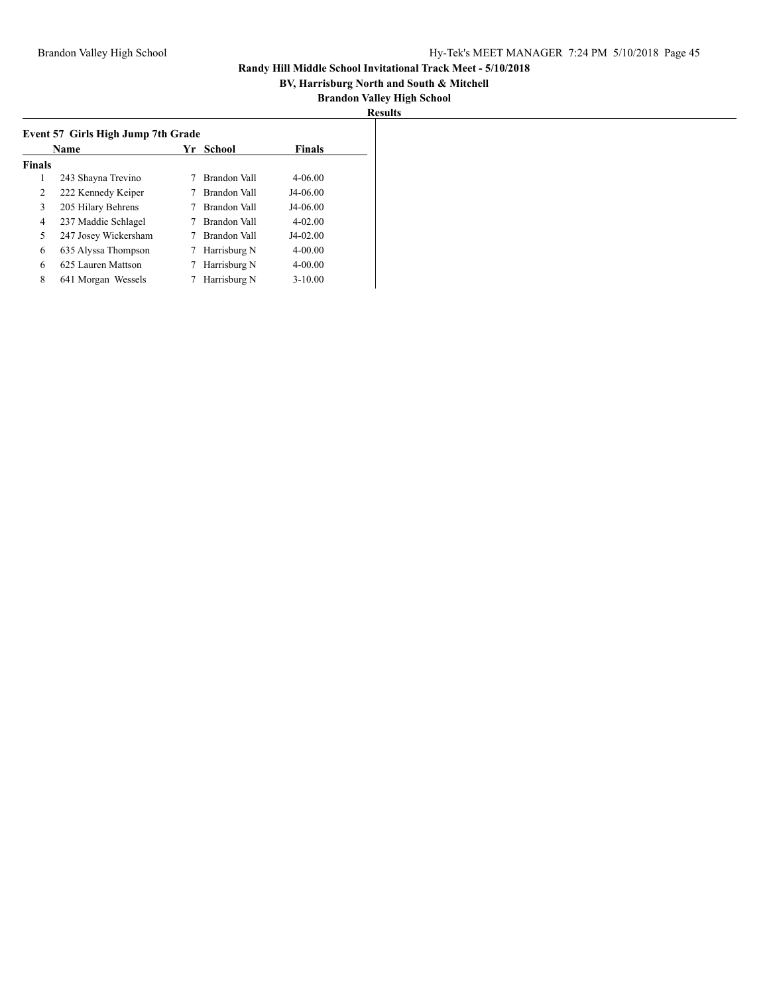## **BV, Harrisburg North and South & Mitchell**

| I<br>۰ |  |
|--------|--|
|        |  |

| Event 57 Girls High Jump 7th Grade |                      |    |              |               |  |  |
|------------------------------------|----------------------|----|--------------|---------------|--|--|
| Name                               |                      | Yr | School       | <b>Finals</b> |  |  |
| <b>Finals</b>                      |                      |    |              |               |  |  |
| 1                                  | 243 Shayna Trevino   |    | Brandon Vall | 4-06.00       |  |  |
| 2                                  | 222 Kennedy Keiper   |    | Brandon Vall | J4-06.00      |  |  |
| 3                                  | 205 Hilary Behrens   |    | Brandon Vall | J4-06.00      |  |  |
| 4                                  | 237 Maddie Schlagel  |    | Brandon Vall | $4 - 02.00$   |  |  |
| 5                                  | 247 Josey Wickersham |    | Brandon Vall | $J4-02.00$    |  |  |
| 6                                  | 635 Alyssa Thompson  | 7  | Harrisburg N | $4 - 00.00$   |  |  |
| 6                                  | 625 Lauren Mattson   | 7  | Harrisburg N | $4 - 00.00$   |  |  |
| 8                                  | 641 Morgan Wessels   |    | Harrisburg N | $3 - 10.00$   |  |  |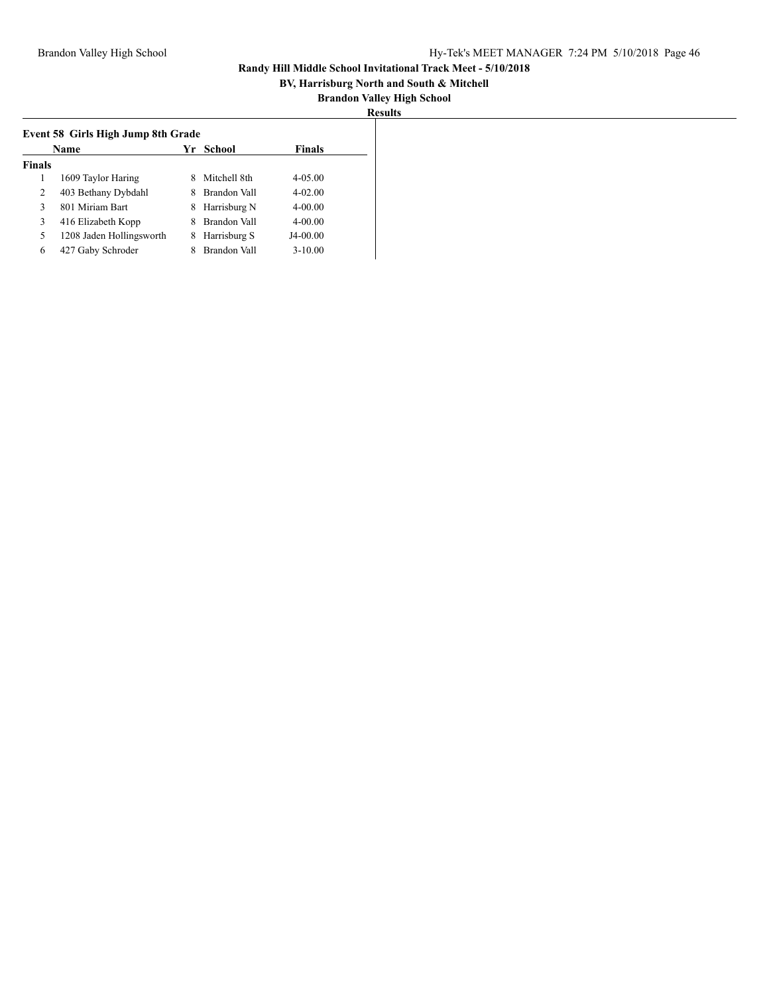## **BV, Harrisburg North and South & Mitchell**

|               | Name                     |   | Yr School    | <b>Finals</b> |
|---------------|--------------------------|---|--------------|---------------|
| <b>Finals</b> |                          |   |              |               |
|               | 1609 Taylor Haring       | 8 | Mitchell 8th | $4 - 05.00$   |
| 2             | 403 Bethany Dybdahl      | 8 | Brandon Vall | $4 - 02.00$   |
| $\mathcal{F}$ | 801 Miriam Bart          | 8 | Harrisburg N | $4 - 00.00$   |
| 3             | 416 Elizabeth Kopp       | 8 | Brandon Vall | $4 - 00.00$   |
| 5             | 1208 Jaden Hollingsworth | 8 | Harrisburg S | J4-00.00      |
| 6             | 427 Gaby Schroder        |   | Brandon Vall | $3 - 10.00$   |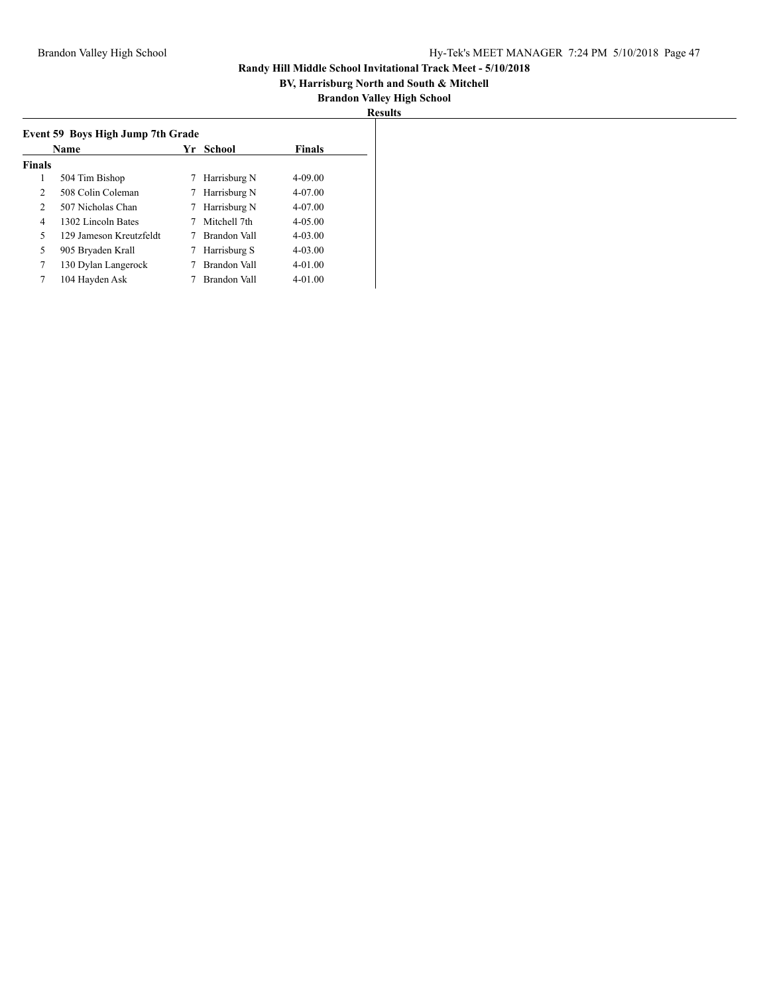## **BV, Harrisburg North and South & Mitchell**

| H<br>۰<br>- |  |
|-------------|--|
|             |  |

| Event 59 Boys High Jump 7th Grade |                         |    |              |               |  |  |
|-----------------------------------|-------------------------|----|--------------|---------------|--|--|
| Name                              |                         | Yr | School       | <b>Finals</b> |  |  |
| <b>Finals</b>                     |                         |    |              |               |  |  |
| 1                                 | 504 Tim Bishop          |    | Harrisburg N | $4 - 09.00$   |  |  |
| 2                                 | 508 Colin Coleman       |    | Harrisburg N | 4-07.00       |  |  |
| 2                                 | 507 Nicholas Chan       | 7  | Harrisburg N | $4 - 07.00$   |  |  |
| 4                                 | 1302 Lincoln Bates      |    | Mitchell 7th | $4 - 0.500$   |  |  |
| 5                                 | 129 Jameson Kreutzfeldt |    | Brandon Vall | $4 - 03.00$   |  |  |
| 5                                 | 905 Bryaden Krall       |    | Harrisburg S | $4 - 03.00$   |  |  |
| 7                                 | 130 Dylan Langerock     |    | Brandon Vall | $4 - 01.00$   |  |  |
| 7                                 | 104 Hayden Ask          |    | Brandon Vall | $4 - 01.00$   |  |  |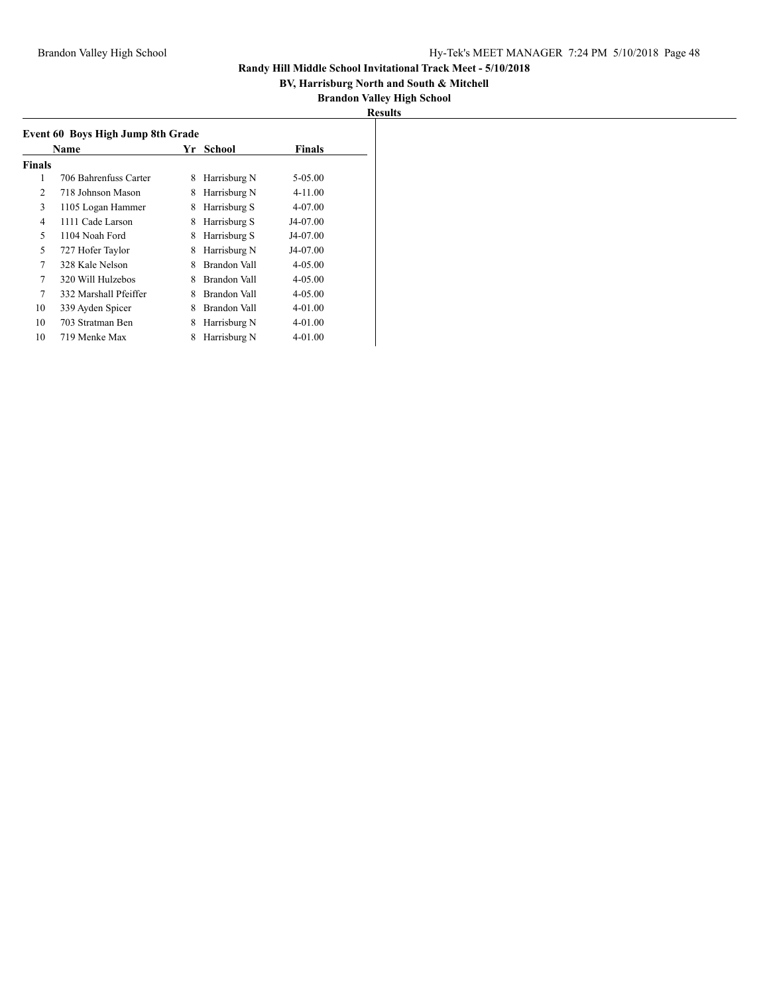## **BV, Harrisburg North and South & Mitchell**

| ľ<br>H<br>۰. |  |
|--------------|--|
|              |  |

| Event 60 Boys High Jump 8th Grade  |                       |   |              |             |  |  |
|------------------------------------|-----------------------|---|--------------|-------------|--|--|
| <b>Finals</b><br>Yr School<br>Name |                       |   |              |             |  |  |
| Finals                             |                       |   |              |             |  |  |
| 1                                  | 706 Bahrenfuss Carter | 8 | Harrisburg N | 5-05.00     |  |  |
| 2                                  | 718 Johnson Mason     | 8 | Harrisburg N | 4-11.00     |  |  |
| 3                                  | 1105 Logan Hammer     | 8 | Harrisburg S | 4-07.00     |  |  |
| 4                                  | 1111 Cade Larson      | 8 | Harrisburg S | J4-07.00    |  |  |
| 5                                  | 1104 Noah Ford        | 8 | Harrisburg S | J4-07.00    |  |  |
| 5                                  | 727 Hofer Taylor      | 8 | Harrisburg N | J4-07.00    |  |  |
| 7                                  | 328 Kale Nelson       | 8 | Brandon Vall | $4 - 05.00$ |  |  |
| 7                                  | 320 Will Hulzebos     | 8 | Brandon Vall | $4 - 05.00$ |  |  |
| 7                                  | 332 Marshall Pfeiffer | 8 | Brandon Vall | $4 - 05.00$ |  |  |
| 10                                 | 339 Ayden Spicer      | 8 | Brandon Vall | $4 - 01.00$ |  |  |
| 10                                 | 703 Stratman Ben      | 8 | Harrisburg N | $4 - 01.00$ |  |  |
| 10                                 | 719 Menke Max         | 8 | Harrisburg N | $4 - 01.00$ |  |  |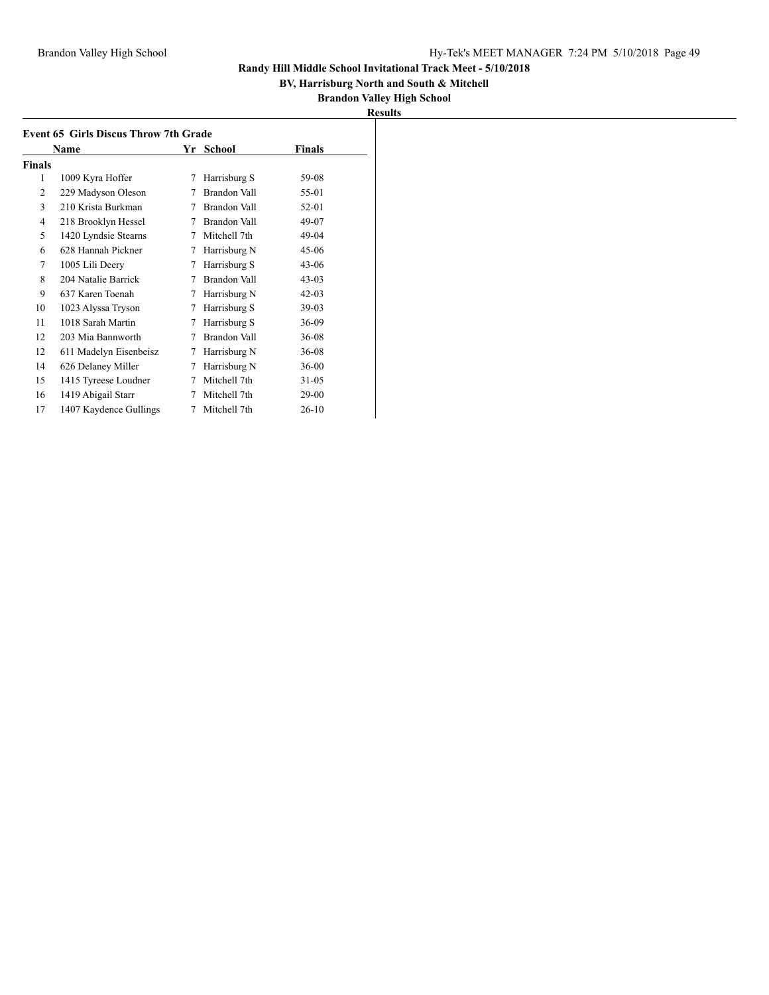## **BV, Harrisburg North and South & Mitchell**

|               | Name                   | Yr | School       | Finals    |
|---------------|------------------------|----|--------------|-----------|
| <b>Finals</b> |                        |    |              |           |
| 1             | 1009 Kyra Hoffer       | 7  | Harrisburg S | 59-08     |
| 2             | 229 Madyson Oleson     | 7  | Brandon Vall | 55-01     |
| 3             | 210 Krista Burkman     | 7  | Brandon Vall | 52-01     |
| 4             | 218 Brooklyn Hessel    | 7  | Brandon Vall | 49-07     |
| 5             | 1420 Lyndsie Stearns   | 7  | Mitchell 7th | 49-04     |
| 6             | 628 Hannah Pickner     | 7  | Harrisburg N | 45-06     |
| 7             | 1005 Lili Deery        | 7  | Harrisburg S | $43 - 06$ |
| 8             | 204 Natalie Barrick    | 7  | Brandon Vall | $43 - 03$ |
| 9             | 637 Karen Toenah       | 7  | Harrisburg N | $42 - 03$ |
| 10            | 1023 Alyssa Tryson     | 7  | Harrisburg S | $39-03$   |
| 11            | 1018 Sarah Martin      | 7  | Harrisburg S | $36-09$   |
| 12            | 203 Mia Bannworth      | 7  | Brandon Vall | $36 - 08$ |
| 12            | 611 Madelyn Eisenbeisz | 7  | Harrisburg N | $36 - 08$ |
| 14            | 626 Delaney Miller     | 7  | Harrisburg N | $36 - 00$ |
| 15            | 1415 Tyreese Loudner   | 7  | Mitchell 7th | $31 - 05$ |
| 16            | 1419 Abigail Starr     | 7  | Mitchell 7th | 29-00     |
| 17            | 1407 Kaydence Gullings | 7  | Mitchell 7th | $26-10$   |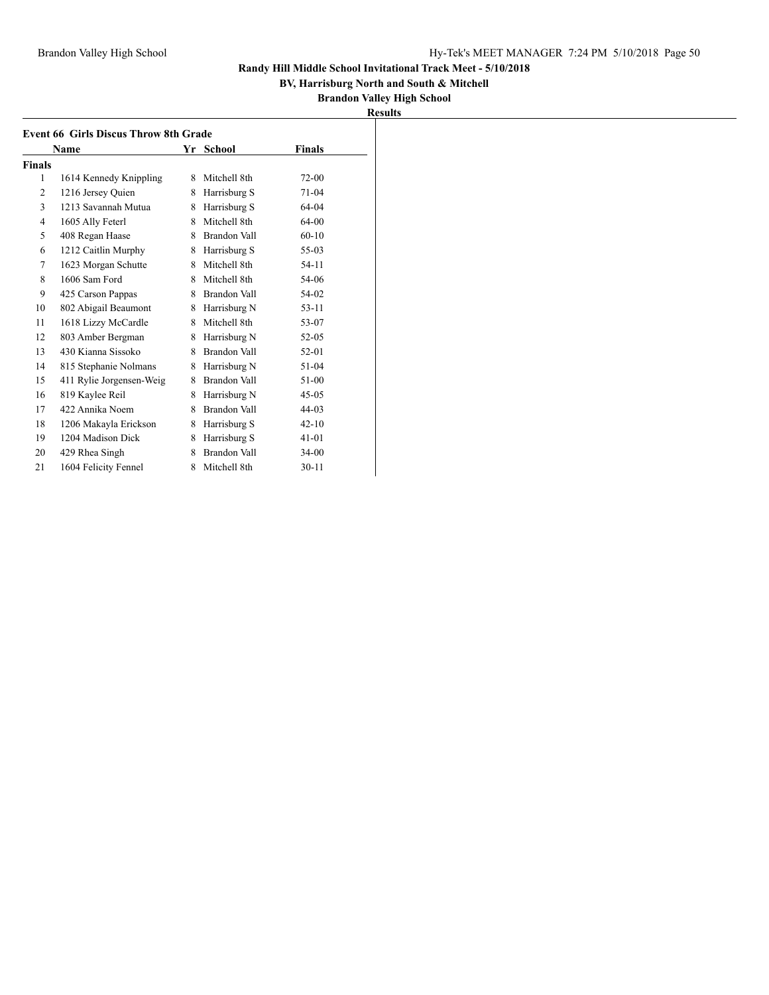## **BV, Harrisburg North and South & Mitchell**

| <b>Event 66 Girls Discus Throw 8th Grade</b> |                          |   |                     |           |  |
|----------------------------------------------|--------------------------|---|---------------------|-----------|--|
|                                              | Name                     |   | Yr School           | Finals    |  |
| <b>Finals</b>                                |                          |   |                     |           |  |
| 1                                            | 1614 Kennedy Knippling   | 8 | Mitchell 8th        | $72 - 00$ |  |
| 2                                            | 1216 Jersey Quien        | 8 | Harrisburg S        | $71-04$   |  |
| 3                                            | 1213 Savannah Mutua      | 8 | Harrisburg S        | 64-04     |  |
| $\overline{4}$                               | 1605 Ally Feterl         | 8 | Mitchell 8th        | $64-00$   |  |
| 5                                            | 408 Regan Haase          | 8 | Brandon Vall        | $60 - 10$ |  |
| 6                                            | 1212 Caitlin Murphy      | 8 | Harrisburg S        | 55-03     |  |
| 7                                            | 1623 Morgan Schutte      | 8 | Mitchell 8th        | 54-11     |  |
| 8                                            | 1606 Sam Ford            | 8 | Mitchell 8th        | 54-06     |  |
| 9                                            | 425 Carson Pappas        | 8 | Brandon Vall        | 54-02     |  |
| 10                                           | 802 Abigail Beaumont     | 8 | Harrisburg N        | $53 - 11$ |  |
| 11                                           | 1618 Lizzy McCardle      | 8 | Mitchell 8th        | 53-07     |  |
| 12                                           | 803 Amber Bergman        | 8 | Harrisburg N        | $52 - 05$ |  |
| 13                                           | 430 Kianna Sissoko       | 8 | Brandon Vall        | 52-01     |  |
| 14                                           | 815 Stephanie Nolmans    | 8 | Harrisburg N        | 51-04     |  |
| 15                                           | 411 Rylie Jorgensen-Weig | 8 | Brandon Vall        | 51-00     |  |
| 16                                           | 819 Kaylee Reil          | 8 | Harrisburg N        | $45 - 05$ |  |
| 17                                           | 422 Annika Noem          | 8 | Brandon Vall        | 44-03     |  |
| 18                                           | 1206 Makayla Erickson    | 8 | Harrisburg S        | $42 - 10$ |  |
| 19                                           | 1204 Madison Dick        | 8 | Harrisburg S        | $41 - 01$ |  |
| 20                                           | 429 Rhea Singh           | 8 | <b>Brandon Vall</b> | $34 - 00$ |  |
| 21                                           | 1604 Felicity Fennel     | 8 | Mitchell 8th        | $30 - 11$ |  |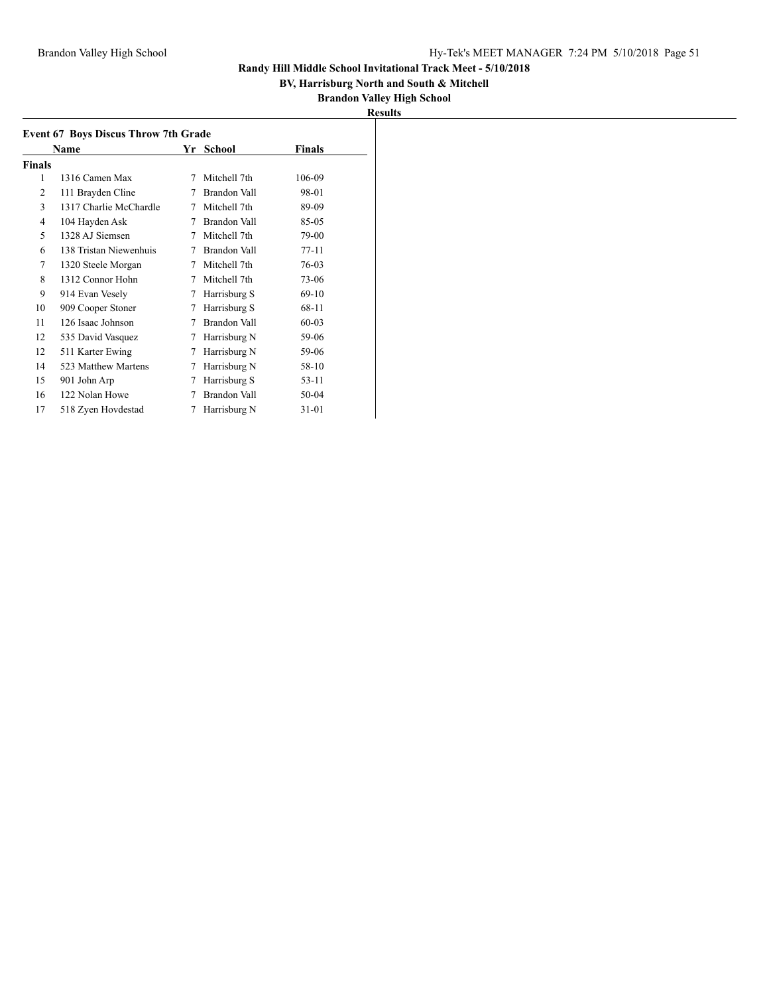## **BV, Harrisburg North and South & Mitchell**

| Results |
|---------|
|---------|

| <b>Event 67 Boys Discus Throw 7th Grade</b> |                        |   |              |           |  |  |
|---------------------------------------------|------------------------|---|--------------|-----------|--|--|
| <b>Finals</b><br>Name<br>Yr School          |                        |   |              |           |  |  |
| Finals                                      |                        |   |              |           |  |  |
| 1                                           | 1316 Camen Max         | 7 | Mitchell 7th | 106-09    |  |  |
| 2                                           | 111 Brayden Cline      | 7 | Brandon Vall | 98-01     |  |  |
| 3                                           | 1317 Charlie McChardle | 7 | Mitchell 7th | 89-09     |  |  |
| 4                                           | 104 Hayden Ask         | 7 | Brandon Vall | 85-05     |  |  |
| 5                                           | 1328 AJ Siemsen        | 7 | Mitchell 7th | 79-00     |  |  |
| 6                                           | 138 Tristan Niewenhuis | 7 | Brandon Vall | $77-11$   |  |  |
| 7                                           | 1320 Steele Morgan     | 7 | Mitchell 7th | 76-03     |  |  |
| 8                                           | 1312 Connor Hohn       | 7 | Mitchell 7th | 73-06     |  |  |
| 9                                           | 914 Evan Vesely        | 7 | Harrisburg S | $69-10$   |  |  |
| 10                                          | 909 Cooper Stoner      | 7 | Harrisburg S | 68-11     |  |  |
| 11                                          | 126 Isaac Johnson      | 7 | Brandon Vall | $60 - 03$ |  |  |
| 12                                          | 535 David Vasquez      | 7 | Harrisburg N | 59-06     |  |  |
| 12                                          | 511 Karter Ewing       | 7 | Harrisburg N | 59-06     |  |  |
| 14                                          | 523 Matthew Martens    | 7 | Harrisburg N | 58-10     |  |  |
| 15                                          | 901 John Arp           | 7 | Harrisburg S | $53-11$   |  |  |
| 16                                          | 122 Nolan Howe         | 7 | Brandon Vall | 50-04     |  |  |
| 17                                          | 518 Zyen Hovdestad     | 7 | Harrisburg N | 31-01     |  |  |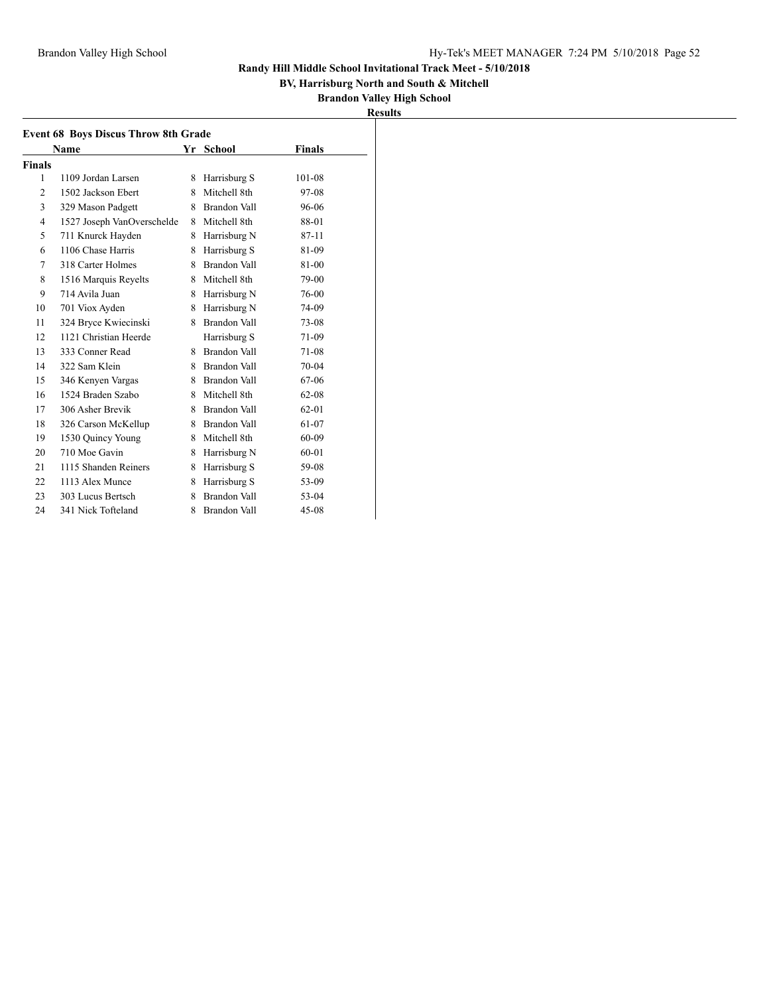## **BV, Harrisburg North and South & Mitchell**

| ır<br>II<br>۰. |  |
|----------------|--|
|                |  |

| <b>Event 68 Boys Discus Throw 8th Grade</b> |                            |   |                     |               |  |
|---------------------------------------------|----------------------------|---|---------------------|---------------|--|
|                                             | Name                       |   | Yr School           | <b>Finals</b> |  |
| <b>Finals</b>                               |                            |   |                     |               |  |
| 1                                           | 1109 Jordan Larsen         | 8 | Harrisburg S        | 101-08        |  |
| $\overline{c}$                              | 1502 Jackson Ebert         | 8 | Mitchell 8th        | 97-08         |  |
| 3                                           | 329 Mason Padgett          | 8 | Brandon Vall        | 96-06         |  |
| $\overline{4}$                              | 1527 Joseph VanOverschelde | 8 | Mitchell 8th        | 88-01         |  |
| 5                                           | 711 Knurck Hayden          | 8 | Harrisburg N        | 87-11         |  |
| 6                                           | 1106 Chase Harris          | 8 | Harrisburg S        | 81-09         |  |
| 7                                           | 318 Carter Holmes          | 8 | Brandon Vall        | 81-00         |  |
| 8                                           | 1516 Marquis Reyelts       | 8 | Mitchell 8th        | 79-00         |  |
| 9                                           | 714 Avila Juan             | 8 | Harrisburg N        | 76-00         |  |
| 10                                          | 701 Viox Ayden             | 8 | Harrisburg N        | 74-09         |  |
| 11                                          | 324 Bryce Kwiecinski       | 8 | Brandon Vall        | 73-08         |  |
| 12                                          | 1121 Christian Heerde      |   | Harrisburg S        | 71-09         |  |
| 13                                          | 333 Conner Read            | 8 | <b>Brandon Vall</b> | 71-08         |  |
| 14                                          | 322 Sam Klein              | 8 | Brandon Vall        | $70-04$       |  |
| 15                                          | 346 Kenyen Vargas          |   | 8 Brandon Vall      | 67-06         |  |
| 16                                          | 1524 Braden Szabo          | 8 | Mitchell 8th        | $62 - 08$     |  |
| 17                                          | 306 Asher Brevik           | 8 | Brandon Vall        | $62 - 01$     |  |
| 18                                          | 326 Carson McKellup        | 8 | Brandon Vall        | 61-07         |  |
| 19                                          | 1530 Quincy Young          | 8 | Mitchell 8th        | 60-09         |  |
| 20                                          | 710 Moe Gavin              | 8 | Harrisburg N        | $60 - 01$     |  |
| 21                                          | 1115 Shanden Reiners       | 8 | Harrisburg S        | 59-08         |  |
| 22                                          | 1113 Alex Munce            | 8 | Harrisburg S        | 53-09         |  |
| 23                                          | 303 Lucus Bertsch          | 8 | Brandon Vall        | 53-04         |  |
| 24                                          | 341 Nick Tofteland         | 8 | <b>Brandon Vall</b> | $45 - 08$     |  |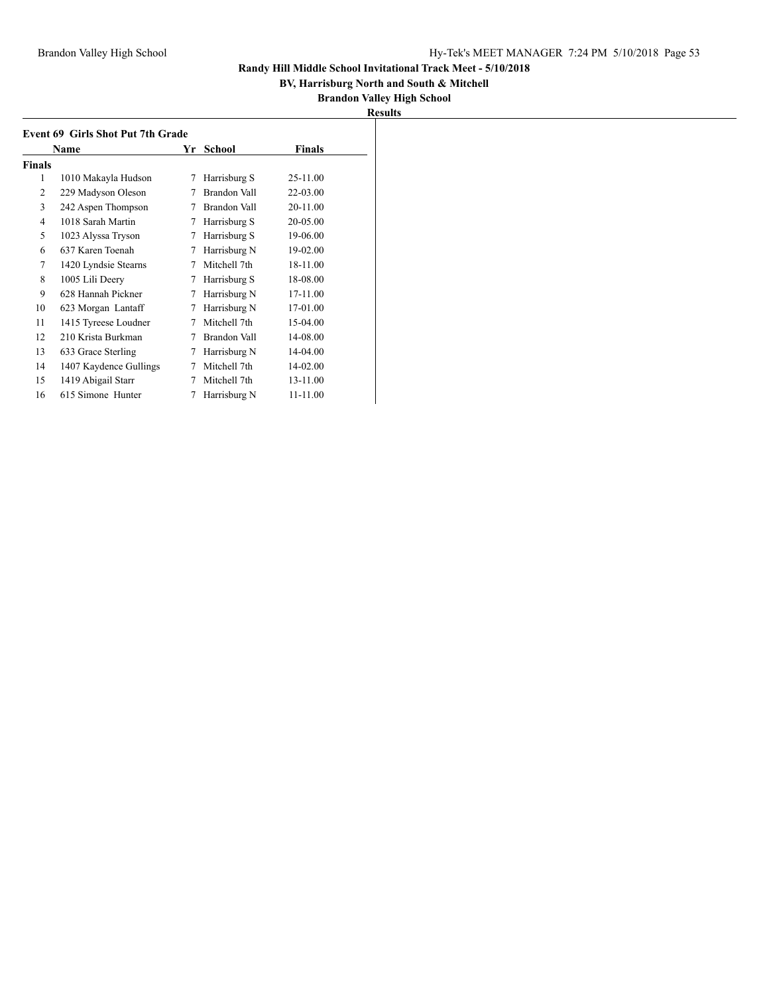## **BV, Harrisburg North and South & Mitchell**

| m<br>к<br>111<br>- 11 |  |
|-----------------------|--|
|                       |  |

| <b>Event 69 Girls Shot Put 7th Grade</b> |                        |    |              |               |  |
|------------------------------------------|------------------------|----|--------------|---------------|--|
|                                          | Name                   | Yr | School       | <b>Finals</b> |  |
| Finals                                   |                        |    |              |               |  |
| 1                                        | 1010 Makayla Hudson    | 7  | Harrisburg S | 25-11.00      |  |
| 2                                        | 229 Madyson Oleson     | 7  | Brandon Vall | 22-03.00      |  |
| 3                                        | 242 Aspen Thompson     | 7  | Brandon Vall | 20-11.00      |  |
| 4                                        | 1018 Sarah Martin      | 7  | Harrisburg S | 20-05.00      |  |
| 5                                        | 1023 Alyssa Tryson     | 7  | Harrisburg S | 19-06.00      |  |
| 6                                        | 637 Karen Toenah       | 7  | Harrisburg N | 19-02.00      |  |
| 7                                        | 1420 Lyndsie Stearns   | 7  | Mitchell 7th | 18-11.00      |  |
| 8                                        | 1005 Lili Deery        | 7  | Harrisburg S | 18-08.00      |  |
| 9                                        | 628 Hannah Pickner     | 7  | Harrisburg N | 17-11.00      |  |
| 10                                       | 623 Morgan Lantaff     | 7  | Harrisburg N | 17-01.00      |  |
| 11                                       | 1415 Tyreese Loudner   | 7  | Mitchell 7th | 15-04.00      |  |
| 12                                       | 210 Krista Burkman     | 7  | Brandon Vall | 14-08.00      |  |
| 13                                       | 633 Grace Sterling     | 7  | Harrisburg N | 14-04.00      |  |
| 14                                       | 1407 Kaydence Gullings | 7  | Mitchell 7th | 14-02.00      |  |
| 15                                       | 1419 Abigail Starr     | 7  | Mitchell 7th | 13-11.00      |  |
| 16                                       | 615 Simone Hunter      | 7  | Harrisburg N | 11-11.00      |  |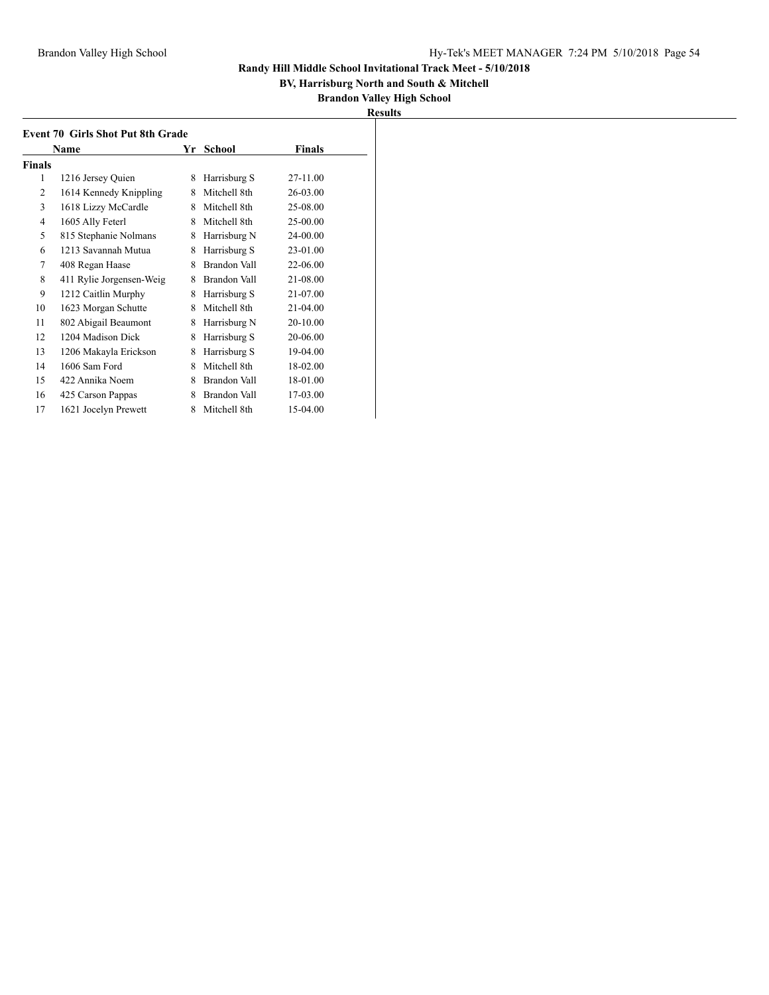## **BV, Harrisburg North and South & Mitchell**

| II<br>۰.<br>. . |  |
|-----------------|--|
|                 |  |

| <b>Event 70 Girls Shot Put 8th Grade</b> |                          |    |              |               |  |
|------------------------------------------|--------------------------|----|--------------|---------------|--|
|                                          | Name                     | Yr | School       | <b>Finals</b> |  |
| <b>Finals</b>                            |                          |    |              |               |  |
| 1                                        | 1216 Jersey Quien        | 8  | Harrisburg S | 27-11.00      |  |
| 2                                        | 1614 Kennedy Knippling   | 8  | Mitchell 8th | 26-03.00      |  |
| 3                                        | 1618 Lizzy McCardle      | 8  | Mitchell 8th | 25-08.00      |  |
| 4                                        | 1605 Ally Feterl         | 8  | Mitchell 8th | 25-00.00      |  |
| 5                                        | 815 Stephanie Nolmans    | 8  | Harrisburg N | 24-00.00      |  |
| 6                                        | 1213 Savannah Mutua      | 8  | Harrisburg S | 23-01.00      |  |
| 7                                        | 408 Regan Haase          | 8  | Brandon Vall | 22-06.00      |  |
| 8                                        | 411 Rylie Jorgensen-Weig | 8  | Brandon Vall | 21-08.00      |  |
| 9                                        | 1212 Caitlin Murphy      | 8  | Harrisburg S | 21-07.00      |  |
| 10                                       | 1623 Morgan Schutte      | 8  | Mitchell 8th | 21-04.00      |  |
| 11                                       | 802 Abigail Beaumont     | 8  | Harrisburg N | 20-10.00      |  |
| 12                                       | 1204 Madison Dick        | 8  | Harrisburg S | 20-06.00      |  |
| 13                                       | 1206 Makayla Erickson    | 8  | Harrisburg S | 19-04.00      |  |
| 14                                       | 1606 Sam Ford            | 8  | Mitchell 8th | 18-02.00      |  |
| 15                                       | 422 Annika Noem          | 8  | Brandon Vall | 18-01.00      |  |
| 16                                       | 425 Carson Pappas        | 8  | Brandon Vall | 17-03.00      |  |
| 17                                       | 1621 Jocelyn Prewett     | 8  | Mitchell 8th | 15-04.00      |  |
|                                          |                          |    |              |               |  |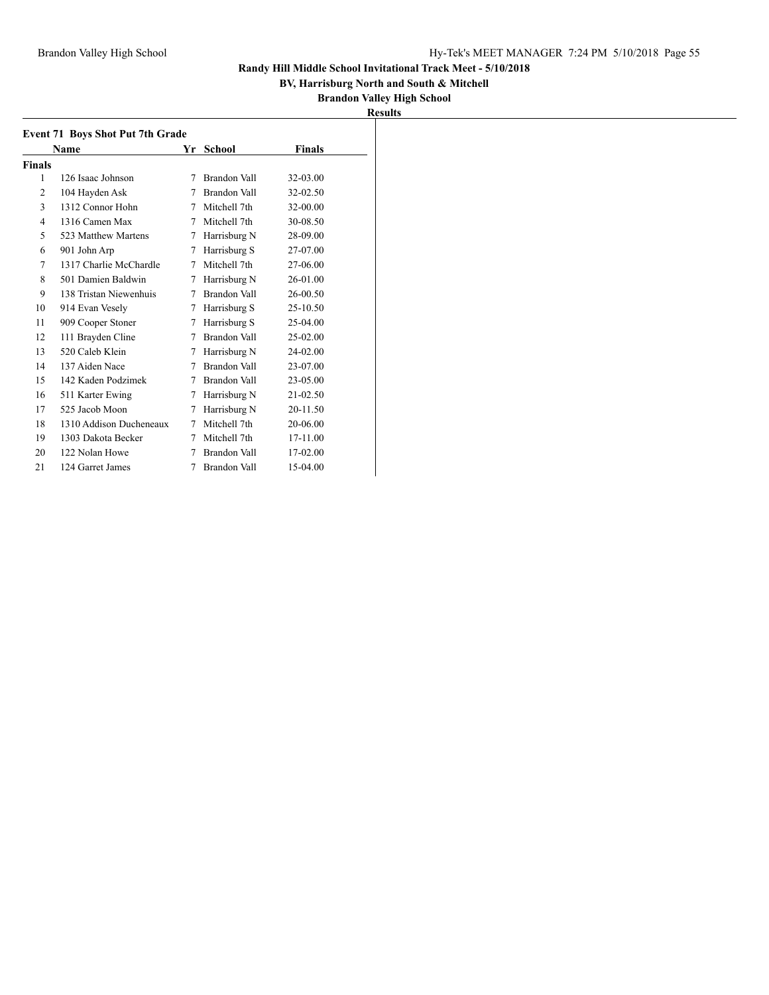## **BV, Harrisburg North and South & Mitchell**

|  | <b>Results</b> |  |
|--|----------------|--|
|--|----------------|--|

|                | <b>Event 71 Boys Shot Put 7th Grade</b> |   |                     |               |  |
|----------------|-----------------------------------------|---|---------------------|---------------|--|
|                | Name                                    |   | Yr School           | <b>Finals</b> |  |
| <b>Finals</b>  |                                         |   |                     |               |  |
| 1              | 126 Isaac Johnson                       | 7 | Brandon Vall        | 32-03.00      |  |
| 2              | 104 Hayden Ask                          | 7 | Brandon Vall        | 32-02.50      |  |
| 3              | 1312 Connor Hohn                        | 7 | Mitchell 7th        | 32-00.00      |  |
| $\overline{4}$ | 1316 Camen Max                          | 7 | Mitchell 7th        | 30-08.50      |  |
| 5              | 523 Matthew Martens                     | 7 | Harrisburg N        | 28-09.00      |  |
| 6              | 901 John Arp                            | 7 | Harrisburg S        | 27-07.00      |  |
| 7              | 1317 Charlie McChardle                  | 7 | Mitchell 7th        | 27-06.00      |  |
| 8              | 501 Damien Baldwin                      | 7 | Harrisburg N        | 26-01.00      |  |
| 9              | 138 Tristan Niewenhuis                  | 7 | Brandon Vall        | 26-00.50      |  |
| 10             | 914 Evan Vesely                         | 7 | Harrisburg S        | 25-10.50      |  |
| 11             | 909 Cooper Stoner                       | 7 | Harrisburg S        | 25-04.00      |  |
| 12             | 111 Brayden Cline                       | 7 | Brandon Vall        | 25-02.00      |  |
| 13             | 520 Caleb Klein                         | 7 | Harrisburg N        | 24-02.00      |  |
| 14             | 137 Aiden Nace                          | 7 | Brandon Vall        | 23-07.00      |  |
| 15             | 142 Kaden Podzimek                      | 7 | Brandon Vall        | 23-05.00      |  |
| 16             | 511 Karter Ewing                        | 7 | Harrisburg N        | 21-02.50      |  |
| 17             | 525 Jacob Moon                          | 7 | Harrisburg N        | 20-11.50      |  |
| 18             | 1310 Addison Ducheneaux                 | 7 | Mitchell 7th        | 20-06.00      |  |
| 19             | 1303 Dakota Becker                      | 7 | Mitchell 7th        | 17-11.00      |  |
| 20             | 122 Nolan Howe                          | 7 | <b>Brandon Vall</b> | 17-02.00      |  |
| 21             | 124 Garret James                        | 7 | Brandon Vall        | 15-04.00      |  |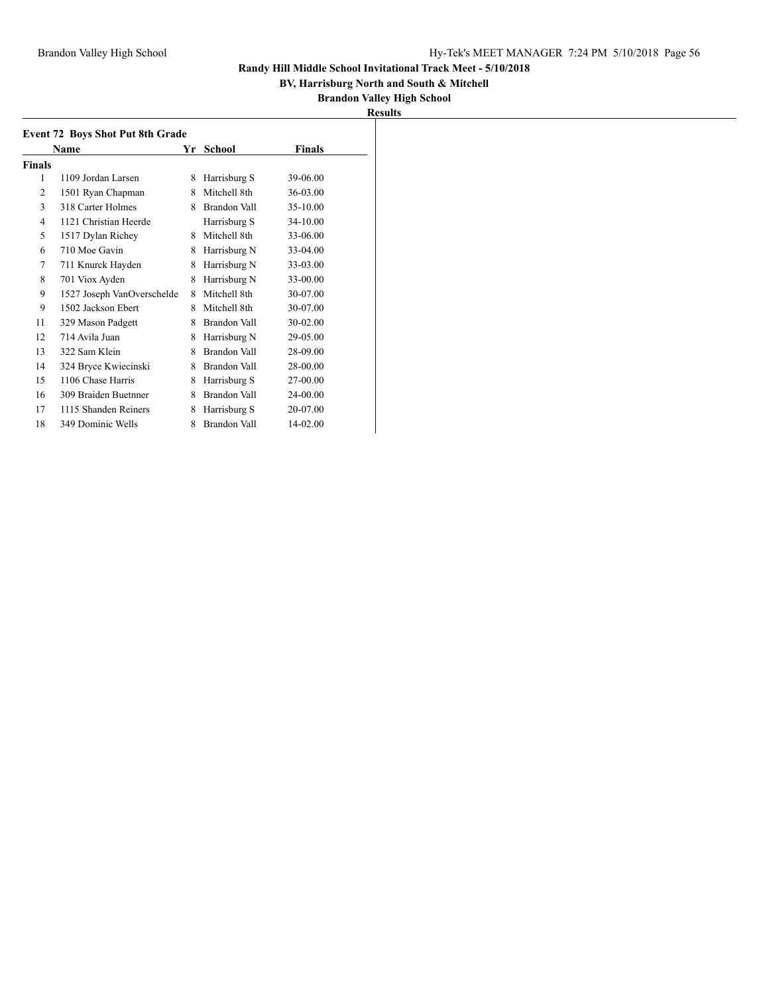## **BV, Harrisburg North and South & Mitchell**

| I<br>ш<br>۰<br>т, |  |
|-------------------|--|
|                   |  |

|               | <b>Event 72 Boys Shot Put 8th Grade</b> |    |                     |          |  |
|---------------|-----------------------------------------|----|---------------------|----------|--|
|               | Name                                    | Yr | School              | Finals   |  |
| <b>Finals</b> |                                         |    |                     |          |  |
| 1             | 1109 Jordan Larsen                      | 8  | Harrisburg S        | 39-06.00 |  |
| 2             | 1501 Ryan Chapman                       | 8  | Mitchell 8th        | 36-03.00 |  |
| 3             | 318 Carter Holmes                       | 8  | Brandon Vall        | 35-10.00 |  |
| 4             | 1121 Christian Heerde                   |    | Harrisburg S        | 34-10.00 |  |
| 5             | 1517 Dylan Richey                       | 8  | Mitchell 8th        | 33-06.00 |  |
| 6             | 710 Moe Gavin                           | 8  | Harrisburg N        | 33-04.00 |  |
| 7             | 711 Knurck Hayden                       | 8  | Harrisburg N        | 33-03.00 |  |
| 8             | 701 Viox Ayden                          | 8  | Harrisburg N        | 33-00.00 |  |
| 9             | 1527 Joseph VanOverschelde              | 8  | Mitchell 8th        | 30-07.00 |  |
| 9             | 1502 Jackson Ebert                      | 8  | Mitchell 8th        | 30-07.00 |  |
| 11            | 329 Mason Padgett                       | 8  | Brandon Vall        | 30-02.00 |  |
| 12            | 714 Avila Juan                          | 8  | Harrisburg N        | 29-05.00 |  |
| 13            | 322 Sam Klein                           | 8  | Brandon Vall        | 28-09.00 |  |
| 14            | 324 Bryce Kwiecinski                    | 8  | Brandon Vall        | 28-00.00 |  |
| 15            | 1106 Chase Harris                       | 8  | Harrisburg S        | 27-00.00 |  |
| 16            | 309 Braiden Buetnner                    | 8  | <b>Brandon Vall</b> | 24-00.00 |  |
| 17            | 1115 Shanden Reiners                    | 8  | Harrisburg S        | 20-07.00 |  |
| 18            | 349 Dominic Wells                       | 8  | Brandon Vall        | 14-02.00 |  |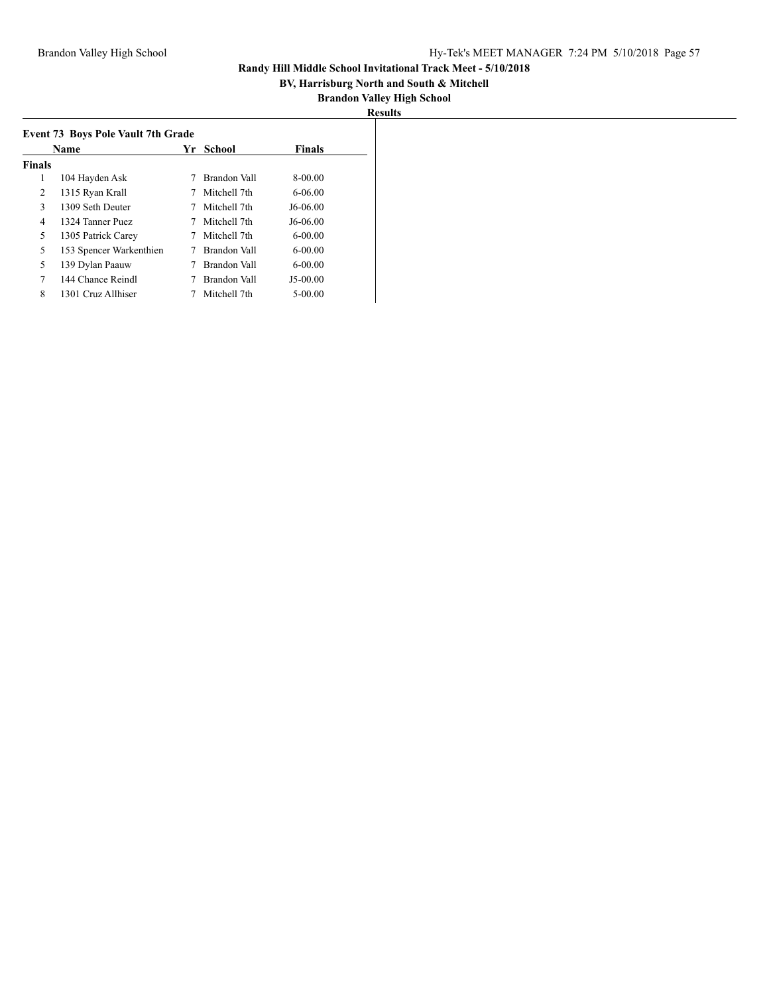## **BV, Harrisburg North and South & Mitchell**

| н<br>II<br>٠<br>- |  |
|-------------------|--|
|                   |  |

|               | <b>Event 73 Boys Pole Vault 7th Grade</b> |    |               |               |  |
|---------------|-------------------------------------------|----|---------------|---------------|--|
|               | Name                                      | Yr | <b>School</b> | <b>Finals</b> |  |
| <b>Finals</b> |                                           |    |               |               |  |
| 1             | 104 Hayden Ask                            |    | Brandon Vall  | $8-00.00$     |  |
| 2             | 1315 Ryan Krall                           |    | Mitchell 7th  | $6 - 06.00$   |  |
| 3             | 1309 Seth Deuter                          |    | Mitchell 7th  | J6-06.00      |  |
| 4             | 1324 Tanner Puez                          |    | Mitchell 7th  | J6-06.00      |  |
| 5             | 1305 Patrick Carey                        |    | Mitchell 7th  | $6-00.00$     |  |
| 5             | 153 Spencer Warkenthien                   |    | Brandon Vall  | $6-00.00$     |  |
| 5             | 139 Dylan Paauw                           |    | Brandon Vall  | $6 - 00.00$   |  |
| 7             | 144 Chance Reindl                         |    | Brandon Vall  | $J5-00.00$    |  |
| 8             | 1301 Cruz Allhiser                        |    | Mitchell 7th  | $5 - 00.00$   |  |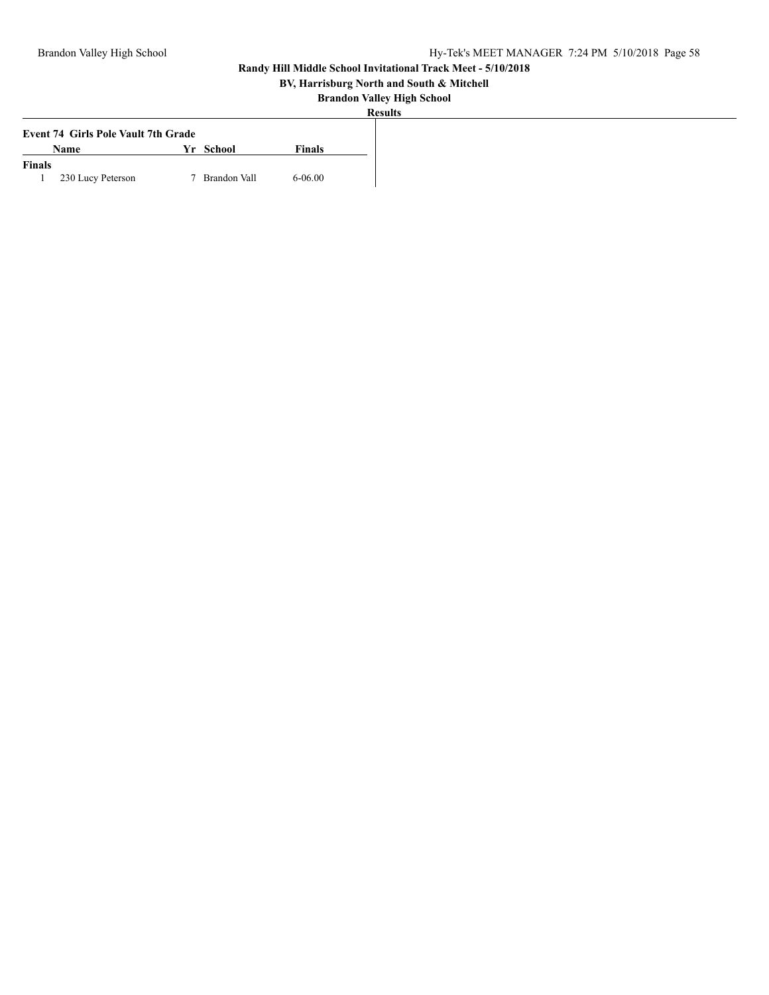## **BV, Harrisburg North and South & Mitchell**

|        | <b>Event 74 Girls Pole Vault 7th Grade</b> |    |              |               |
|--------|--------------------------------------------|----|--------------|---------------|
|        | Name                                       | Vr | School       | <b>Finals</b> |
| Finals |                                            |    |              |               |
|        | 230 Lucy Peterson                          |    | Brandon Vall | 6-06.00       |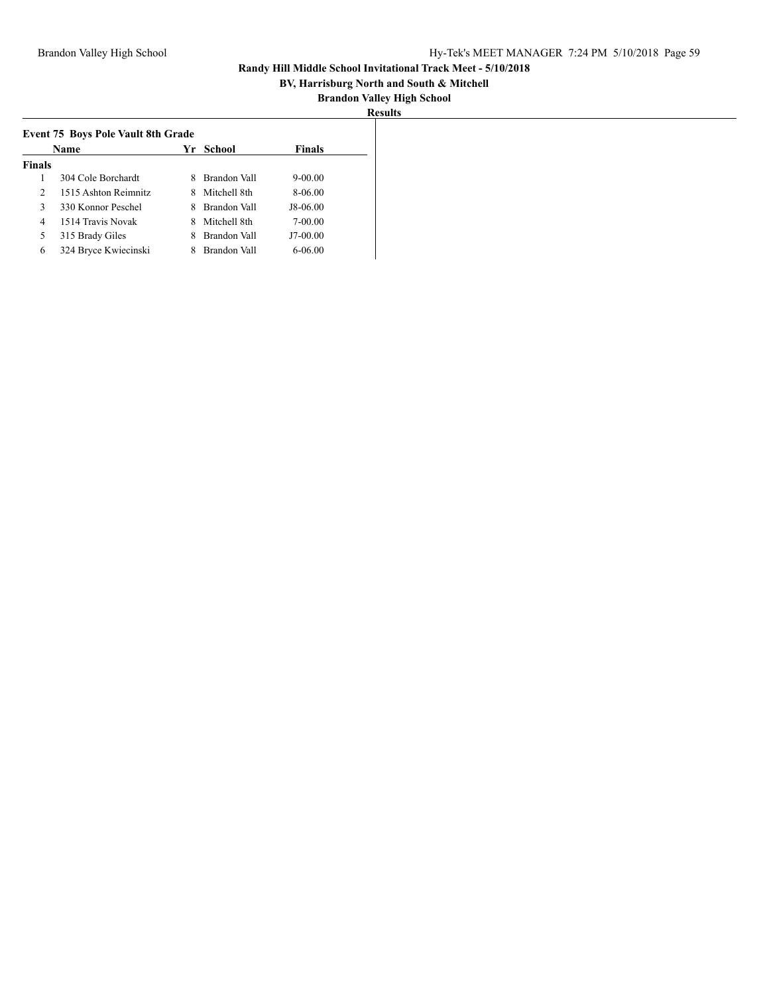## **BV, Harrisburg North and South & Mitchell**

| U |  |
|---|--|
|   |  |

|                | Name                 | Yr | School       | <b>Finals</b> |
|----------------|----------------------|----|--------------|---------------|
| <b>Finals</b>  |                      |    |              |               |
| 1              | 304 Cole Borchardt   |    | Brandon Vall | $9 - 00.00$   |
| $\mathfrak{D}$ | 1515 Ashton Reimnitz | 8  | Mitchell 8th | 8-06.00       |
| 3              | 330 Konnor Peschel   | 8  | Brandon Vall | J8-06.00      |
| 4              | 1514 Travis Novak    | 8  | Mitchell 8th | 7-00.00       |
| 5              | 315 Brady Giles      |    | Brandon Vall | J7-00.00      |
| 6              | 324 Bryce Kwiecinski |    | Brandon Vall | $6 - 06.00$   |
|                |                      |    |              |               |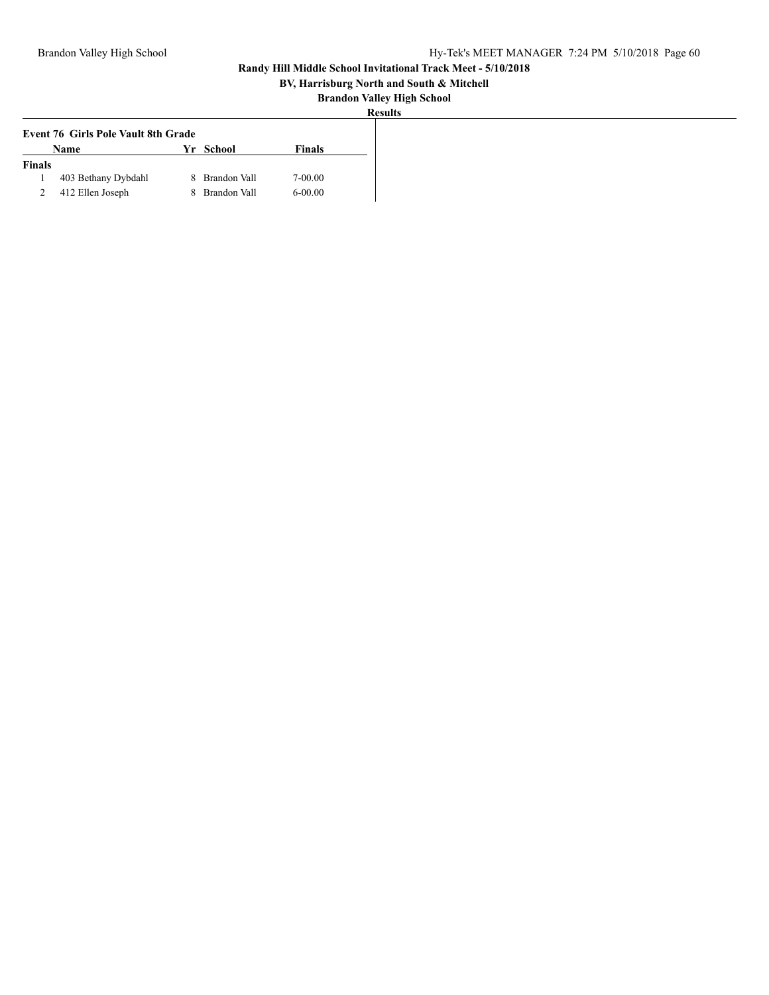## **BV, Harrisburg North and South & Mitchell**

| ۵I<br>۳s<br>17. | 11 11 |
|-----------------|-------|
|                 |       |

|               | <b>Event 76 Girls Pole Vault 8th Grade</b> |     |              |             |
|---------------|--------------------------------------------|-----|--------------|-------------|
|               | <b>Name</b>                                | Vr. | School       | Finals      |
| <b>Finals</b> |                                            |     |              |             |
|               | 403 Bethany Dybdahl                        |     | Brandon Vall | $7 - 00.00$ |
|               | 412 Ellen Joseph                           |     | Brandon Vall | $6 - 00.00$ |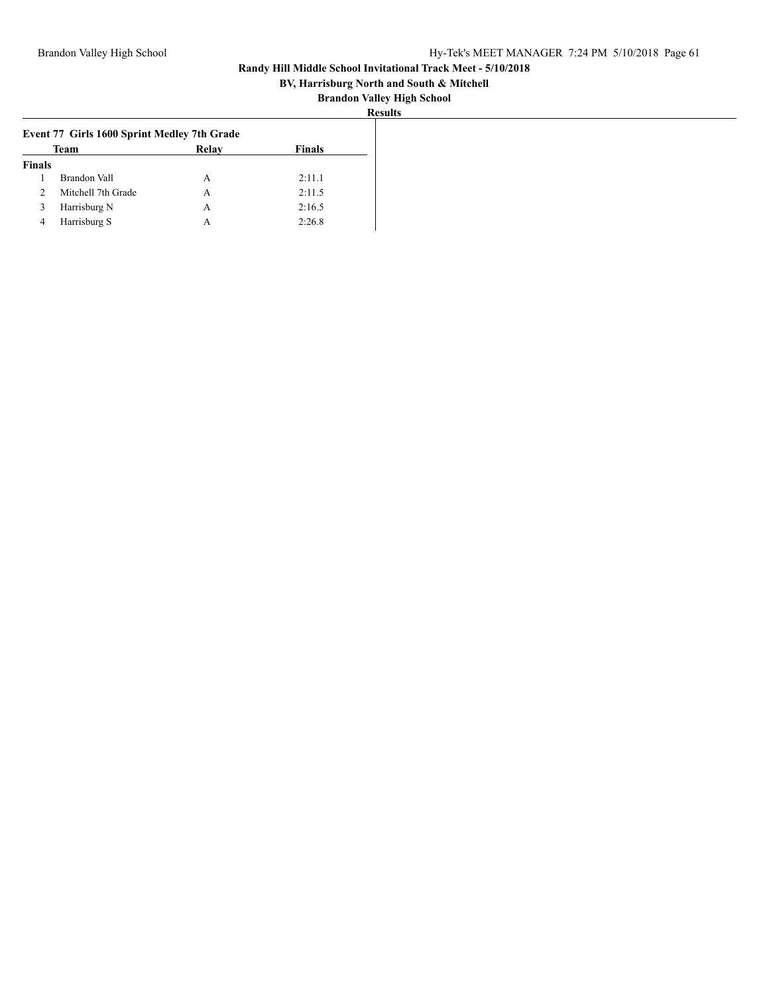## **BV, Harrisburg North and South & Mitchell**

| :S11 l 1<br>к |
|---------------|
|---------------|

| Event 77 Girls 1600 Sprint Medley 7th Grade |                    |       |               |
|---------------------------------------------|--------------------|-------|---------------|
|                                             | <b>Team</b>        | Relay | <b>Finals</b> |
| <b>Finals</b>                               |                    |       |               |
|                                             | Brandon Vall       | А     | 2:11.1        |
|                                             | Mitchell 7th Grade | А     | 2:11.5        |
| $\Delta$                                    | Harrisburg N       | А     | 2:16.5        |
| 4                                           | Harrisburg S       | А     | 2:26.8        |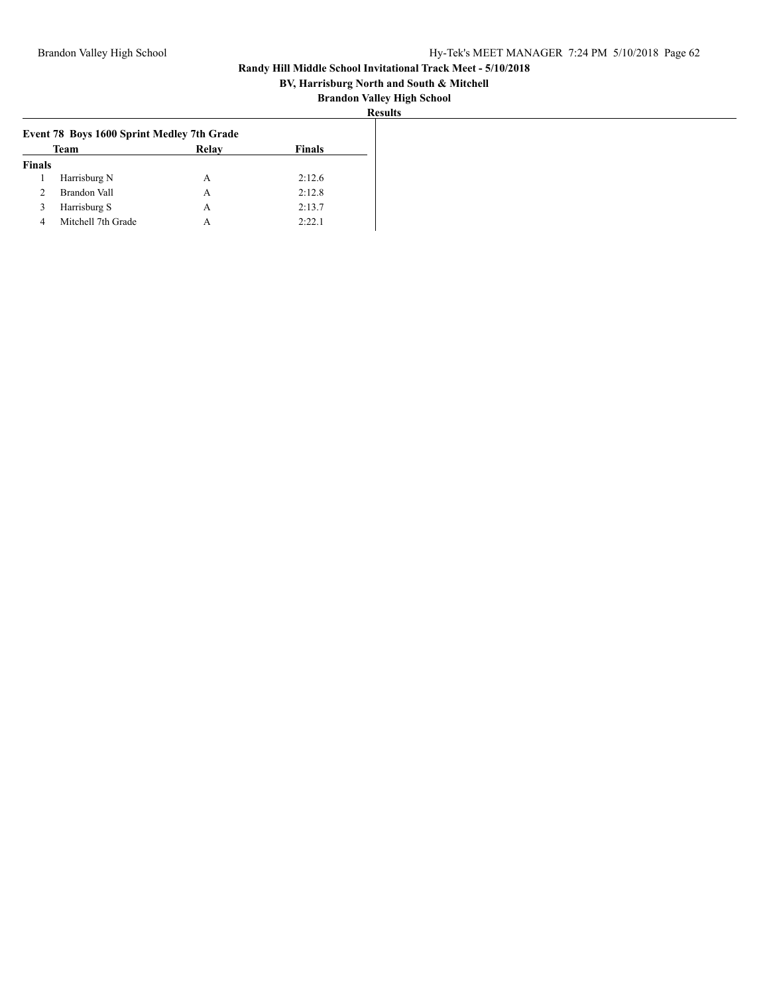## **BV, Harrisburg North and South & Mitchell**

| :S11 11 |
|---------|
|---------|

| Event 78 Boys 1600 Sprint Medley 7th Grade |                    |       |               |
|--------------------------------------------|--------------------|-------|---------------|
|                                            | <b>Team</b>        | Relay | <b>Finals</b> |
| <b>Finals</b>                              |                    |       |               |
|                                            | Harrisburg N       | A     | 2:12.6        |
|                                            | Brandon Vall       | А     | 2:12.8        |
|                                            | Harrisburg S       | A     | 2:13.7        |
|                                            | Mitchell 7th Grade | A     | 2:22.1        |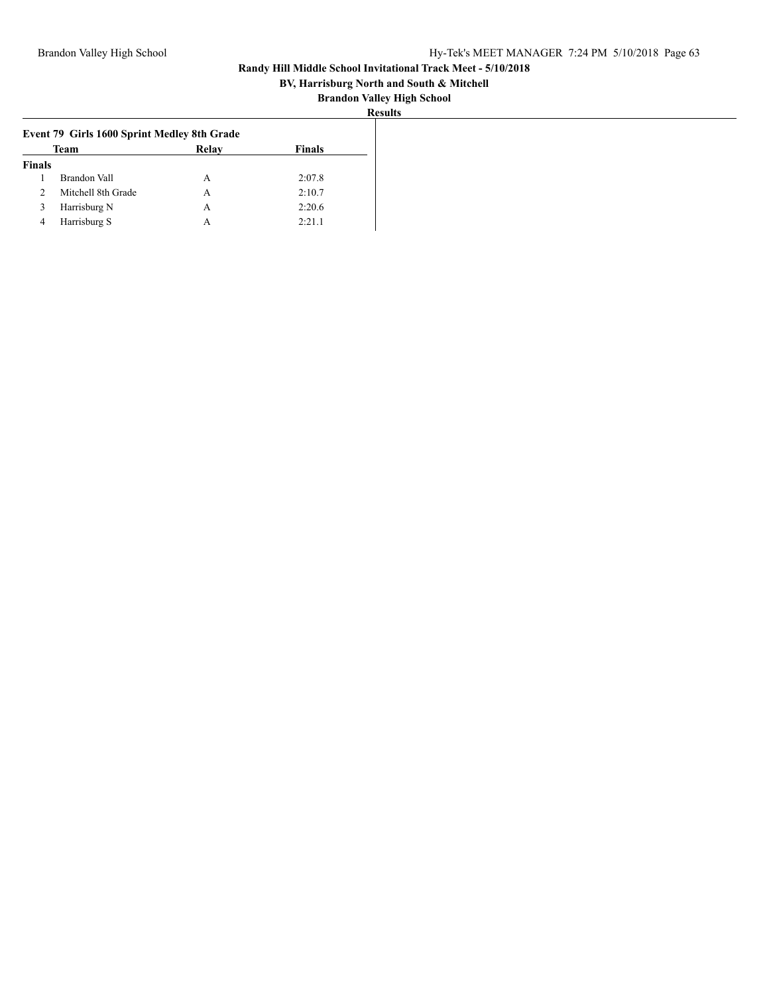## **BV, Harrisburg North and South & Mitchell**

| Event 79 Girls 1600 Sprint Medley 8th Grade |                    |       |        |
|---------------------------------------------|--------------------|-------|--------|
|                                             | Team               | Relay | Finals |
| <b>Finals</b>                               |                    |       |        |
|                                             | Brandon Vall       | A     | 2:07.8 |
|                                             | Mitchell 8th Grade | А     | 2:10.7 |
|                                             | Harrisburg N       | А     | 2:20.6 |
| 4                                           | Harrisburg S       | А     | 2:21.1 |